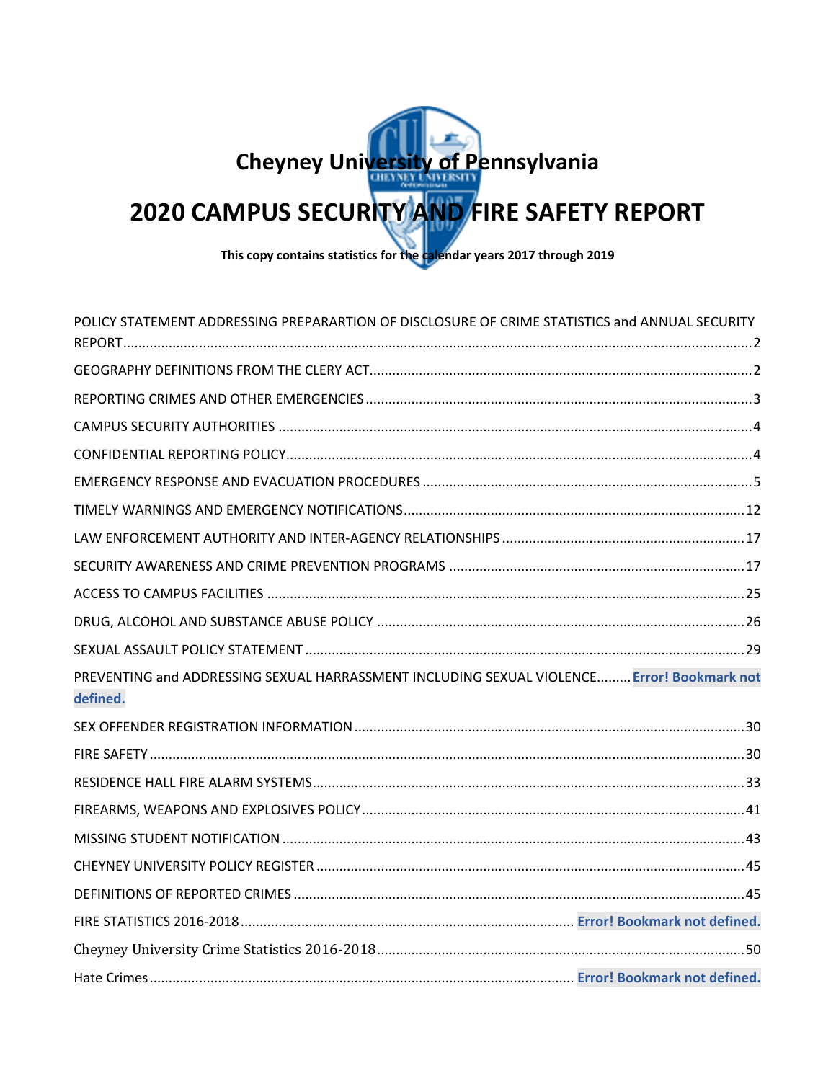# Cheyney University of Pennsylvania

2020 CAMPUS SECURITY AND FIRE SAFETY REPORT

This copy contains statistics for the calendar years 2017 through 2019

| POLICY STATEMENT ADDRESSING PREPARARTION OF DISCLOSURE OF CRIME STATISTICS and ANNUAL SECURITY         |  |
|--------------------------------------------------------------------------------------------------------|--|
|                                                                                                        |  |
|                                                                                                        |  |
|                                                                                                        |  |
|                                                                                                        |  |
|                                                                                                        |  |
|                                                                                                        |  |
|                                                                                                        |  |
|                                                                                                        |  |
|                                                                                                        |  |
|                                                                                                        |  |
|                                                                                                        |  |
| PREVENTING and ADDRESSING SEXUAL HARRASSMENT INCLUDING SEXUAL VIOLENCE Error! Bookmark not<br>defined. |  |
|                                                                                                        |  |
|                                                                                                        |  |
|                                                                                                        |  |
|                                                                                                        |  |
|                                                                                                        |  |
|                                                                                                        |  |
|                                                                                                        |  |
|                                                                                                        |  |
|                                                                                                        |  |
|                                                                                                        |  |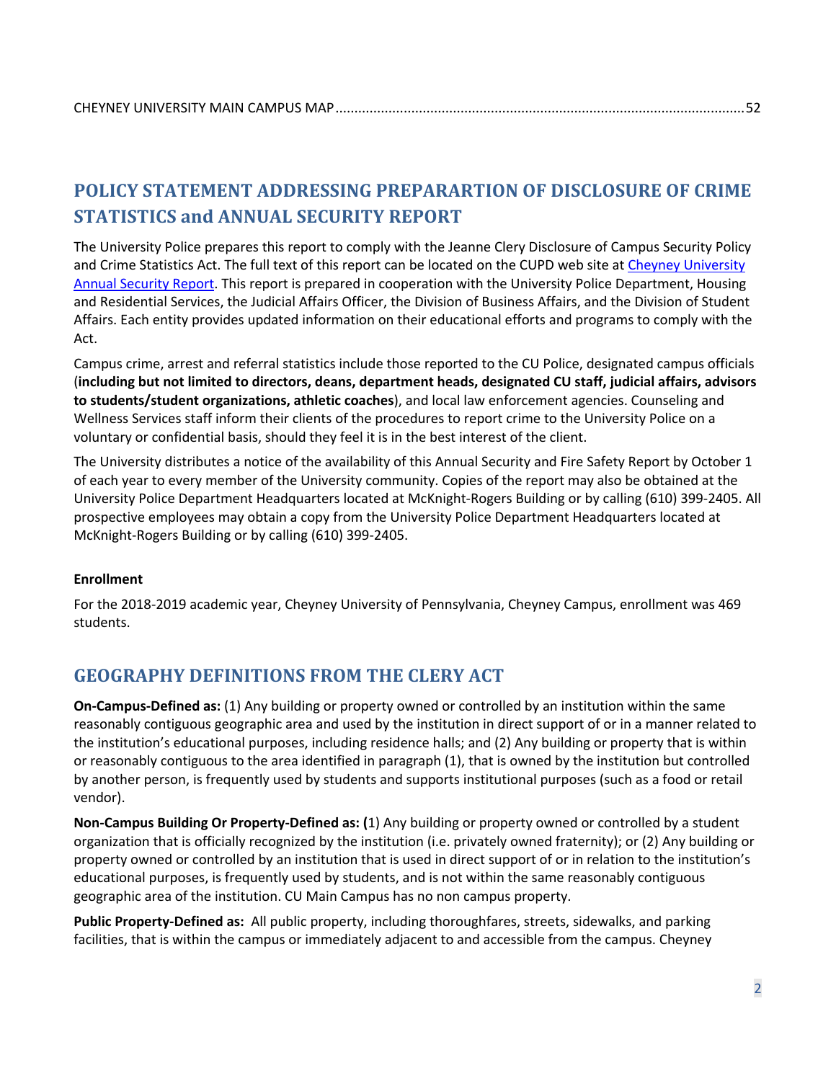## **POLICY STATEMENT ADDRESSING PREPARARTION OF DISCLOSURE OF CRIME STATISTICS and ANNUAL SECURITY REPORT**

The University Police prepares this report to comply with the Jeanne Clery Disclosure of Campus Security Policy and Crime Statistics Act. The full text of this report can be located on the CUPD web site at Cheyney University Annual Security Report. This report is prepared in cooperation with the University Police Department, Housing and Residential Services, the Judicial Affairs Officer, the Division of Business Affairs, and the Division of Student Affairs. Each entity provides updated information on their educational efforts and programs to comply with the Act.

Campus crime, arrest and referral statistics include those reported to the CU Police, designated campus officials (**including but not limited to directors, deans, department heads, designated CU staff, judicial affairs, advisors to students/student organizations, athletic coaches**), and local law enforcement agencies. Counseling and Wellness Services staff inform their clients of the procedures to report crime to the University Police on a voluntary or confidential basis, should they feel it is in the best interest of the client.

The University distributes a notice of the availability of this Annual Security and Fire Safety Report by October 1 of each year to every member of the University community. Copies of the report may also be obtained at the University Police Department Headquarters located at McKnight-Rogers Building or by calling (610) 399-2405. All prospective employees may obtain a copy from the University Police Department Headquarters located at McKnight-Rogers Building or by calling (610) 399-2405.

#### **Enrollment**

For the 2018-2019 academic year, Cheyney University of Pennsylvania, Cheyney Campus, enrollment was 469 students.

## **GEOGRAPHY DEFINITIONS FROM THE CLERY ACT**

**On-Campus-Defined as:** (1) Any building or property owned or controlled by an institution within the same reasonably contiguous geographic area and used by the institution in direct support of or in a manner related to the institution's educational purposes, including residence halls; and (2) Any building or property that is within or reasonably contiguous to the area identified in paragraph (1), that is owned by the institution but controlled by another person, is frequently used by students and supports institutional purposes (such as a food or retail vendor).

**Non-Campus Building Or Property-Defined as: (**1) Any building or property owned or controlled by a student organization that is officially recognized by the institution (i.e. privately owned fraternity); or (2) Any building or property owned or controlled by an institution that is used in direct support of or in relation to the institution's educational purposes, is frequently used by students, and is not within the same reasonably contiguous geographic area of the institution. CU Main Campus has no non campus property.

**Public Property-Defined as:** All public property, including thoroughfares, streets, sidewalks, and parking facilities, that is within the campus or immediately adjacent to and accessible from the campus. Cheyney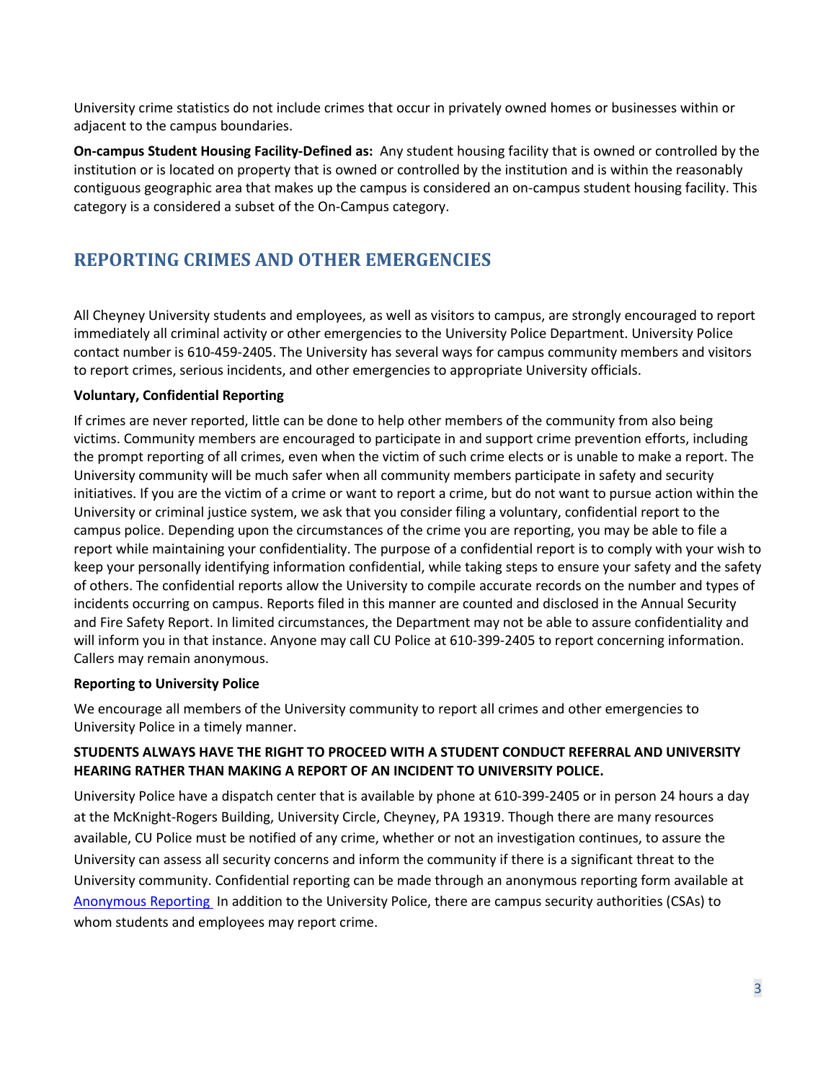University crime statistics do not include crimes that occur in privately owned homes or businesses within or adjacent to the campus boundaries.

**On-campus Student Housing Facility-Defined as:** Any student housing facility that is owned or controlled by the institution or is located on property that is owned or controlled by the institution and is within the reasonably contiguous geographic area that makes up the campus is considered an on-campus student housing facility. This category is a considered a subset of the On-Campus category.

## **REPORTING CRIMES AND OTHER EMERGENCIES**

All Cheyney University students and employees, as well as visitors to campus, are strongly encouraged to report immediately all criminal activity or other emergencies to the University Police Department. University Police contact number is 610-459-2405. The University has several ways for campus community members and visitors to report crimes, serious incidents, and other emergencies to appropriate University officials.

#### **Voluntary, Confidential Reporting**

If crimes are never reported, little can be done to help other members of the community from also being victims. Community members are encouraged to participate in and support crime prevention efforts, including the prompt reporting of all crimes, even when the victim of such crime elects or is unable to make a report. The University community will be much safer when all community members participate in safety and security initiatives. If you are the victim of a crime or want to report a crime, but do not want to pursue action within the University or criminal justice system, we ask that you consider filing a voluntary, confidential report to the campus police. Depending upon the circumstances of the crime you are reporting, you may be able to file a report while maintaining your confidentiality. The purpose of a confidential report is to comply with your wish to keep your personally identifying information confidential, while taking steps to ensure your safety and the safety of others. The confidential reports allow the University to compile accurate records on the number and types of incidents occurring on campus. Reports filed in this manner are counted and disclosed in the Annual Security and Fire Safety Report. In limited circumstances, the Department may not be able to assure confidentiality and will inform you in that instance. Anyone may call CU Police at 610-399-2405 to report concerning information. Callers may remain anonymous.

#### **Reporting to University Police**

We encourage all members of the University community to report all crimes and other emergencies to University Police in a timely manner.

#### **STUDENTS ALWAYS HAVE THE RIGHT TO PROCEED WITH A STUDENT CONDUCT REFERRAL AND UNIVERSITY HEARING RATHER THAN MAKING A REPORT OF AN INCIDENT TO UNIVERSITY POLICE.**

University Police have a dispatch center that is available by phone at 610-399-2405 or in person 24 hours a day at the McKnight-Rogers Building, University Circle, Cheyney, PA 19319. Though there are many resources available, CU Police must be notified of any crime, whether or not an investigation continues, to assure the University can assess all security concerns and inform the community if there is a significant threat to the University community. Confidential reporting can be made through an anonymous reporting form available at Anonymous Reporting In addition to the University Police, there are campus security authorities (CSAs) to whom students and employees may report crime.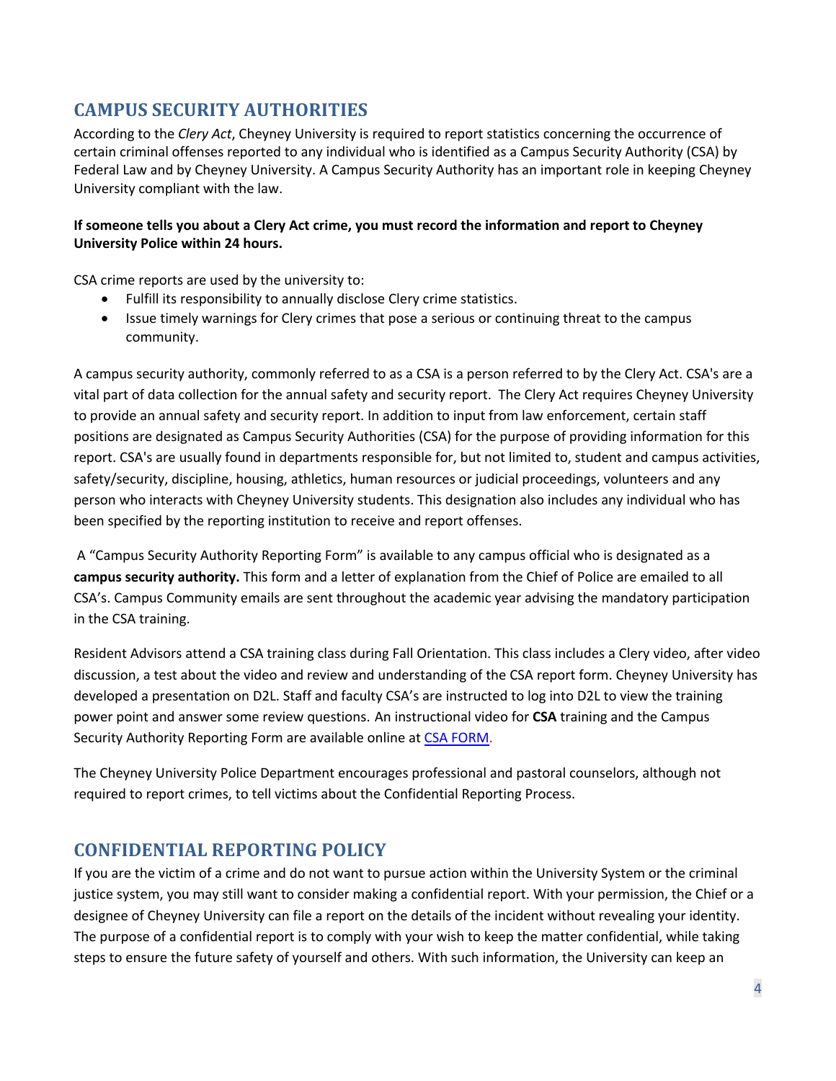## **CAMPUS SECURITY AUTHORITIES**

According to the *Clery Act*, Cheyney University is required to report statistics concerning the occurrence of certain criminal offenses reported to any individual who is identified as a Campus Security Authority (CSA) by Federal Law and by Cheyney University. A Campus Security Authority has an important role in keeping Cheyney University compliant with the law.

#### **If someone tells you about a Clery Act crime, you must record the information and report to Cheyney University Police within 24 hours.**

CSA crime reports are used by the university to:

- Fulfill its responsibility to annually disclose Clery crime statistics.
- Issue timely warnings for Clery crimes that pose a serious or continuing threat to the campus community.

A campus security authority, commonly referred to as a CSA is a person referred to by the Clery Act. CSA's are a vital part of data collection for the annual safety and security report. The Clery Act requires Cheyney University to provide an annual safety and security report. In addition to input from law enforcement, certain staff positions are designated as Campus Security Authorities (CSA) for the purpose of providing information for this report. CSA's are usually found in departments responsible for, but not limited to, student and campus activities, safety/security, discipline, housing, athletics, human resources or judicial proceedings, volunteers and any person who interacts with Cheyney University students. This designation also includes any individual who has been specified by the reporting institution to receive and report offenses.

A "Campus Security Authority Reporting Form" is available to any campus official who is designated as a **campus security authority.** This form and a letter of explanation from the Chief of Police are emailed to all CSA's. Campus Community emails are sent throughout the academic year advising the mandatory participation in the CSA training.

Resident Advisors attend a CSA training class during Fall Orientation. This class includes a Clery video, after video discussion, a test about the video and review and understanding of the CSA report form. Cheyney University has developed a presentation on D2L. Staff and faculty CSA's are instructed to log into D2L to view the training power point and answer some review questions. An instructional video for **CSA** training and the Campus Security Authority Reporting Form are available online at CSA FORM.

The Cheyney University Police Department encourages professional and pastoral counselors, although not required to report crimes, to tell victims about the Confidential Reporting Process.

## **CONFIDENTIAL REPORTING POLICY**

If you are the victim of a crime and do not want to pursue action within the University System or the criminal justice system, you may still want to consider making a confidential report. With your permission, the Chief or a designee of Cheyney University can file a report on the details of the incident without revealing your identity. The purpose of a confidential report is to comply with your wish to keep the matter confidential, while taking steps to ensure the future safety of yourself and others. With such information, the University can keep an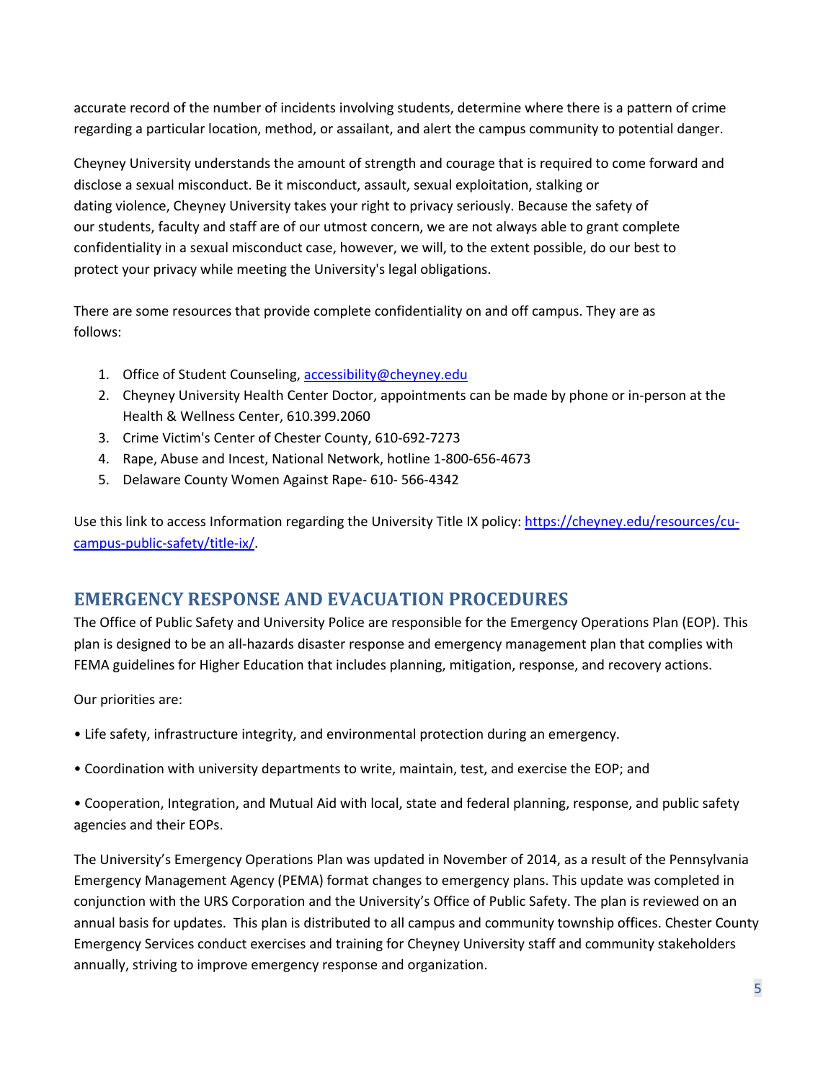accurate record of the number of incidents involving students, determine where there is a pattern of crime regarding a particular location, method, or assailant, and alert the campus community to potential danger.

Cheyney University understands the amount of strength and courage that is required to come forward and disclose a sexual misconduct. Be it misconduct, assault, sexual exploitation, stalking or dating violence, Cheyney University takes your right to privacy seriously. Because the safety of our students, faculty and staff are of our utmost concern, we are not always able to grant complete confidentiality in a sexual misconduct case, however, we will, to the extent possible, do our best to protect your privacy while meeting the University's legal obligations.

There are some resources that provide complete confidentiality on and off campus. They are as follows:

- 1. Office of Student Counseling, accessibility@cheyney.edu
- 2. Cheyney University Health Center Doctor, appointments can be made by phone or in-person at the Health & Wellness Center, 610.399.2060
- 3. Crime Victim's Center of Chester County, 610-692-7273
- 4. Rape, Abuse and Incest, National Network, hotline 1-800-656-4673
- 5. Delaware County Women Against Rape- 610- 566-4342

Use this link to access Information regarding the University Title IX policy: https://cheyney.edu/resources/cucampus-public-safety/title-ix/.

## **EMERGENCY RESPONSE AND EVACUATION PROCEDURES**

The Office of Public Safety and University Police are responsible for the Emergency Operations Plan (EOP). This plan is designed to be an all-hazards disaster response and emergency management plan that complies with FEMA guidelines for Higher Education that includes planning, mitigation, response, and recovery actions.

Our priorities are:

- Life safety, infrastructure integrity, and environmental protection during an emergency.
- Coordination with university departments to write, maintain, test, and exercise the EOP; and

• Cooperation, Integration, and Mutual Aid with local, state and federal planning, response, and public safety agencies and their EOPs.

The University's Emergency Operations Plan was updated in November of 2014, as a result of the Pennsylvania Emergency Management Agency (PEMA) format changes to emergency plans. This update was completed in conjunction with the URS Corporation and the University's Office of Public Safety. The plan is reviewed on an annual basis for updates. This plan is distributed to all campus and community township offices. Chester County Emergency Services conduct exercises and training for Cheyney University staff and community stakeholders annually, striving to improve emergency response and organization.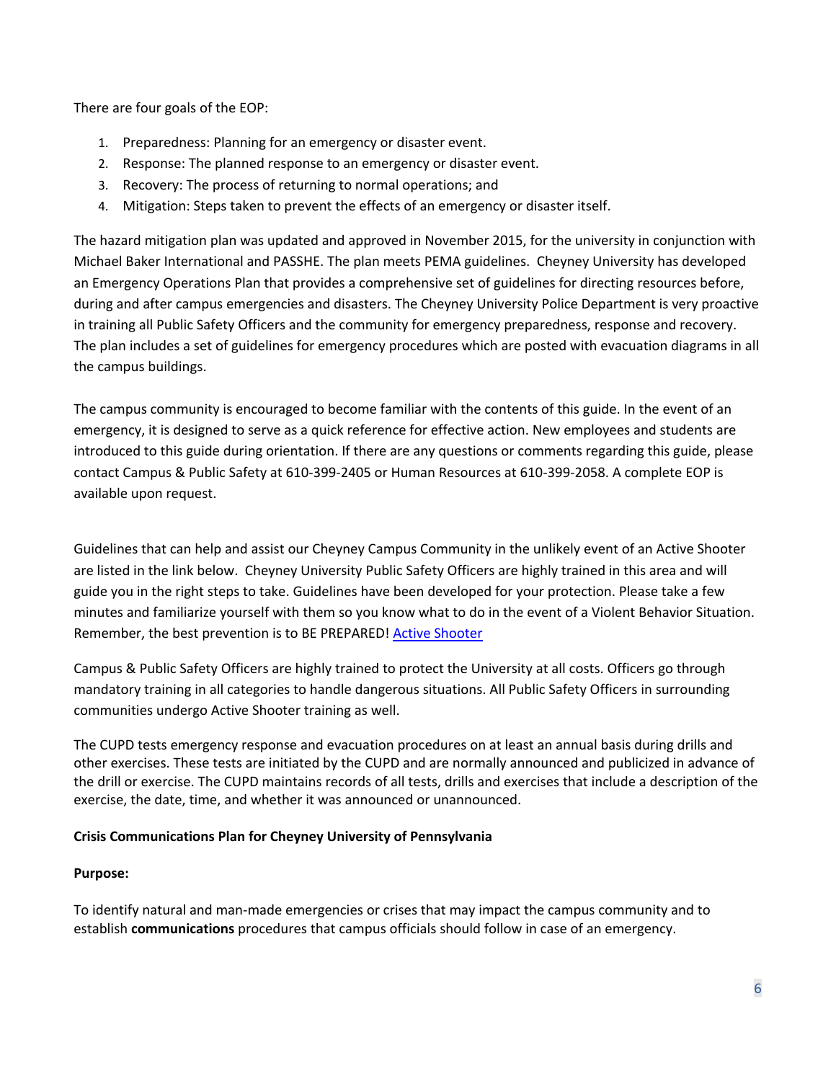There are four goals of the EOP:

- 1. Preparedness: Planning for an emergency or disaster event.
- 2. Response: The planned response to an emergency or disaster event.
- 3. Recovery: The process of returning to normal operations; and
- 4. Mitigation: Steps taken to prevent the effects of an emergency or disaster itself.

The hazard mitigation plan was updated and approved in November 2015, for the university in conjunction with Michael Baker International and PASSHE. The plan meets PEMA guidelines. Cheyney University has developed an Emergency Operations Plan that provides a comprehensive set of guidelines for directing resources before, during and after campus emergencies and disasters. The Cheyney University Police Department is very proactive in training all Public Safety Officers and the community for emergency preparedness, response and recovery. The plan includes a set of guidelines for emergency procedures which are posted with evacuation diagrams in all the campus buildings.

The campus community is encouraged to become familiar with the contents of this guide. In the event of an emergency, it is designed to serve as a quick reference for effective action. New employees and students are introduced to this guide during orientation. If there are any questions or comments regarding this guide, please contact Campus & Public Safety at 610-399-2405 or Human Resources at 610-399-2058. A complete EOP is available upon request.

Guidelines that can help and assist our Cheyney Campus Community in the unlikely event of an Active Shooter are listed in the link below. Cheyney University Public Safety Officers are highly trained in this area and will guide you in the right steps to take. Guidelines have been developed for your protection. Please take a few minutes and familiarize yourself with them so you know what to do in the event of a Violent Behavior Situation. Remember, the best prevention is to BE PREPARED! Active Shooter

Campus & Public Safety Officers are highly trained to protect the University at all costs. Officers go through mandatory training in all categories to handle dangerous situations. All Public Safety Officers in surrounding communities undergo Active Shooter training as well.

The CUPD tests emergency response and evacuation procedures on at least an annual basis during drills and other exercises. These tests are initiated by the CUPD and are normally announced and publicized in advance of the drill or exercise. The CUPD maintains records of all tests, drills and exercises that include a description of the exercise, the date, time, and whether it was announced or unannounced.

#### **Crisis Communications Plan for Cheyney University of Pennsylvania**

#### **Purpose:**

To identify natural and man-made emergencies or crises that may impact the campus community and to establish **communications** procedures that campus officials should follow in case of an emergency.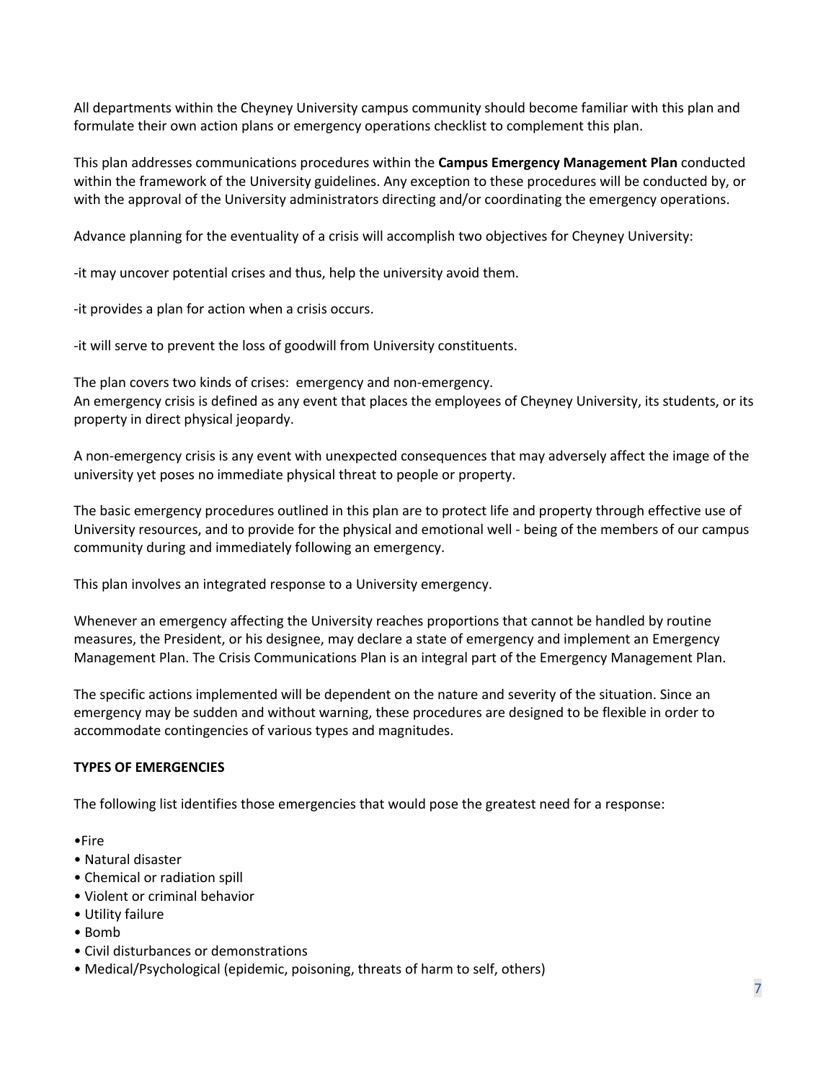All departments within the Cheyney University campus community should become familiar with this plan and formulate their own action plans or emergency operations checklist to complement this plan.

This plan addresses communications procedures within the **Campus Emergency Management Plan** conducted within the framework of the University guidelines. Any exception to these procedures will be conducted by, or with the approval of the University administrators directing and/or coordinating the emergency operations.

Advance planning for the eventuality of a crisis will accomplish two objectives for Cheyney University:

-it may uncover potential crises and thus, help the university avoid them.

-it provides a plan for action when a crisis occurs.

-it will serve to prevent the loss of goodwill from University constituents.

The plan covers two kinds of crises: emergency and non-emergency. An emergency crisis is defined as any event that places the employees of Cheyney University, its students, or its property in direct physical jeopardy.

A non-emergency crisis is any event with unexpected consequences that may adversely affect the image of the university yet poses no immediate physical threat to people or property.

The basic emergency procedures outlined in this plan are to protect life and property through effective use of University resources, and to provide for the physical and emotional well - being of the members of our campus community during and immediately following an emergency.

This plan involves an integrated response to a University emergency.

Whenever an emergency affecting the University reaches proportions that cannot be handled by routine measures, the President, or his designee, may declare a state of emergency and implement an Emergency Management Plan. The Crisis Communications Plan is an integral part of the Emergency Management Plan.

The specific actions implemented will be dependent on the nature and severity of the situation. Since an emergency may be sudden and without warning, these procedures are designed to be flexible in order to accommodate contingencies of various types and magnitudes.

#### **TYPES OF EMERGENCIES**

The following list identifies those emergencies that would pose the greatest need for a response:

- •Fire
- Natural disaster
- Chemical or radiation spill
- Violent or criminal behavior
- Utility failure
- Bomb
- Civil disturbances or demonstrations
- Medical/Psychological (epidemic, poisoning, threats of harm to self, others)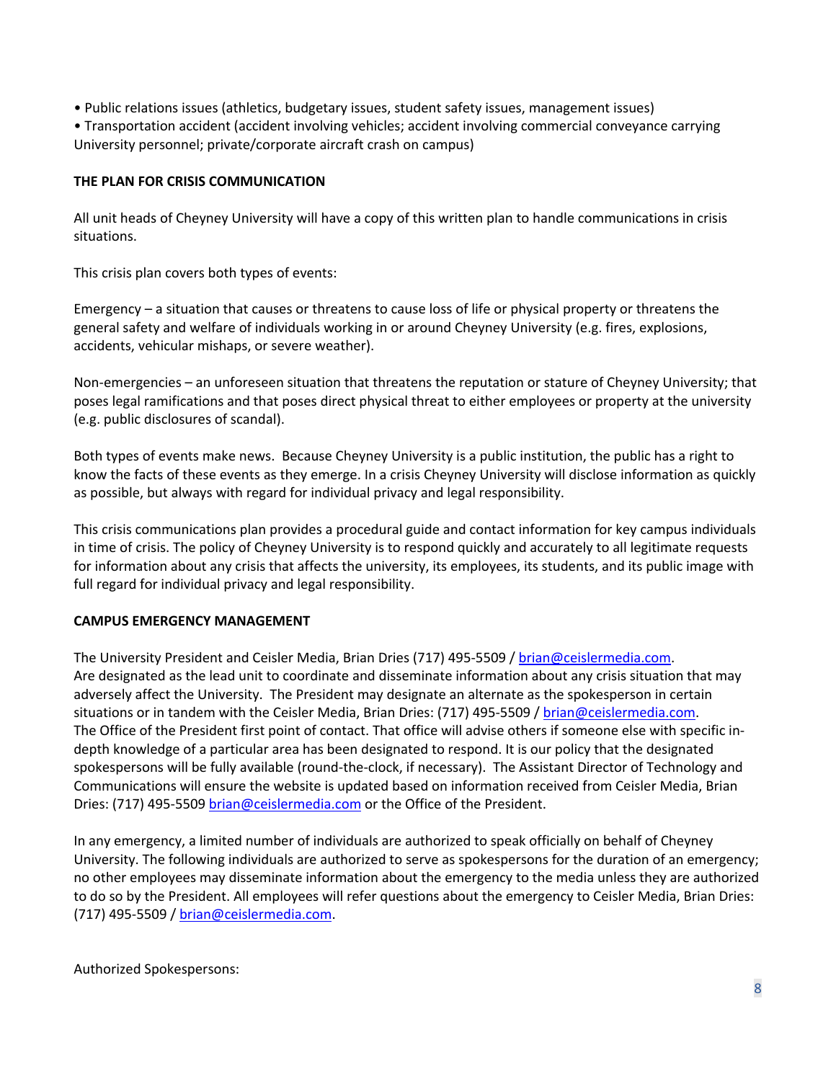- Public relations issues (athletics, budgetary issues, student safety issues, management issues)
- Transportation accident (accident involving vehicles; accident involving commercial conveyance carrying University personnel; private/corporate aircraft crash on campus)

#### **THE PLAN FOR CRISIS COMMUNICATION**

All unit heads of Cheyney University will have a copy of this written plan to handle communications in crisis situations.

This crisis plan covers both types of events:

Emergency – a situation that causes or threatens to cause loss of life or physical property or threatens the general safety and welfare of individuals working in or around Cheyney University (e.g. fires, explosions, accidents, vehicular mishaps, or severe weather).

Non-emergencies – an unforeseen situation that threatens the reputation or stature of Cheyney University; that poses legal ramifications and that poses direct physical threat to either employees or property at the university (e.g. public disclosures of scandal).

Both types of events make news. Because Cheyney University is a public institution, the public has a right to know the facts of these events as they emerge. In a crisis Cheyney University will disclose information as quickly as possible, but always with regard for individual privacy and legal responsibility.

This crisis communications plan provides a procedural guide and contact information for key campus individuals in time of crisis. The policy of Cheyney University is to respond quickly and accurately to all legitimate requests for information about any crisis that affects the university, its employees, its students, and its public image with full regard for individual privacy and legal responsibility.

#### **CAMPUS EMERGENCY MANAGEMENT**

The University President and Ceisler Media, Brian Dries (717) 495-5509 / brian@ceislermedia.com. Are designated as the lead unit to coordinate and disseminate information about any crisis situation that may adversely affect the University. The President may designate an alternate as the spokesperson in certain situations or in tandem with the Ceisler Media, Brian Dries: (717) 495-5509 / brian@ceislermedia.com. The Office of the President first point of contact. That office will advise others if someone else with specific indepth knowledge of a particular area has been designated to respond. It is our policy that the designated spokespersons will be fully available (round-the-clock, if necessary). The Assistant Director of Technology and Communications will ensure the website is updated based on information received from Ceisler Media, Brian Dries: (717) 495-5509 brian@ceislermedia.com or the Office of the President.

In any emergency, a limited number of individuals are authorized to speak officially on behalf of Cheyney University. The following individuals are authorized to serve as spokespersons for the duration of an emergency; no other employees may disseminate information about the emergency to the media unless they are authorized to do so by the President. All employees will refer questions about the emergency to Ceisler Media, Brian Dries: (717) 495-5509 / brian@ceislermedia.com.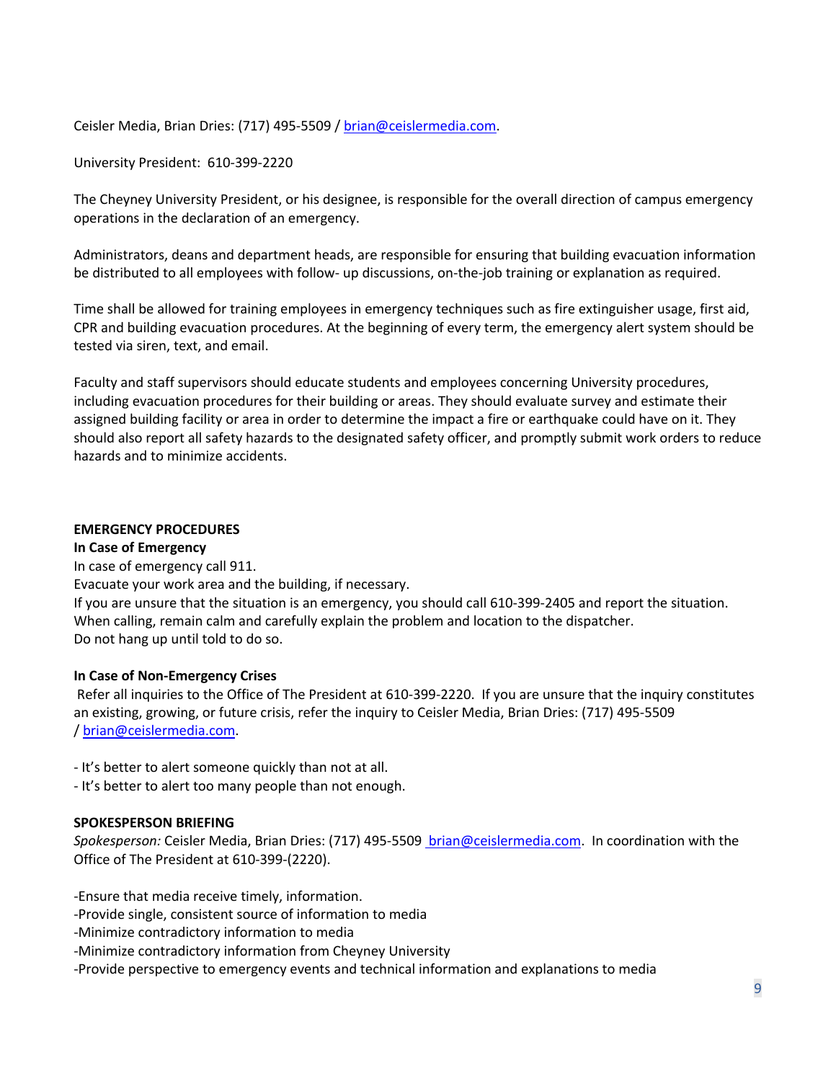Ceisler Media, Brian Dries: (717) 495-5509 / brian@ceislermedia.com.

University President: 610-399-2220

The Cheyney University President, or his designee, is responsible for the overall direction of campus emergency operations in the declaration of an emergency.

Administrators, deans and department heads, are responsible for ensuring that building evacuation information be distributed to all employees with follow- up discussions, on-the-job training or explanation as required.

Time shall be allowed for training employees in emergency techniques such as fire extinguisher usage, first aid, CPR and building evacuation procedures. At the beginning of every term, the emergency alert system should be tested via siren, text, and email.

Faculty and staff supervisors should educate students and employees concerning University procedures, including evacuation procedures for their building or areas. They should evaluate survey and estimate their assigned building facility or area in order to determine the impact a fire or earthquake could have on it. They should also report all safety hazards to the designated safety officer, and promptly submit work orders to reduce hazards and to minimize accidents.

#### **EMERGENCY PROCEDURES**

#### **In Case of Emergency**

In case of emergency call 911.

Evacuate your work area and the building, if necessary.

If you are unsure that the situation is an emergency, you should call 610-399-2405 and report the situation. When calling, remain calm and carefully explain the problem and location to the dispatcher. Do not hang up until told to do so.

#### **In Case of Non-Emergency Crises**

Refer all inquiries to the Office of The President at 610-399-2220. If you are unsure that the inquiry constitutes an existing, growing, or future crisis, refer the inquiry to Ceisler Media, Brian Dries: (717) 495-5509 / brian@ceislermedia.com.

- It's better to alert someone quickly than not at all.

- It's better to alert too many people than not enough.

#### **SPOKESPERSON BRIEFING**

*Spokesperson:* Ceisler Media, Brian Dries: (717) 495-5509 brian@ceislermedia.com. In coordination with the Office of The President at 610-399-(2220).

-Ensure that media receive timely, information.

-Provide single, consistent source of information to media

-Minimize contradictory information to media

-Minimize contradictory information from Cheyney University

-Provide perspective to emergency events and technical information and explanations to media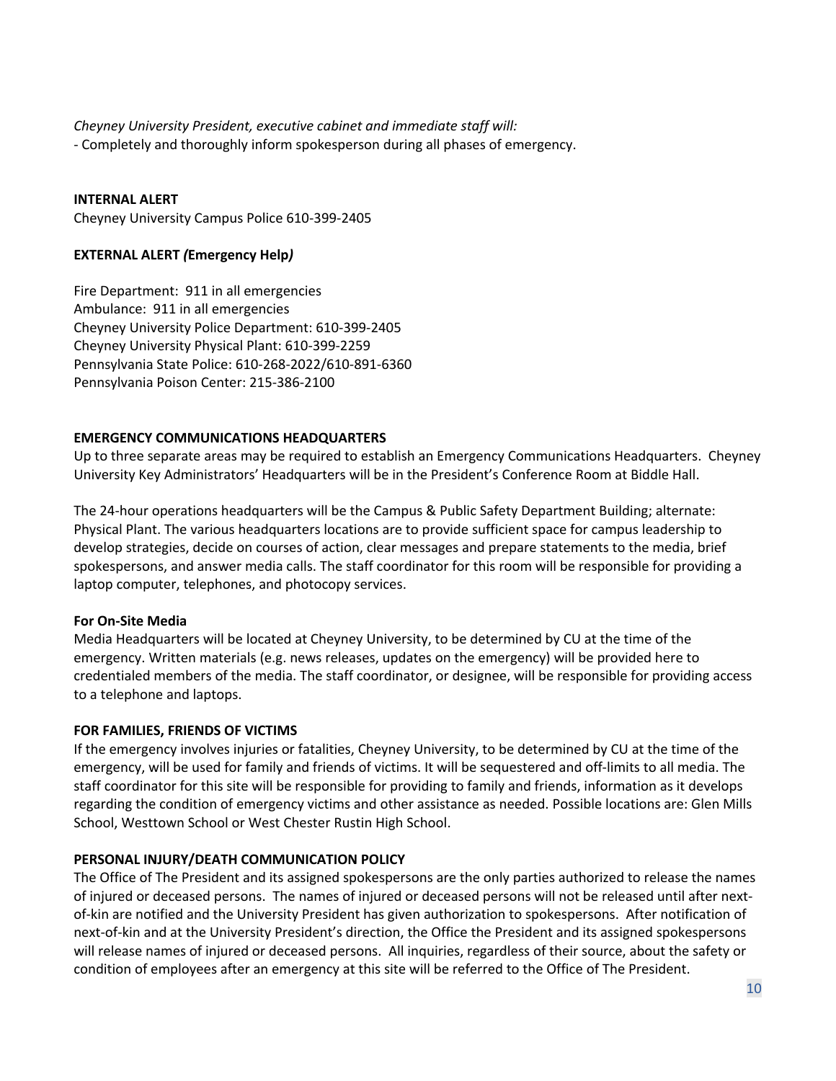*Cheyney University President, executive cabinet and immediate staff will:* - Completely and thoroughly inform spokesperson during all phases of emergency.

#### **INTERNAL ALERT**

Cheyney University Campus Police 610-399-2405

#### **EXTERNAL ALERT** *(***Emergency Help***)*

Fire Department: 911 in all emergencies Ambulance: 911 in all emergencies Cheyney University Police Department: 610-399-2405 Cheyney University Physical Plant: 610-399-2259 Pennsylvania State Police: 610-268-2022/610-891-6360 Pennsylvania Poison Center: 215-386-2100

#### **EMERGENCY COMMUNICATIONS HEADQUARTERS**

Up to three separate areas may be required to establish an Emergency Communications Headquarters. Cheyney University Key Administrators' Headquarters will be in the President's Conference Room at Biddle Hall.

The 24-hour operations headquarters will be the Campus & Public Safety Department Building; alternate: Physical Plant. The various headquarters locations are to provide sufficient space for campus leadership to develop strategies, decide on courses of action, clear messages and prepare statements to the media, brief spokespersons, and answer media calls. The staff coordinator for this room will be responsible for providing a laptop computer, telephones, and photocopy services.

#### **For On-Site Media**

Media Headquarters will be located at Cheyney University, to be determined by CU at the time of the emergency. Written materials (e.g. news releases, updates on the emergency) will be provided here to credentialed members of the media. The staff coordinator, or designee, will be responsible for providing access to a telephone and laptops.

#### **FOR FAMILIES, FRIENDS OF VICTIMS**

If the emergency involves injuries or fatalities, Cheyney University, to be determined by CU at the time of the emergency, will be used for family and friends of victims. It will be sequestered and off-limits to all media. The staff coordinator for this site will be responsible for providing to family and friends, information as it develops regarding the condition of emergency victims and other assistance as needed. Possible locations are: Glen Mills School, Westtown School or West Chester Rustin High School.

#### **PERSONAL INJURY/DEATH COMMUNICATION POLICY**

The Office of The President and its assigned spokespersons are the only parties authorized to release the names of injured or deceased persons. The names of injured or deceased persons will not be released until after nextof-kin are notified and the University President has given authorization to spokespersons. After notification of next-of-kin and at the University President's direction, the Office the President and its assigned spokespersons will release names of injured or deceased persons. All inquiries, regardless of their source, about the safety or condition of employees after an emergency at this site will be referred to the Office of The President.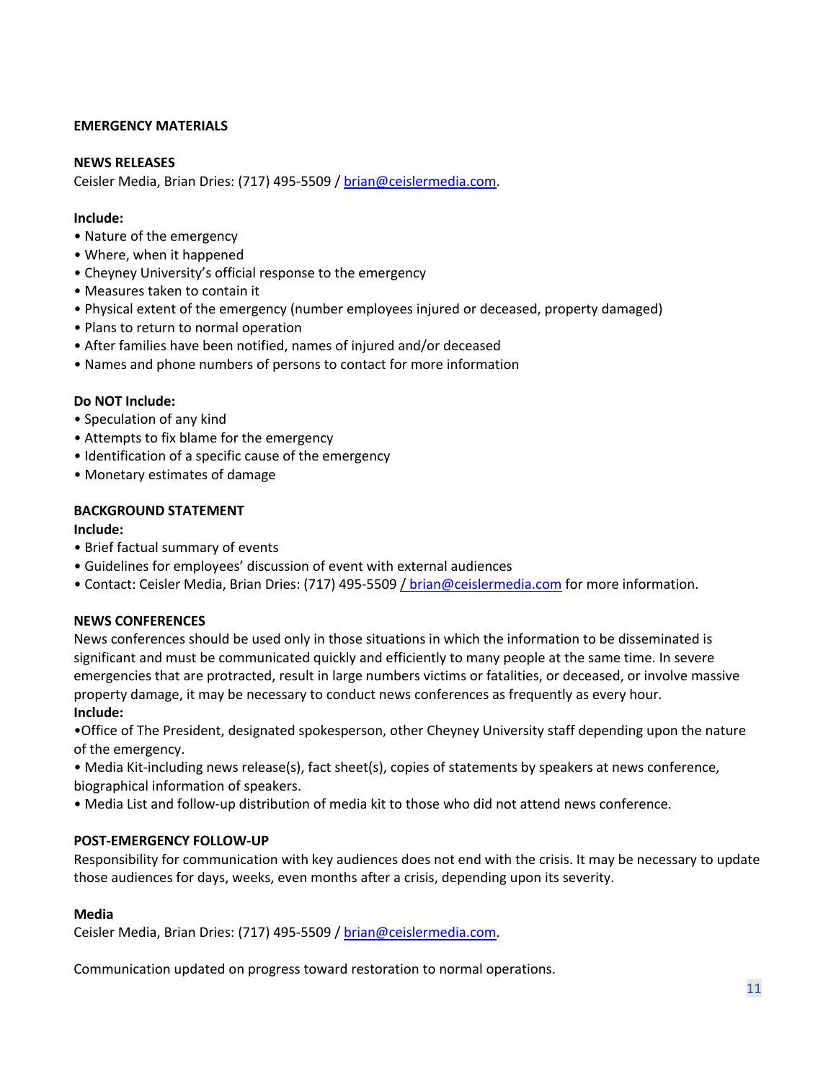#### **EMERGENCY MATERIALS**

#### **NEWS RELEASES**

Ceisler Media, Brian Dries: (717) 495-5509 / brian@ceislermedia.com.

#### **Include:**

- Nature of the emergency
- Where, when it happened
- Cheyney University's official response to the emergency
- Measures taken to contain it
- Physical extent of the emergency (number employees injured or deceased, property damaged)
- Plans to return to normal operation
- After families have been notified, names of injured and/or deceased
- Names and phone numbers of persons to contact for more information

#### **Do NOT Include:**

- Speculation of any kind
- Attempts to fix blame for the emergency
- Identification of a specific cause of the emergency
- Monetary estimates of damage

#### **BACKGROUND STATEMENT**

#### **Include:**

- Brief factual summary of events
- Guidelines for employees' discussion of event with external audiences
- Contact: Ceisler Media, Brian Dries: (717) 495-5509 / brian@ceislermedia.com for more information.

#### **NEWS CONFERENCES**

News conferences should be used only in those situations in which the information to be disseminated is significant and must be communicated quickly and efficiently to many people at the same time. In severe emergencies that are protracted, result in large numbers victims or fatalities, or deceased, or involve massive property damage, it may be necessary to conduct news conferences as frequently as every hour. **Include:**

•Office of The President, designated spokesperson, other Cheyney University staff depending upon the nature of the emergency.

• Media Kit-including news release(s), fact sheet(s), copies of statements by speakers at news conference, biographical information of speakers.

• Media List and follow-up distribution of media kit to those who did not attend news conference.

#### **POST-EMERGENCY FOLLOW-UP**

Responsibility for communication with key audiences does not end with the crisis. It may be necessary to update those audiences for days, weeks, even months after a crisis, depending upon its severity.

#### **Media**

Ceisler Media, Brian Dries: (717) 495-5509 / brian@ceislermedia.com.

Communication updated on progress toward restoration to normal operations.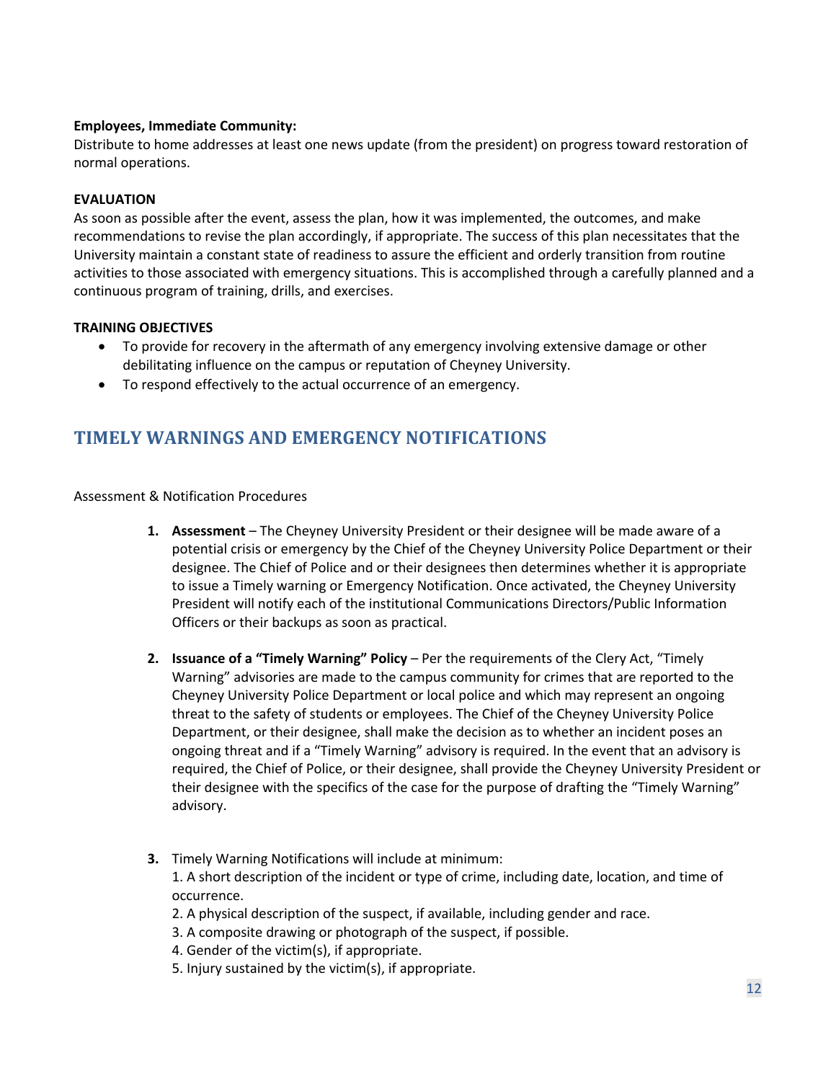#### **Employees, Immediate Community:**

Distribute to home addresses at least one news update (from the president) on progress toward restoration of normal operations.

#### **EVALUATION**

As soon as possible after the event, assess the plan, how it was implemented, the outcomes, and make recommendations to revise the plan accordingly, if appropriate. The success of this plan necessitates that the University maintain a constant state of readiness to assure the efficient and orderly transition from routine activities to those associated with emergency situations. This is accomplished through a carefully planned and a continuous program of training, drills, and exercises.

#### **TRAINING OBJECTIVES**

- To provide for recovery in the aftermath of any emergency involving extensive damage or other debilitating influence on the campus or reputation of Cheyney University.
- To respond effectively to the actual occurrence of an emergency.

## **TIMELY WARNINGS AND EMERGENCY NOTIFICATIONS**

Assessment & Notification Procedures

- **1. Assessment**  The Cheyney University President or their designee will be made aware of a potential crisis or emergency by the Chief of the Cheyney University Police Department or their designee. The Chief of Police and or their designees then determines whether it is appropriate to issue a Timely warning or Emergency Notification. Once activated, the Cheyney University President will notify each of the institutional Communications Directors/Public Information Officers or their backups as soon as practical.
- **2. Issuance of a "Timely Warning" Policy** Per the requirements of the Clery Act, "Timely Warning" advisories are made to the campus community for crimes that are reported to the Cheyney University Police Department or local police and which may represent an ongoing threat to the safety of students or employees. The Chief of the Cheyney University Police Department, or their designee, shall make the decision as to whether an incident poses an ongoing threat and if a "Timely Warning" advisory is required. In the event that an advisory is required, the Chief of Police, or their designee, shall provide the Cheyney University President or their designee with the specifics of the case for the purpose of drafting the "Timely Warning" advisory.
- **3.** Timely Warning Notifications will include at minimum: 1. A short description of the incident or type of crime, including date, location, and time of occurrence.
	- 2. A physical description of the suspect, if available, including gender and race.
	- 3. A composite drawing or photograph of the suspect, if possible.
	- 4. Gender of the victim(s), if appropriate.
	- 5. Injury sustained by the victim(s), if appropriate.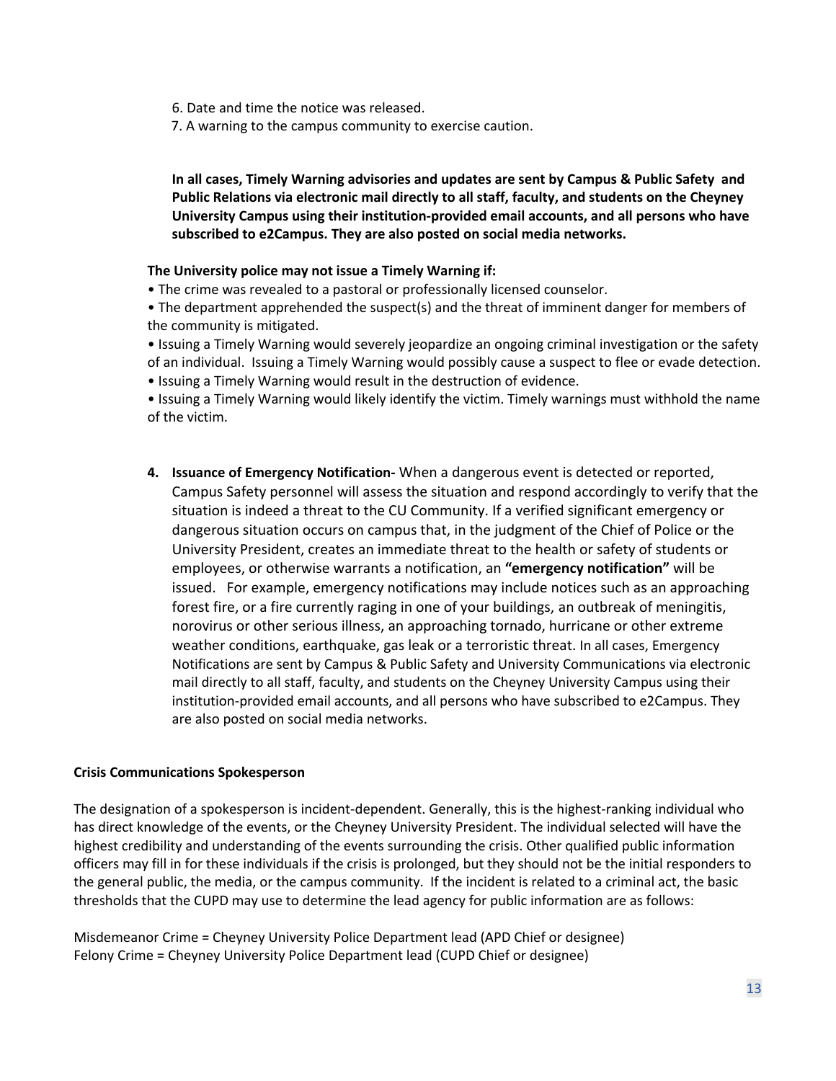6. Date and time the notice was released.

7. A warning to the campus community to exercise caution.

**In all cases, Timely Warning advisories and updates are sent by Campus & Public Safety and Public Relations via electronic mail directly to all staff, faculty, and students on the Cheyney University Campus using their institution-provided email accounts, and all persons who have subscribed to e2Campus. They are also posted on social media networks.**

#### **The University police may not issue a Timely Warning if:**

- The crime was revealed to a pastoral or professionally licensed counselor.
- The department apprehended the suspect(s) and the threat of imminent danger for members of the community is mitigated.
- Issuing a Timely Warning would severely jeopardize an ongoing criminal investigation or the safety of an individual. Issuing a Timely Warning would possibly cause a suspect to flee or evade detection.
- Issuing a Timely Warning would result in the destruction of evidence.
- Issuing a Timely Warning would likely identify the victim. Timely warnings must withhold the name of the victim.
- **4. Issuance of Emergency Notification-** When a dangerous event is detected or reported, Campus Safety personnel will assess the situation and respond accordingly to verify that the situation is indeed a threat to the CU Community. If a verified significant emergency or dangerous situation occurs on campus that, in the judgment of the Chief of Police or the University President, creates an immediate threat to the health or safety of students or employees, or otherwise warrants a notification, an **"emergency notification"** will be issued. For example, emergency notifications may include notices such as an approaching forest fire, or a fire currently raging in one of your buildings, an outbreak of meningitis, norovirus or other serious illness, an approaching tornado, hurricane or other extreme weather conditions, earthquake, gas leak or a terroristic threat. In all cases, Emergency Notifications are sent by Campus & Public Safety and University Communications via electronic mail directly to all staff, faculty, and students on the Cheyney University Campus using their institution-provided email accounts, and all persons who have subscribed to e2Campus. They are also posted on social media networks.

#### **Crisis Communications Spokesperson**

The designation of a spokesperson is incident-dependent. Generally, this is the highest-ranking individual who has direct knowledge of the events, or the Cheyney University President. The individual selected will have the highest credibility and understanding of the events surrounding the crisis. Other qualified public information officers may fill in for these individuals if the crisis is prolonged, but they should not be the initial responders to the general public, the media, or the campus community. If the incident is related to a criminal act, the basic thresholds that the CUPD may use to determine the lead agency for public information are as follows:

Misdemeanor Crime = Cheyney University Police Department lead (APD Chief or designee) Felony Crime = Cheyney University Police Department lead (CUPD Chief or designee)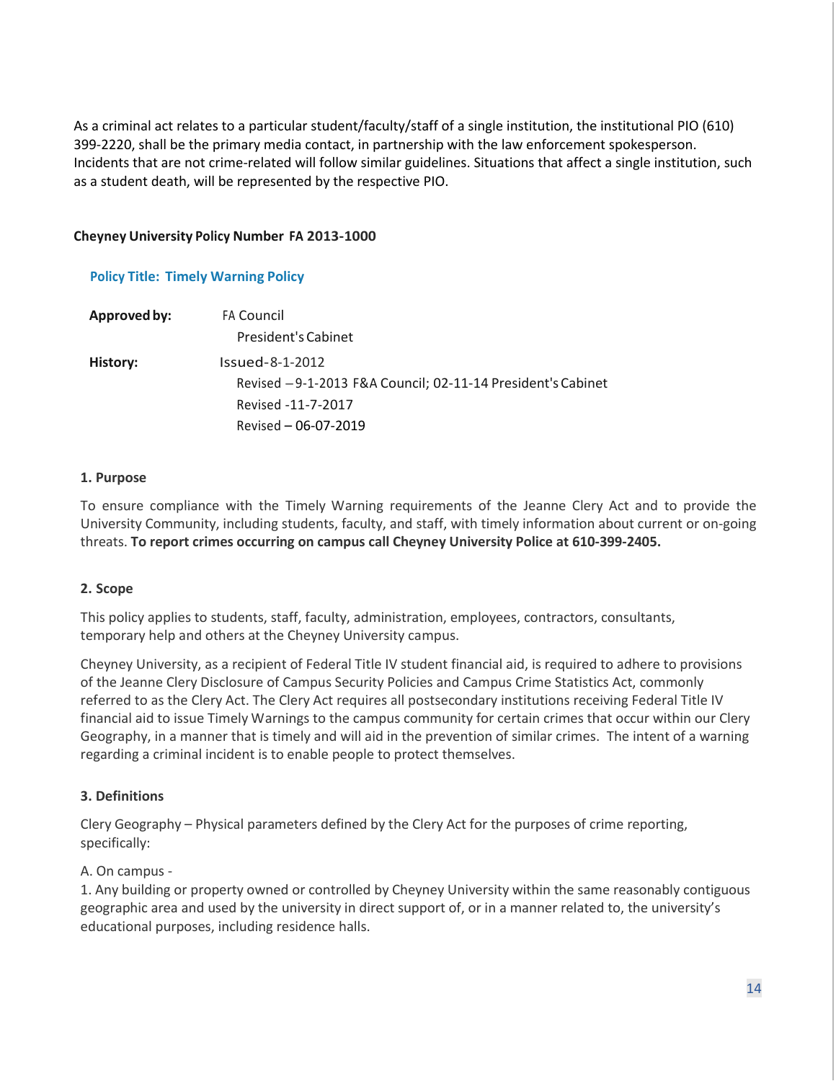As a criminal act relates to a particular student/faculty/staff of a single institution, the institutional PIO (610) 399-2220, shall be the primary media contact, in partnership with the law enforcement spokesperson. Incidents that are not crime-related will follow similar guidelines. Situations that affect a single institution, such as a student death, will be represented by the respective PIO.

#### **Cheyney University Policy Number FA 2013-1000**

#### **Policy Title: Timely Warning Policy**

| Approved by:    | FA Council                                                  |
|-----------------|-------------------------------------------------------------|
|                 | President's Cabinet                                         |
| <b>History:</b> | Issued-8-1-2012                                             |
|                 | Revised -9-1-2013 F&A Council; 02-11-14 President's Cabinet |
|                 | Revised -11-7-2017                                          |
|                 | Revised - 06-07-2019                                        |

#### **1. Purpose**

To ensure compliance with the Timely Warning requirements of the Jeanne Clery Act and to provide the University Community, including students, faculty, and staff, with timely information about current or on-going threats. **To report crimes occurring on campus call Cheyney University Police at 610-399-2405.**

#### **2. Scope**

This policy applies to students, staff, faculty, administration, employees, contractors, consultants, temporary help and others at the Cheyney University campus.

Cheyney University, as a recipient of Federal Title IV student financial aid, is required to adhere to provisions of the Jeanne Clery Disclosure of Campus Security Policies and Campus Crime Statistics Act, commonly referred to as the Clery Act. The Clery Act requires all postsecondary institutions receiving Federal Title IV financial aid to issue Timely Warnings to the campus community for certain crimes that occur within our Clery Geography, in a manner that is timely and will aid in the prevention of similar crimes. The intent of a warning regarding a criminal incident is to enable people to protect themselves.

#### **3. Definitions**

Clery Geography – Physical parameters defined by the Clery Act for the purposes of crime reporting, specifically:

#### A. On campus -

1. Any building or property owned or controlled by Cheyney University within the same reasonably contiguous geographic area and used by the university in direct support of, or in a manner related to, the university's educational purposes, including residence halls.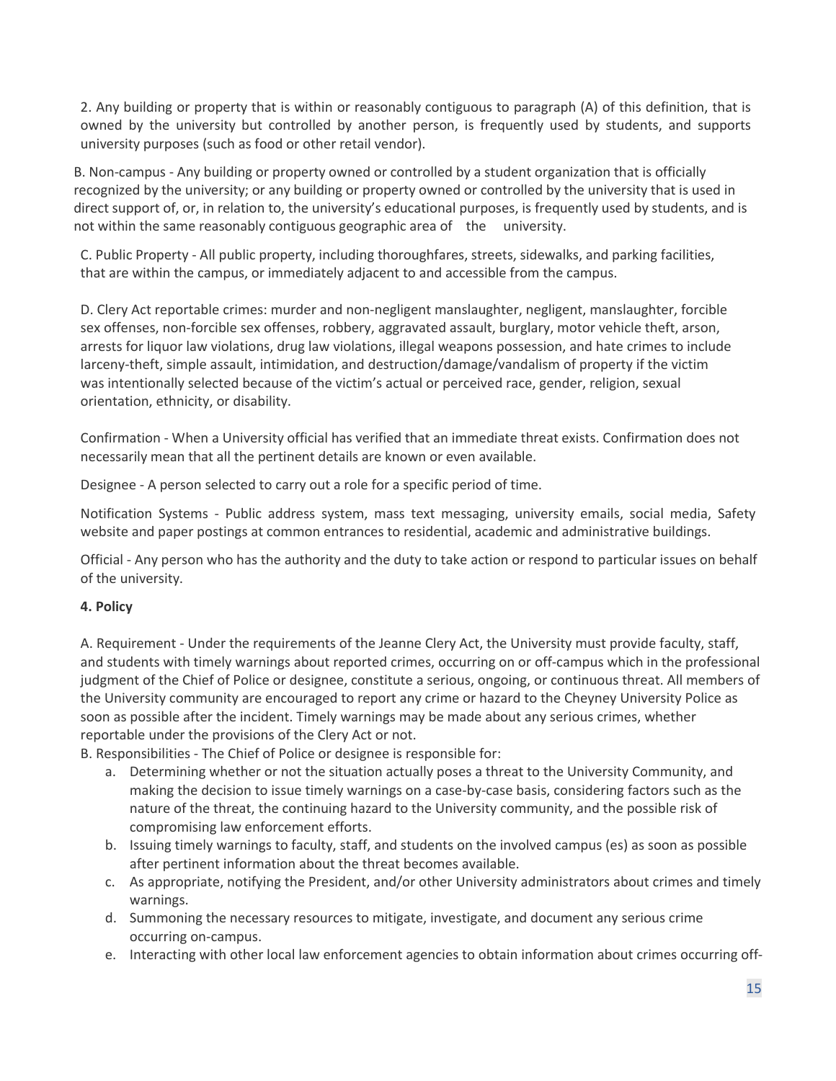2. Any building or property that is within or reasonably contiguous to paragraph (A) of this definition, that is owned by the university but controlled by another person, is frequently used by students, and supports university purposes (such as food or other retail vendor).

B. Non-campus - Any building or property owned or controlled by a student organization that is officially recognized by the university; or any building or property owned or controlled by the university that is used in direct support of, or, in relation to, the university's educational purposes, is frequently used by students, and is not within the same reasonably contiguous geographic area of the university.

C. Public Property - All public property, including thoroughfares, streets, sidewalks, and parking facilities, that are within the campus, or immediately adjacent to and accessible from the campus.

D. Clery Act reportable crimes: murder and non-negligent manslaughter, negligent, manslaughter, forcible sex offenses, non-forcible sex offenses, robbery, aggravated assault, burglary, motor vehicle theft, arson, arrests for liquor law violations, drug law violations, illegal weapons possession, and hate crimes to include larceny-theft, simple assault, intimidation, and destruction/damage/vandalism of property if the victim was intentionally selected because of the victim's actual or perceived race, gender, religion, sexual orientation, ethnicity, or disability.

Confirmation - When a University official has verified that an immediate threat exists. Confirmation does not necessarily mean that all the pertinent details are known or even available.

Designee - A person selected to carry out a role for a specific period of time.

Notification Systems - Public address system, mass text messaging, university emails, social media, Safety website and paper postings at common entrances to residential, academic and administrative buildings.

Official - Any person who has the authority and the duty to take action or respond to particular issues on behalf of the university.

#### **4. Policy**

A. Requirement - Under the requirements of the Jeanne Clery Act, the University must provide faculty, staff, and students with timely warnings about reported crimes, occurring on or off-campus which in the professional judgment of the Chief of Police or designee, constitute a serious, ongoing, or continuous threat. All members of the University community are encouraged to report any crime or hazard to the Cheyney University Police as soon as possible after the incident. Timely warnings may be made about any serious crimes, whether reportable under the provisions of the Clery Act or not.

B. Responsibilities - The Chief of Police or designee is responsible for:

- a. Determining whether or not the situation actually poses a threat to the University Community, and making the decision to issue timely warnings on a case-by-case basis, considering factors such as the nature of the threat, the continuing hazard to the University community, and the possible risk of compromising law enforcement efforts.
- b. Issuing timely warnings to faculty, staff, and students on the involved campus (es) as soon as possible after pertinent information about the threat becomes available.
- c. As appropriate, notifying the President, and/or other University administrators about crimes and timely warnings.
- d. Summoning the necessary resources to mitigate, investigate, and document any serious crime occurring on-campus.
- e. Interacting with other local law enforcement agencies to obtain information about crimes occurring off-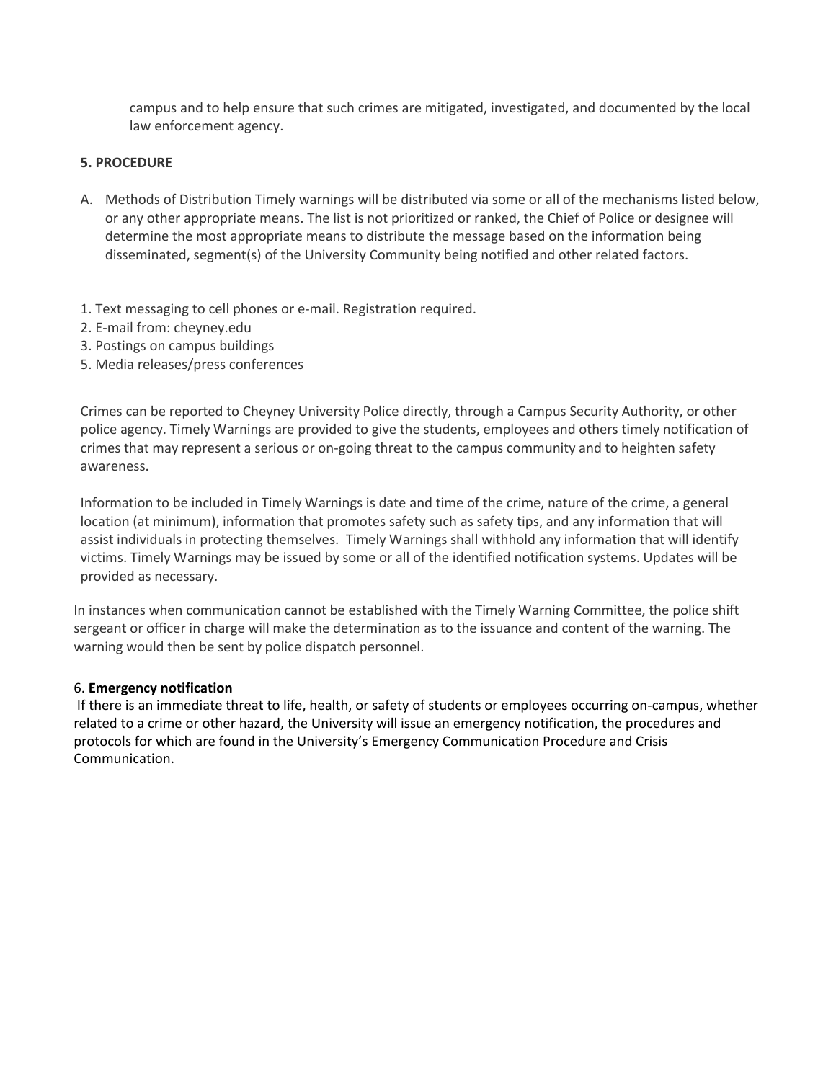campus and to help ensure that such crimes are mitigated, investigated, and documented by the local law enforcement agency.

#### **5. PROCEDURE**

- A. Methods of Distribution Timely warnings will be distributed via some or all of the mechanisms listed below, or any other appropriate means. The list is not prioritized or ranked, the Chief of Police or designee will determine the most appropriate means to distribute the message based on the information being disseminated, segment(s) of the University Community being notified and other related factors.
- 1. Text messaging to cell phones or e-mail. Registration required.
- 2. E-mail from: cheyney.edu
- 3. Postings on campus buildings
- 5. Media releases/press conferences

Crimes can be reported to Cheyney University Police directly, through a Campus Security Authority, or other police agency. Timely Warnings are provided to give the students, employees and others timely notification of crimes that may represent a serious or on-going threat to the campus community and to heighten safety awareness.

Information to be included in Timely Warnings is date and time of the crime, nature of the crime, a general location (at minimum), information that promotes safety such as safety tips, and any information that will assist individuals in protecting themselves. Timely Warnings shall withhold any information that will identify victims. Timely Warnings may be issued by some or all of the identified notification systems. Updates will be provided as necessary.

In instances when communication cannot be established with the Timely Warning Committee, the police shift sergeant or officer in charge will make the determination as to the issuance and content of the warning. The warning would then be sent by police dispatch personnel.

#### 6. **Emergency notification**

If there is an immediate threat to life, health, or safety of students or employees occurring on-campus, whether related to a crime or other hazard, the University will issue an emergency notification, the procedures and protocols for which are found in the University's Emergency Communication Procedure and Crisis Communication.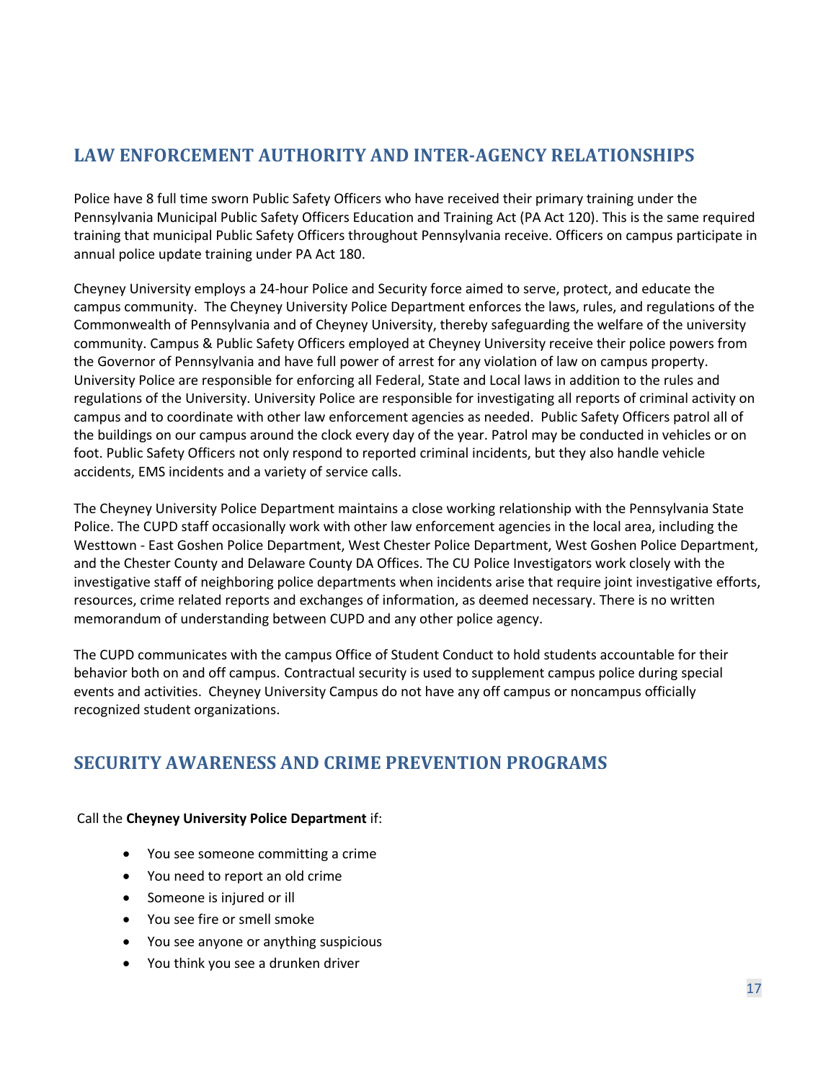## LAW ENFORCEMENT AUTHORITY AND INTER-AGENCY RELATIONSHIPS

Police have 8 full time sworn Public Safety Officers who have received their primary training under the Pennsylvania Municipal Public Safety Officers Education and Training Act (PA Act 120). This is the same required training that municipal Public Safety Officers throughout Pennsylvania receive. Officers on campus participate in annual police update training under PA Act 180.

Cheyney University employs a 24-hour Police and Security force aimed to serve, protect, and educate the campus community. The Cheyney University Police Department enforces the laws, rules, and regulations of the Commonwealth of Pennsylvania and of Cheyney University, thereby safeguarding the welfare of the university community. Campus & Public Safety Officers employed at Cheyney University receive their police powers from the Governor of Pennsylvania and have full power of arrest for any violation of law on campus property. University Police are responsible for enforcing all Federal, State and Local laws in addition to the rules and regulations of the University. University Police are responsible for investigating all reports of criminal activity on campus and to coordinate with other law enforcement agencies as needed. Public Safety Officers patrol all of the buildings on our campus around the clock every day of the year. Patrol may be conducted in vehicles or on foot. Public Safety Officers not only respond to reported criminal incidents, but they also handle vehicle accidents, EMS incidents and a variety of service calls.

The Cheyney University Police Department maintains a close working relationship with the Pennsylvania State Police. The CUPD staff occasionally work with other law enforcement agencies in the local area, including the Westtown - East Goshen Police Department, West Chester Police Department, West Goshen Police Department, and the Chester County and Delaware County DA Offices. The CU Police Investigators work closely with the investigative staff of neighboring police departments when incidents arise that require joint investigative efforts, resources, crime related reports and exchanges of information, as deemed necessary. There is no written memorandum of understanding between CUPD and any other police agency.

The CUPD communicates with the campus Office of Student Conduct to hold students accountable for their behavior both on and off campus. Contractual security is used to supplement campus police during special events and activities. Cheyney University Campus do not have any off campus or noncampus officially recognized student organizations.

## **SECURITY AWARENESS AND CRIME PREVENTION PROGRAMS**

#### Call the **Cheyney University Police Department** if:

- You see someone committing a crime
- You need to report an old crime
- Someone is injured or ill
- You see fire or smell smoke
- You see anyone or anything suspicious
- You think you see a drunken driver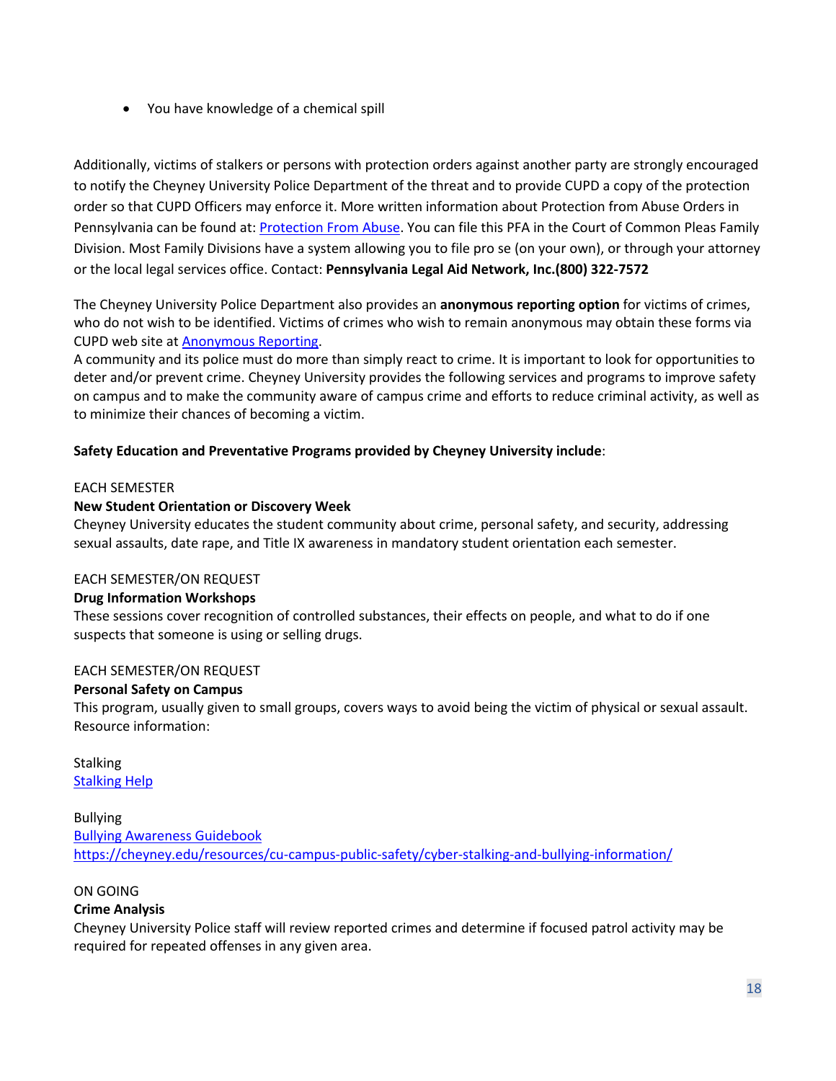• You have knowledge of a chemical spill

Additionally, victims of stalkers or persons with protection orders against another party are strongly encouraged to notify the Cheyney University Police Department of the threat and to provide CUPD a copy of the protection order so that CUPD Officers may enforce it. More written information about Protection from Abuse Orders in Pennsylvania can be found at: Protection From Abuse. You can file this PFA in the Court of Common Pleas Family Division. Most Family Divisions have a system allowing you to file pro se (on your own), or through your attorney or the local legal services office. Contact: **Pennsylvania Legal Aid Network, Inc.(800) 322-7572**

The Cheyney University Police Department also provides an **anonymous reporting option** for victims of crimes, who do not wish to be identified. Victims of crimes who wish to remain anonymous may obtain these forms via CUPD web site at Anonymous Reporting.

A community and its police must do more than simply react to crime. It is important to look for opportunities to deter and/or prevent crime. Cheyney University provides the following services and programs to improve safety on campus and to make the community aware of campus crime and efforts to reduce criminal activity, as well as to minimize their chances of becoming a victim.

#### **Safety Education and Preventative Programs provided by Cheyney University include**:

#### EACH SEMESTER

#### **New Student Orientation or Discovery Week**

Cheyney University educates the student community about crime, personal safety, and security, addressing sexual assaults, date rape, and Title IX awareness in mandatory student orientation each semester.

#### EACH SEMESTER/ON REQUEST

#### **Drug Information Workshops**

These sessions cover recognition of controlled substances, their effects on people, and what to do if one suspects that someone is using or selling drugs.

#### EACH SEMESTER/ON REQUEST

#### **Personal Safety on Campus**

This program, usually given to small groups, covers ways to avoid being the victim of physical or sexual assault. Resource information:

**Stalking** Stalking Help

#### Bullying

Bullying Awareness Guidebook https://cheyney.edu/resources/cu-campus-public-safety/cyber-stalking-and-bullying-information/

#### ON GOING

#### **Crime Analysis**

Cheyney University Police staff will review reported crimes and determine if focused patrol activity may be required for repeated offenses in any given area.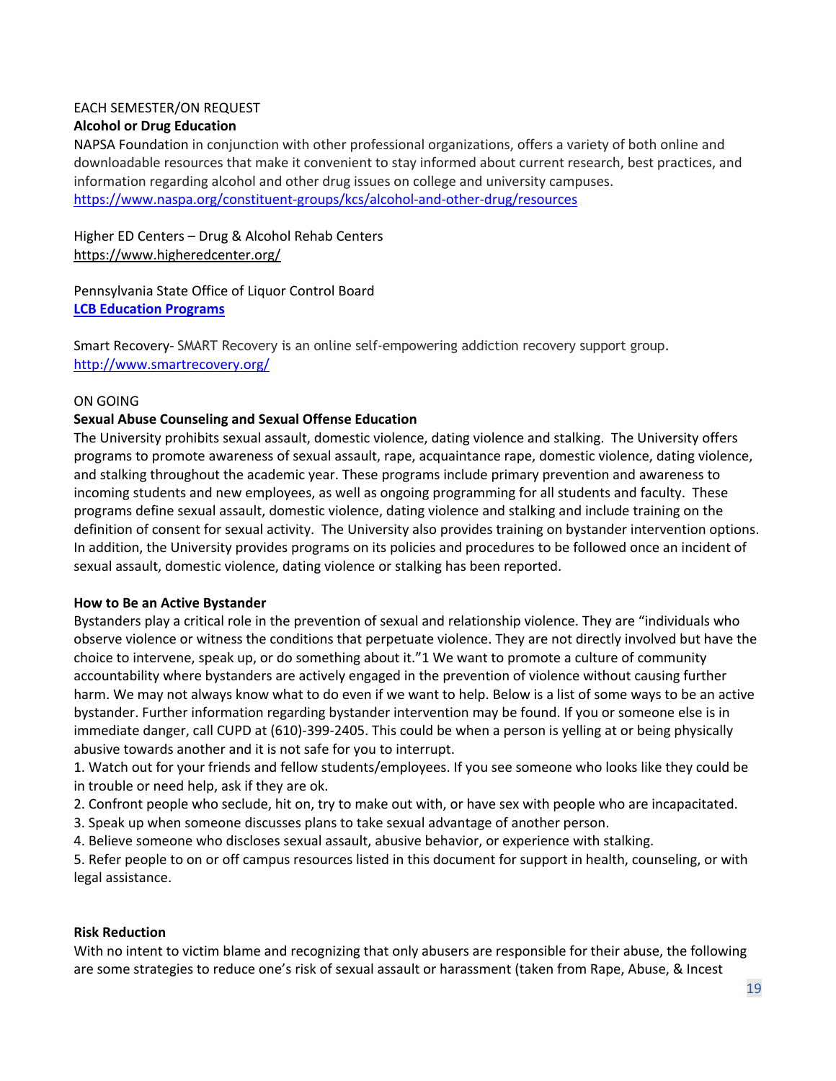#### EACH SEMESTER/ON REQUEST

#### **Alcohol or Drug Education**

NAPSA Foundation in conjunction with other professional organizations, offers a variety of both online and downloadable resources that make it convenient to stay informed about current research, best practices, and information regarding alcohol and other drug issues on college and university campuses. https://www.naspa.org/constituent-groups/kcs/alcohol-and-other-drug/resources

Higher ED Centers – Drug & Alcohol Rehab Centers https://www.higheredcenter.org/

Pennsylvania State Office of Liquor Control Board **LCB Education Programs**

Smart Recovery- SMART Recovery is an online self-empowering addiction recovery support group. http://www.smartrecovery.org/

#### ON GOING

#### **Sexual Abuse Counseling and Sexual Offense Education**

The University prohibits sexual assault, domestic violence, dating violence and stalking. The University offers programs to promote awareness of sexual assault, rape, acquaintance rape, domestic violence, dating violence, and stalking throughout the academic year. These programs include primary prevention and awareness to incoming students and new employees, as well as ongoing programming for all students and faculty. These programs define sexual assault, domestic violence, dating violence and stalking and include training on the definition of consent for sexual activity. The University also provides training on bystander intervention options. In addition, the University provides programs on its policies and procedures to be followed once an incident of sexual assault, domestic violence, dating violence or stalking has been reported.

#### **How to Be an Active Bystander**

Bystanders play a critical role in the prevention of sexual and relationship violence. They are "individuals who observe violence or witness the conditions that perpetuate violence. They are not directly involved but have the choice to intervene, speak up, or do something about it."1 We want to promote a culture of community accountability where bystanders are actively engaged in the prevention of violence without causing further harm. We may not always know what to do even if we want to help. Below is a list of some ways to be an active bystander. Further information regarding bystander intervention may be found. If you or someone else is in immediate danger, call CUPD at (610)-399-2405. This could be when a person is yelling at or being physically abusive towards another and it is not safe for you to interrupt.

1. Watch out for your friends and fellow students/employees. If you see someone who looks like they could be in trouble or need help, ask if they are ok.

- 2. Confront people who seclude, hit on, try to make out with, or have sex with people who are incapacitated.
- 3. Speak up when someone discusses plans to take sexual advantage of another person.

4. Believe someone who discloses sexual assault, abusive behavior, or experience with stalking.

5. Refer people to on or off campus resources listed in this document for support in health, counseling, or with legal assistance.

#### **Risk Reduction**

With no intent to victim blame and recognizing that only abusers are responsible for their abuse, the following are some strategies to reduce one's risk of sexual assault or harassment (taken from Rape, Abuse, & Incest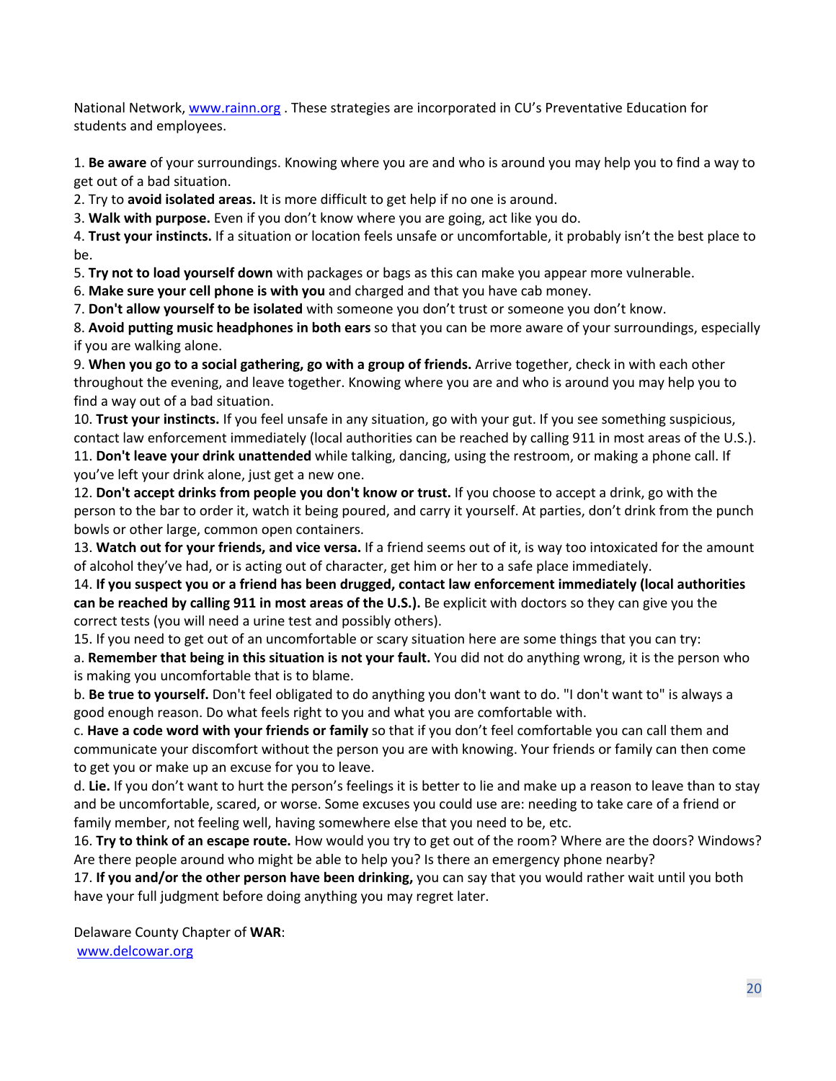National Network, www.rainn.org. These strategies are incorporated in CU's Preventative Education for students and employees.

1. **Be aware** of your surroundings. Knowing where you are and who is around you may help you to find a way to get out of a bad situation.

2. Try to **avoid isolated areas.** It is more difficult to get help if no one is around.

3. **Walk with purpose.** Even if you don't know where you are going, act like you do.

4. **Trust your instincts.** If a situation or location feels unsafe or uncomfortable, it probably isn't the best place to be.

5. **Try not to load yourself down** with packages or bags as this can make you appear more vulnerable.

6. **Make sure your cell phone is with you** and charged and that you have cab money.

7. **Don't allow yourself to be isolated** with someone you don't trust or someone you don't know.

8. **Avoid putting music headphones in both ears** so that you can be more aware of your surroundings, especially if you are walking alone.

9. **When you go to a social gathering, go with a group of friends.** Arrive together, check in with each other throughout the evening, and leave together. Knowing where you are and who is around you may help you to find a way out of a bad situation.

10. **Trust your instincts.** If you feel unsafe in any situation, go with your gut. If you see something suspicious, contact law enforcement immediately (local authorities can be reached by calling 911 in most areas of the U.S.).

11. **Don't leave your drink unattended** while talking, dancing, using the restroom, or making a phone call. If you've left your drink alone, just get a new one.

12. **Don't accept drinks from people you don't know or trust.** If you choose to accept a drink, go with the person to the bar to order it, watch it being poured, and carry it yourself. At parties, don't drink from the punch bowls or other large, common open containers.

13. **Watch out for your friends, and vice versa.** If a friend seems out of it, is way too intoxicated for the amount of alcohol they've had, or is acting out of character, get him or her to a safe place immediately.

14. **If you suspect you or a friend has been drugged, contact law enforcement immediately (local authorities can be reached by calling 911 in most areas of the U.S.).** Be explicit with doctors so they can give you the correct tests (you will need a urine test and possibly others).

15. If you need to get out of an uncomfortable or scary situation here are some things that you can try:

a. **Remember that being in this situation is not your fault.** You did not do anything wrong, it is the person who is making you uncomfortable that is to blame.

b. **Be true to yourself.** Don't feel obligated to do anything you don't want to do. "I don't want to" is always a good enough reason. Do what feels right to you and what you are comfortable with.

c. **Have a code word with your friends or family** so that if you don't feel comfortable you can call them and communicate your discomfort without the person you are with knowing. Your friends or family can then come to get you or make up an excuse for you to leave.

d. **Lie.** If you don't want to hurt the person's feelings it is better to lie and make up a reason to leave than to stay and be uncomfortable, scared, or worse. Some excuses you could use are: needing to take care of a friend or family member, not feeling well, having somewhere else that you need to be, etc.

16. **Try to think of an escape route.** How would you try to get out of the room? Where are the doors? Windows? Are there people around who might be able to help you? Is there an emergency phone nearby?

17. **If you and/or the other person have been drinking,** you can say that you would rather wait until you both have your full judgment before doing anything you may regret later.

Delaware County Chapter of **WAR**: www.delcowar.org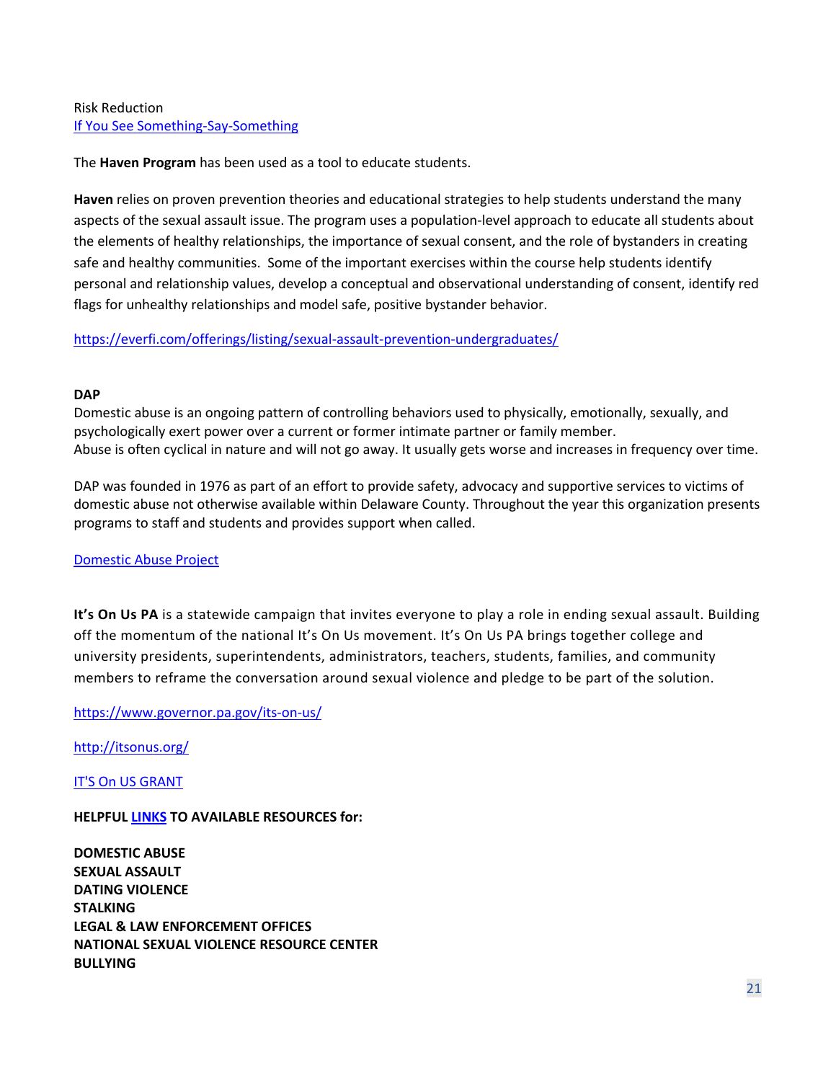#### Risk Reduction If You See Something-Say-Something

The **Haven Program** has been used as a tool to educate students.

**Haven** relies on proven prevention theories and educational strategies to help students understand the many aspects of the sexual assault issue. The program uses a population-level approach to educate all students about the elements of healthy relationships, the importance of sexual consent, and the role of bystanders in creating safe and healthy communities. Some of the important exercises within the course help students identify personal and relationship values, develop a conceptual and observational understanding of consent, identify red flags for unhealthy relationships and model safe, positive bystander behavior.

https://everfi.com/offerings/listing/sexual-assault-prevention-undergraduates/

#### **DAP**

Domestic abuse is an ongoing pattern of controlling behaviors used to physically, emotionally, sexually, and psychologically exert power over a current or former intimate partner or family member. Abuse is often cyclical in nature and will not go away. It usually gets worse and increases in frequency over time.

DAP was founded in 1976 as part of an effort to provide safety, advocacy and supportive services to victims of domestic abuse not otherwise available within Delaware County. Throughout the year this organization presents programs to staff and students and provides support when called.

#### Domestic Abuse Project

**It's On Us PA** is a statewide campaign that invites everyone to play a role in ending sexual assault. Building off the momentum of the national It's On Us movement. It's On Us PA brings together college and university presidents, superintendents, administrators, teachers, students, families, and community members to reframe the conversation around sexual violence and pledge to be part of the solution.

https://www.governor.pa.gov/its-on-us/

http://itsonus.org/

IT'S On US GRANT

**HELPFUL LINKS TO AVAILABLE RESOURCES for:**

**DOMESTIC ABUSE SEXUAL ASSAULT DATING VIOLENCE STALKING LEGAL & LAW ENFORCEMENT OFFICES NATIONAL SEXUAL VIOLENCE RESOURCE CENTER BULLYING**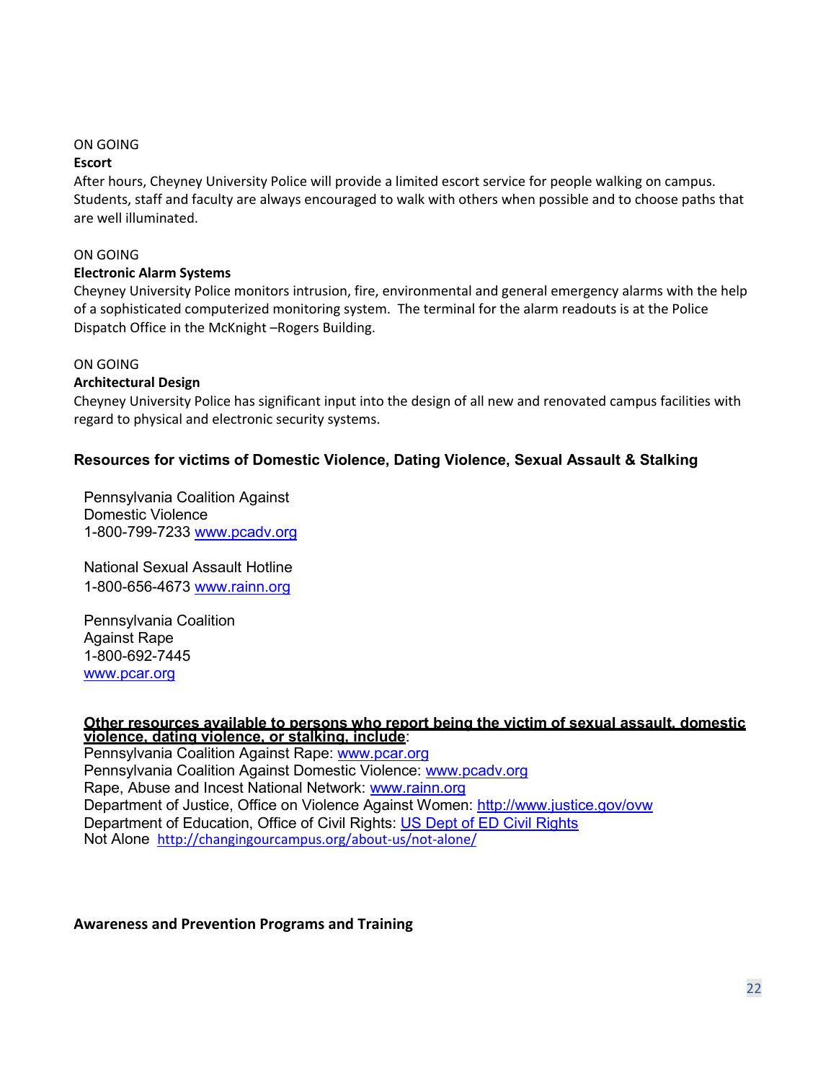#### ON GOING

#### **Escort**

After hours, Cheyney University Police will provide a limited escort service for people walking on campus. Students, staff and faculty are always encouraged to walk with others when possible and to choose paths that are well illuminated.

#### ON GOING

#### **Electronic Alarm Systems**

Cheyney University Police monitors intrusion, fire, environmental and general emergency alarms with the help of a sophisticated computerized monitoring system. The terminal for the alarm readouts is at the Police Dispatch Office in the McKnight –Rogers Building.

#### ON GOING

#### **Architectural Design**

Cheyney University Police has significant input into the design of all new and renovated campus facilities with regard to physical and electronic security systems.

#### **Resources for victims of Domestic Violence, Dating Violence, Sexual Assault & Stalking**

Pennsylvania Coalition Against Domestic Violence 1-800-799-7233 www.pcadv.org

National Sexual Assault Hotline 1-800-656-4673 www.rainn.org

Pennsylvania Coalition Against Rape 1-800-692-7445 www.pcar.org

#### **Other resources available to persons who report being the victim of sexual assault, domestic violence, dating violence, or stalking, include**:

Pennsylvania Coalition Against Rape: www.pcar.org Pennsylvania Coalition Against Domestic Violence: www.pcadv.org Rape, Abuse and Incest National Network: www.rainn.org Department of Justice, Office on Violence Against Women: http://www.justice.gov/ovw Department of Education, Office of Civil Rights: US Dept of ED Civil Rights Not Alone http://changingourcampus.org/about-us/not-alone/

#### **Awareness and Prevention Programs and Training**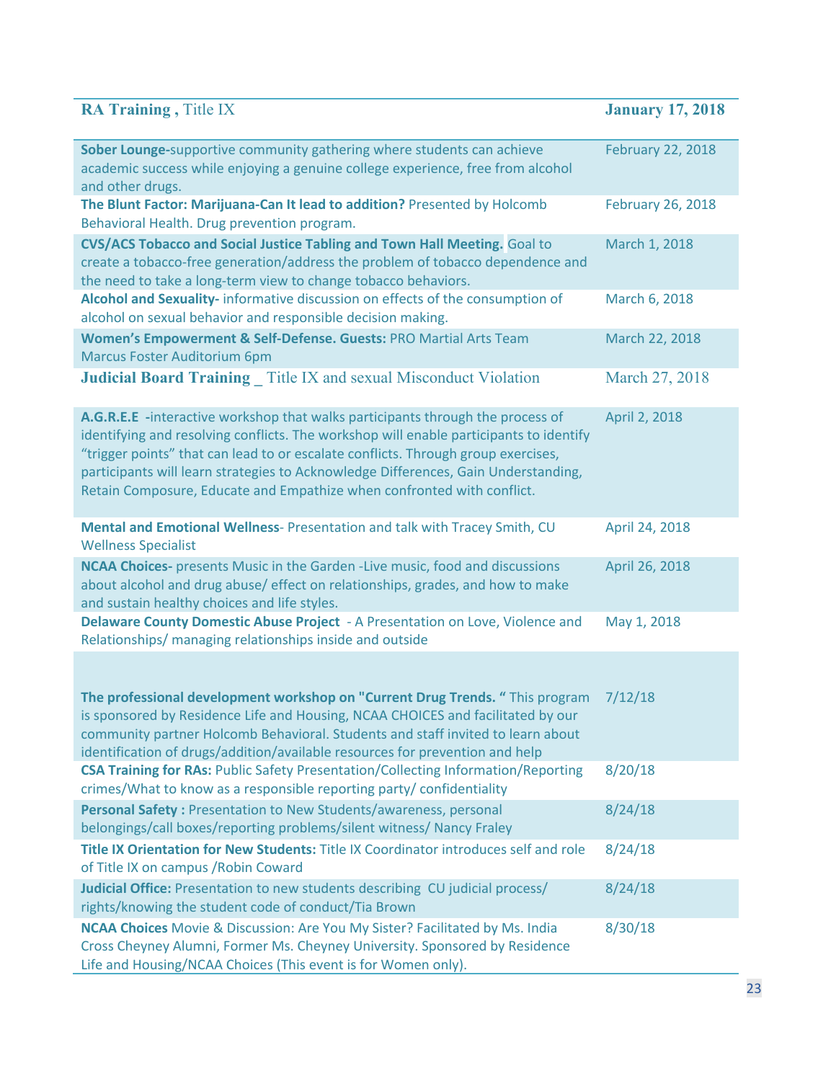| RA Training, Title IX                                                                                                                                                                                                                                                                                                                                                                                                         | <b>January 17, 2018</b>  |
|-------------------------------------------------------------------------------------------------------------------------------------------------------------------------------------------------------------------------------------------------------------------------------------------------------------------------------------------------------------------------------------------------------------------------------|--------------------------|
| Sober Lounge-supportive community gathering where students can achieve<br>academic success while enjoying a genuine college experience, free from alcohol<br>and other drugs.                                                                                                                                                                                                                                                 | <b>February 22, 2018</b> |
| The Blunt Factor: Marijuana-Can It lead to addition? Presented by Holcomb<br>Behavioral Health. Drug prevention program.                                                                                                                                                                                                                                                                                                      | <b>February 26, 2018</b> |
| CVS/ACS Tobacco and Social Justice Tabling and Town Hall Meeting. Goal to<br>create a tobacco-free generation/address the problem of tobacco dependence and<br>the need to take a long-term view to change tobacco behaviors.                                                                                                                                                                                                 | March 1, 2018            |
| Alcohol and Sexuality-informative discussion on effects of the consumption of<br>alcohol on sexual behavior and responsible decision making.                                                                                                                                                                                                                                                                                  | March 6, 2018            |
| Women's Empowerment & Self-Defense. Guests: PRO Martial Arts Team<br>Marcus Foster Auditorium 6pm                                                                                                                                                                                                                                                                                                                             | March 22, 2018           |
| <b>Judicial Board Training _ Title IX and sexual Misconduct Violation</b>                                                                                                                                                                                                                                                                                                                                                     | March 27, 2018           |
| A.G.R.E.E -interactive workshop that walks participants through the process of<br>identifying and resolving conflicts. The workshop will enable participants to identify<br>"trigger points" that can lead to or escalate conflicts. Through group exercises,<br>participants will learn strategies to Acknowledge Differences, Gain Understanding,<br>Retain Composure, Educate and Empathize when confronted with conflict. | April 2, 2018            |
| Mental and Emotional Wellness- Presentation and talk with Tracey Smith, CU<br><b>Wellness Specialist</b>                                                                                                                                                                                                                                                                                                                      | April 24, 2018           |
| <b>NCAA Choices-</b> presents Music in the Garden -Live music, food and discussions<br>about alcohol and drug abuse/ effect on relationships, grades, and how to make<br>and sustain healthy choices and life styles.                                                                                                                                                                                                         | April 26, 2018           |
| Delaware County Domestic Abuse Project - A Presentation on Love, Violence and<br>Relationships/ managing relationships inside and outside                                                                                                                                                                                                                                                                                     | May 1, 2018              |
|                                                                                                                                                                                                                                                                                                                                                                                                                               |                          |
| The professional development workshop on "Current Drug Trends. " This program<br>is sponsored by Residence Life and Housing, NCAA CHOICES and facilitated by our<br>community partner Holcomb Behavioral. Students and staff invited to learn about<br>identification of drugs/addition/available resources for prevention and help                                                                                           | 7/12/18                  |
| <b>CSA Training for RAs: Public Safety Presentation/Collecting Information/Reporting</b><br>crimes/What to know as a responsible reporting party/ confidentiality                                                                                                                                                                                                                                                             | 8/20/18                  |
| Personal Safety: Presentation to New Students/awareness, personal<br>belongings/call boxes/reporting problems/silent witness/ Nancy Fraley                                                                                                                                                                                                                                                                                    | 8/24/18                  |
| Title IX Orientation for New Students: Title IX Coordinator introduces self and role<br>of Title IX on campus / Robin Coward                                                                                                                                                                                                                                                                                                  | 8/24/18                  |
| Judicial Office: Presentation to new students describing CU judicial process/<br>rights/knowing the student code of conduct/Tia Brown                                                                                                                                                                                                                                                                                         | 8/24/18                  |
| NCAA Choices Movie & Discussion: Are You My Sister? Facilitated by Ms. India<br>Cross Cheyney Alumni, Former Ms. Cheyney University. Sponsored by Residence<br>Life and Housing/NCAA Choices (This event is for Women only).                                                                                                                                                                                                  | 8/30/18                  |

ł,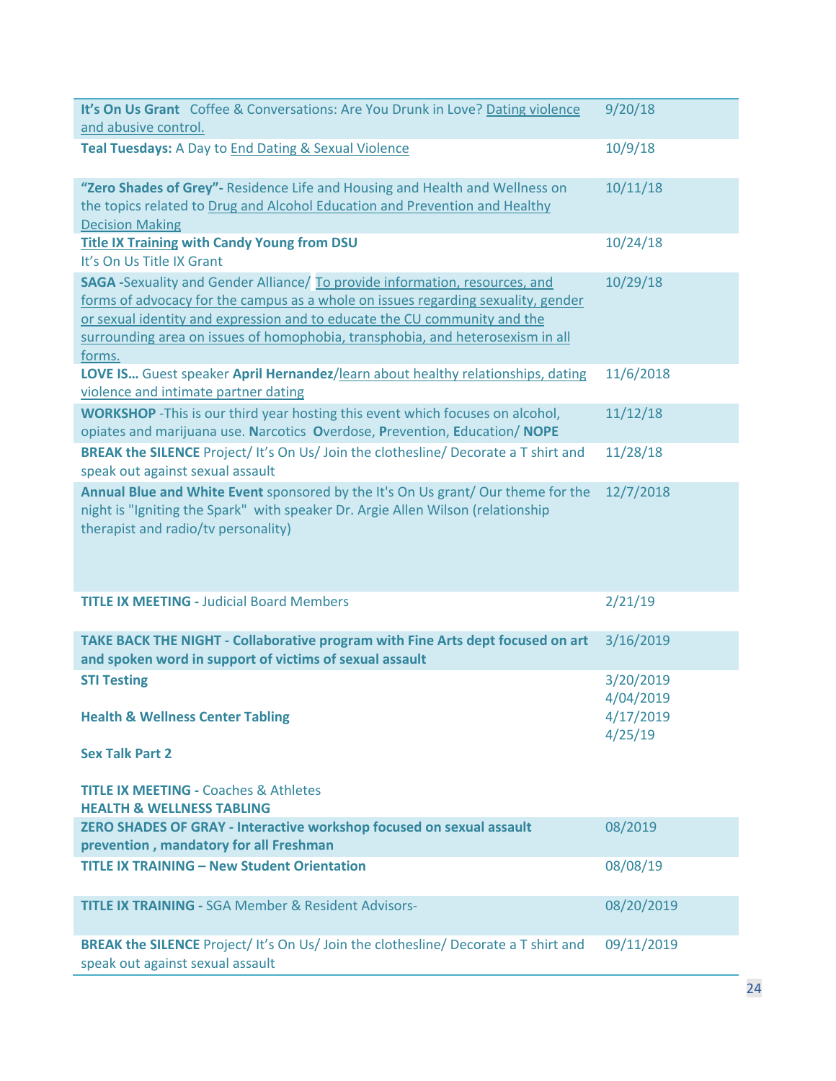| It's On Us Grant Coffee & Conversations: Are You Drunk in Love? Dating violence<br>and abusive control.                                                                                                                                                                                                                                   | 9/20/18                |
|-------------------------------------------------------------------------------------------------------------------------------------------------------------------------------------------------------------------------------------------------------------------------------------------------------------------------------------------|------------------------|
| Teal Tuesdays: A Day to End Dating & Sexual Violence                                                                                                                                                                                                                                                                                      | 10/9/18                |
| "Zero Shades of Grey"- Residence Life and Housing and Health and Wellness on<br>the topics related to Drug and Alcohol Education and Prevention and Healthy<br><b>Decision Making</b>                                                                                                                                                     | 10/11/18               |
| <b>Title IX Training with Candy Young from DSU</b><br>It's On Us Title IX Grant                                                                                                                                                                                                                                                           | 10/24/18               |
| SAGA -Sexuality and Gender Alliance/ To provide information, resources, and<br>forms of advocacy for the campus as a whole on issues regarding sexuality, gender<br>or sexual identity and expression and to educate the CU community and the<br>surrounding area on issues of homophobia, transphobia, and heterosexism in all<br>forms. | 10/29/18               |
| LOVE IS Guest speaker April Hernandez/learn about healthy relationships, dating<br>violence and intimate partner dating                                                                                                                                                                                                                   | 11/6/2018              |
| <b>WORKSHOP</b> -This is our third year hosting this event which focuses on alcohol,<br>opiates and marijuana use. Narcotics Overdose, Prevention, Education/ NOPE                                                                                                                                                                        | 11/12/18               |
| BREAK the SILENCE Project/It's On Us/Join the clothesline/ Decorate a T shirt and<br>speak out against sexual assault                                                                                                                                                                                                                     | 11/28/18               |
|                                                                                                                                                                                                                                                                                                                                           | 12/7/2018              |
|                                                                                                                                                                                                                                                                                                                                           |                        |
| Annual Blue and White Event sponsored by the It's On Us grant/ Our theme for the<br>night is "Igniting the Spark" with speaker Dr. Argie Allen Wilson (relationship<br>therapist and radio/tv personality)<br><b>TITLE IX MEETING - Judicial Board Members</b>                                                                            | 2/21/19                |
|                                                                                                                                                                                                                                                                                                                                           | 3/16/2019              |
|                                                                                                                                                                                                                                                                                                                                           | 3/20/2019<br>4/04/2019 |
| TAKE BACK THE NIGHT - Collaborative program with Fine Arts dept focused on art<br>and spoken word in support of victims of sexual assault<br><b>STI Testing</b><br><b>Health &amp; Wellness Center Tabling</b><br><b>Sex Talk Part 2</b>                                                                                                  | 4/17/2019<br>4/25/19   |
| <b>TITLE IX MEETING - Coaches &amp; Athletes</b><br><b>HEALTH &amp; WELLNESS TABLING</b>                                                                                                                                                                                                                                                  |                        |
| ZERO SHADES OF GRAY - Interactive workshop focused on sexual assault<br>prevention, mandatory for all Freshman                                                                                                                                                                                                                            | 08/2019                |
| <b>TITLE IX TRAINING - New Student Orientation</b>                                                                                                                                                                                                                                                                                        | 08/08/19               |
| <b>TITLE IX TRAINING - SGA Member &amp; Resident Advisors-</b>                                                                                                                                                                                                                                                                            | 08/20/2019             |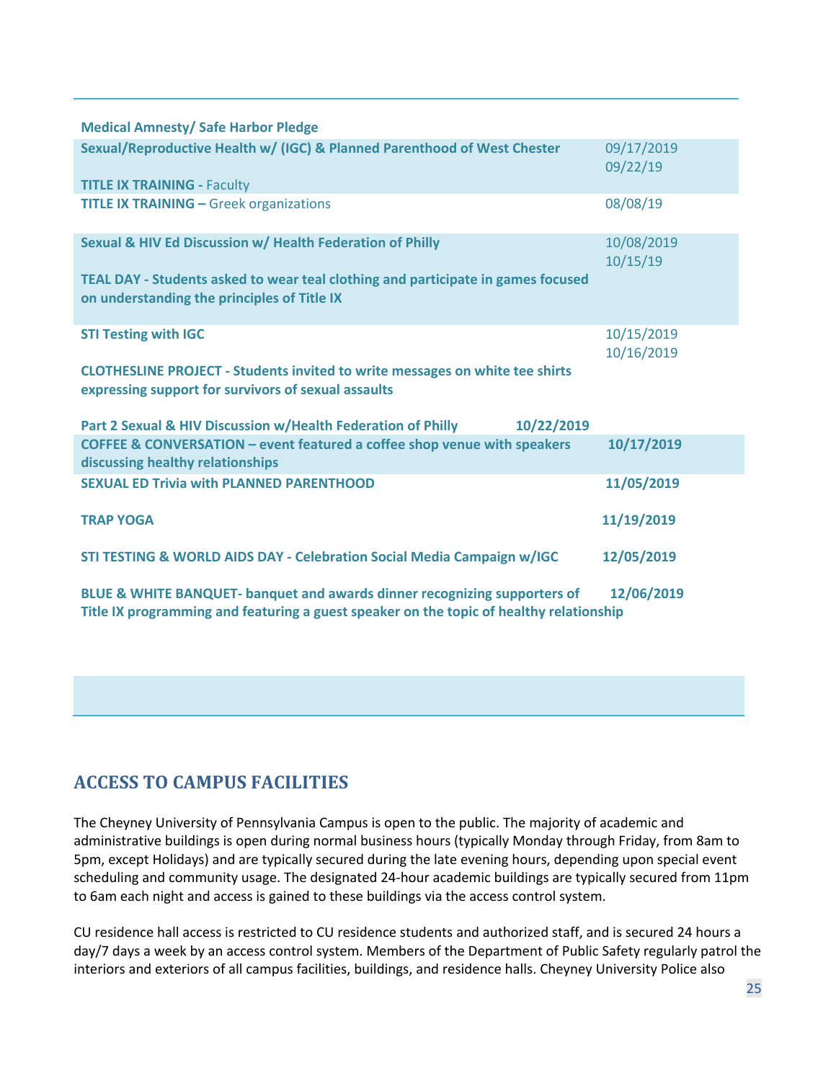| <b>Medical Amnesty/ Safe Harbor Pledge</b>                                                                                                                           |                          |
|----------------------------------------------------------------------------------------------------------------------------------------------------------------------|--------------------------|
| Sexual/Reproductive Health w/ (IGC) & Planned Parenthood of West Chester                                                                                             | 09/17/2019<br>09/22/19   |
| <b>TITLE IX TRAINING - Faculty</b>                                                                                                                                   |                          |
| <b>TITLE IX TRAINING - Greek organizations</b>                                                                                                                       | 08/08/19                 |
| Sexual & HIV Ed Discussion w/ Health Federation of Philly                                                                                                            | 10/08/2019<br>10/15/19   |
| TEAL DAY - Students asked to wear teal clothing and participate in games focused<br>on understanding the principles of Title IX                                      |                          |
| <b>STI Testing with IGC</b>                                                                                                                                          | 10/15/2019<br>10/16/2019 |
| <b>CLOTHESLINE PROJECT - Students invited to write messages on white tee shirts</b>                                                                                  |                          |
| expressing support for survivors of sexual assaults                                                                                                                  |                          |
| Part 2 Sexual & HIV Discussion w/Health Federation of Philly<br>10/22/2019                                                                                           |                          |
| COFFEE & CONVERSATION - event featured a coffee shop venue with speakers<br>discussing healthy relationships                                                         | 10/17/2019               |
| <b>SEXUAL ED Trivia with PLANNED PARENTHOOD</b>                                                                                                                      | 11/05/2019               |
| <b>TRAP YOGA</b>                                                                                                                                                     | 11/19/2019               |
| STI TESTING & WORLD AIDS DAY - Celebration Social Media Campaign w/IGC                                                                                               | 12/05/2019               |
| BLUE & WHITE BANQUET- banquet and awards dinner recognizing supporters of<br>Title IX programming and featuring a guest speaker on the topic of healthy relationship | 12/06/2019               |

## **ACCESS TO CAMPUS FACILITIES**

The Cheyney University of Pennsylvania Campus is open to the public. The majority of academic and administrative buildings is open during normal business hours (typically Monday through Friday, from 8am to 5pm, except Holidays) and are typically secured during the late evening hours, depending upon special event scheduling and community usage. The designated 24-hour academic buildings are typically secured from 11pm to 6am each night and access is gained to these buildings via the access control system.

CU residence hall access is restricted to CU residence students and authorized staff, and is secured 24 hours a day/7 days a week by an access control system. Members of the Department of Public Safety regularly patrol the interiors and exteriors of all campus facilities, buildings, and residence halls. Cheyney University Police also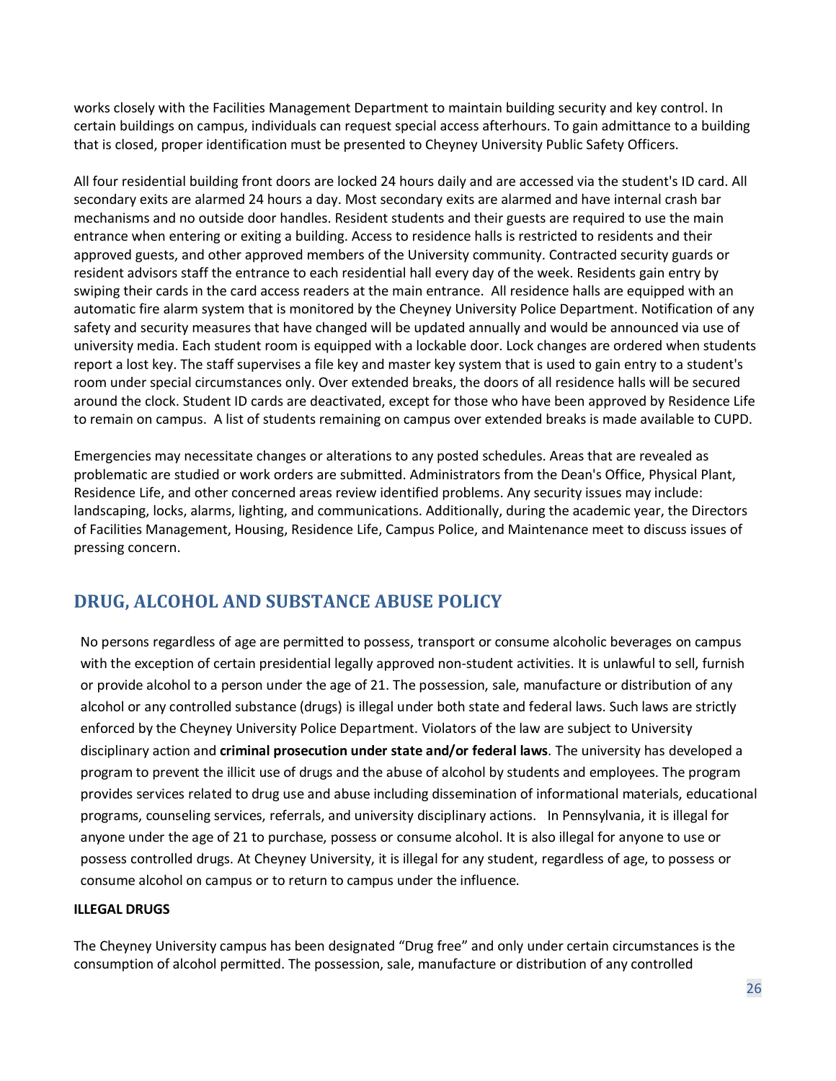works closely with the Facilities Management Department to maintain building security and key control. In certain buildings on campus, individuals can request special access afterhours. To gain admittance to a building that is closed, proper identification must be presented to Cheyney University Public Safety Officers.

All four residential building front doors are locked 24 hours daily and are accessed via the student's ID card. All secondary exits are alarmed 24 hours a day. Most secondary exits are alarmed and have internal crash bar mechanisms and no outside door handles. Resident students and their guests are required to use the main entrance when entering or exiting a building. Access to residence halls is restricted to residents and their approved guests, and other approved members of the University community. Contracted security guards or resident advisors staff the entrance to each residential hall every day of the week. Residents gain entry by swiping their cards in the card access readers at the main entrance. All residence halls are equipped with an automatic fire alarm system that is monitored by the Cheyney University Police Department. Notification of any safety and security measures that have changed will be updated annually and would be announced via use of university media. Each student room is equipped with a lockable door. Lock changes are ordered when students report a lost key. The staff supervises a file key and master key system that is used to gain entry to a student's room under special circumstances only. Over extended breaks, the doors of all residence halls will be secured around the clock. Student ID cards are deactivated, except for those who have been approved by Residence Life to remain on campus. A list of students remaining on campus over extended breaks is made available to CUPD.

Emergencies may necessitate changes or alterations to any posted schedules. Areas that are revealed as problematic are studied or work orders are submitted. Administrators from the Dean's Office, Physical Plant, Residence Life, and other concerned areas review identified problems. Any security issues may include: landscaping, locks, alarms, lighting, and communications. Additionally, during the academic year, the Directors of Facilities Management, Housing, Residence Life, Campus Police, and Maintenance meet to discuss issues of pressing concern.

## **DRUG, ALCOHOL AND SUBSTANCE ABUSE POLICY**

No persons regardless of age are permitted to possess, transport or consume alcoholic beverages on campus with the exception of certain presidential legally approved non-student activities. It is unlawful to sell, furnish or provide alcohol to a person under the age of 21. The possession, sale, manufacture or distribution of any alcohol or any controlled substance (drugs) is illegal under both state and federal laws. Such laws are strictly enforced by the Cheyney University Police Department. Violators of the law are subject to University disciplinary action and **criminal prosecution under state and/or federal laws**. The university has developed a program to prevent the illicit use of drugs and the abuse of alcohol by students and employees. The program provides services related to drug use and abuse including dissemination of informational materials, educational programs, counseling services, referrals, and university disciplinary actions. In Pennsylvania, it is illegal for anyone under the age of 21 to purchase, possess or consume alcohol. It is also illegal for anyone to use or possess controlled drugs. At Cheyney University, it is illegal for any student, regardless of age, to possess or consume alcohol on campus or to return to campus under the influence.

#### **ILLEGAL DRUGS**

The Cheyney University campus has been designated "Drug free" and only under certain circumstances is the consumption of alcohol permitted. The possession, sale, manufacture or distribution of any controlled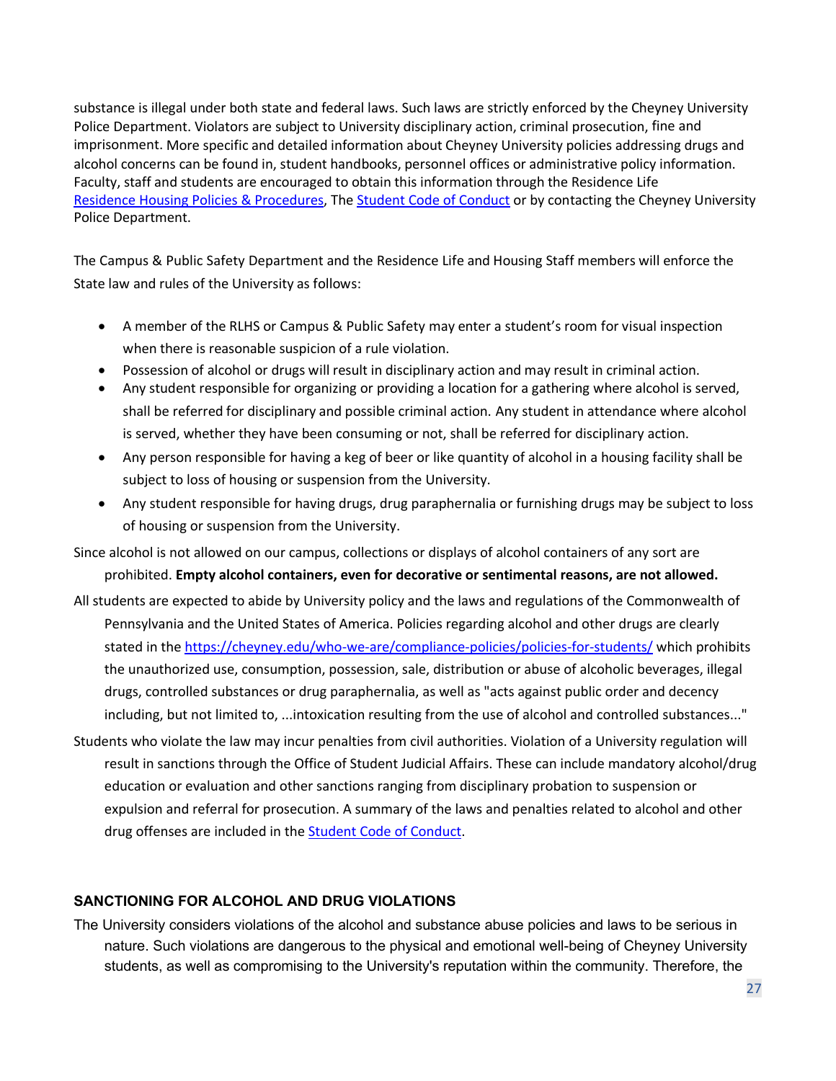substance is illegal under both state and federal laws. Such laws are strictly enforced by the Cheyney University Police Department. Violators are subject to University disciplinary action, criminal prosecution, fine and imprisonment. More specific and detailed information about Cheyney University policies addressing drugs and alcohol concerns can be found in, student handbooks, personnel offices or administrative policy information. Faculty, staff and students are encouraged to obtain this information through the Residence Life Residence Housing Policies & Procedures, The Student Code of Conduct or by contacting the Cheyney University Police Department.

The Campus & Public Safety Department and the Residence Life and Housing Staff members will enforce the State law and rules of the University as follows:

- A member of the RLHS or Campus & Public Safety may enter a student's room for visual inspection when there is reasonable suspicion of a rule violation.
- Possession of alcohol or drugs will result in disciplinary action and may result in criminal action.
- Any student responsible for organizing or providing a location for a gathering where alcohol is served, shall be referred for disciplinary and possible criminal action. Any student in attendance where alcohol is served, whether they have been consuming or not, shall be referred for disciplinary action.
- Any person responsible for having a keg of beer or like quantity of alcohol in a housing facility shall be subject to loss of housing or suspension from the University.
- Any student responsible for having drugs, drug paraphernalia or furnishing drugs may be subject to loss of housing or suspension from the University.
- Since alcohol is not allowed on our campus, collections or displays of alcohol containers of any sort are prohibited. **Empty alcohol containers, even for decorative or sentimental reasons, are not allowed.**
- All students are expected to abide by University policy and the laws and regulations of the Commonwealth of Pennsylvania and the United States of America. Policies regarding alcohol and other drugs are clearly stated in the https://cheyney.edu/who-we-are/compliance-policies/policies-for-students/ which prohibits the unauthorized use, consumption, possession, sale, distribution or abuse of alcoholic beverages, illegal drugs, controlled substances or drug paraphernalia, as well as "acts against public order and decency including, but not limited to, ...intoxication resulting from the use of alcohol and controlled substances..."
- Students who violate the law may incur penalties from civil authorities. Violation of a University regulation will result in sanctions through the Office of Student Judicial Affairs. These can include mandatory alcohol/drug education or evaluation and other sanctions ranging from disciplinary probation to suspension or expulsion and referral for prosecution. A summary of the laws and penalties related to alcohol and other drug offenses are included in the Student Code of Conduct.

#### **SANCTIONING FOR ALCOHOL AND DRUG VIOLATIONS**

The University considers violations of the alcohol and substance abuse policies and laws to be serious in nature. Such violations are dangerous to the physical and emotional well-being of Cheyney University students, as well as compromising to the University's reputation within the community. Therefore, the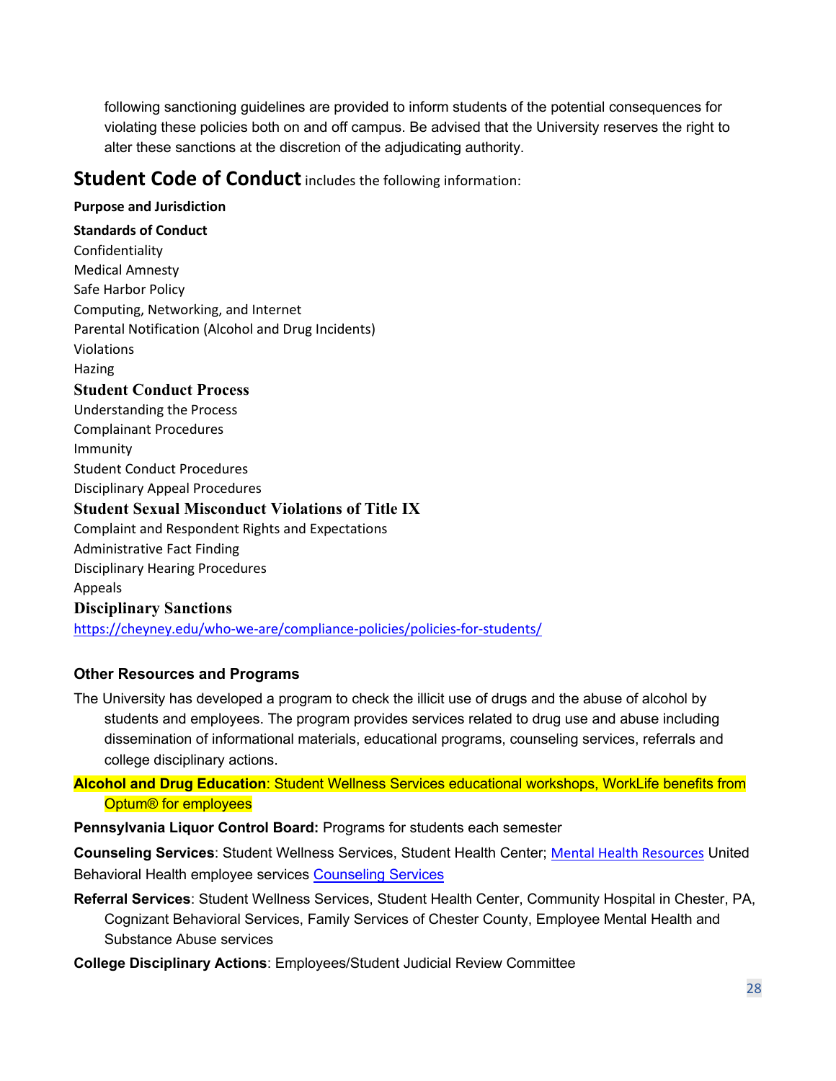following sanctioning guidelines are provided to inform students of the potential consequences for violating these policies both on and off campus. Be advised that the University reserves the right to alter these sanctions at the discretion of the adjudicating authority.

## **Student Code of Conduct**includes the following information:

### **Purpose and Jurisdiction**

**Standards of Conduct** Confidentiality Medical Amnesty Safe Harbor Policy Computing, Networking, and Internet Parental Notification (Alcohol and Drug Incidents) Violations Hazing **Student Conduct Process**  Understanding the Process Complainant Procedures Immunity Student Conduct Procedures Disciplinary Appeal Procedures **Student Sexual Misconduct Violations of Title IX**  Complaint and Respondent Rights and Expectations Administrative Fact Finding Disciplinary Hearing Procedures Appeals **Disciplinary Sanctions**  https://cheyney.edu/who-we-are/compliance-policies/policies-for-students/

# **Other Resources and Programs**

The University has developed a program to check the illicit use of drugs and the abuse of alcohol by students and employees. The program provides services related to drug use and abuse including dissemination of informational materials, educational programs, counseling services, referrals and college disciplinary actions.

#### **Alcohol and Drug Education**: Student Wellness Services educational workshops, WorkLife benefits from Optum® for employees

**Pennsylvania Liquor Control Board:** Programs for students each semester

**Counseling Services**: Student Wellness Services, Student Health Center; Mental Health Resources United Behavioral Health employee services Counseling Services

- **Referral Services**: Student Wellness Services, Student Health Center, Community Hospital in Chester, PA, Cognizant Behavioral Services, Family Services of Chester County, Employee Mental Health and Substance Abuse services
- **College Disciplinary Actions**: Employees/Student Judicial Review Committee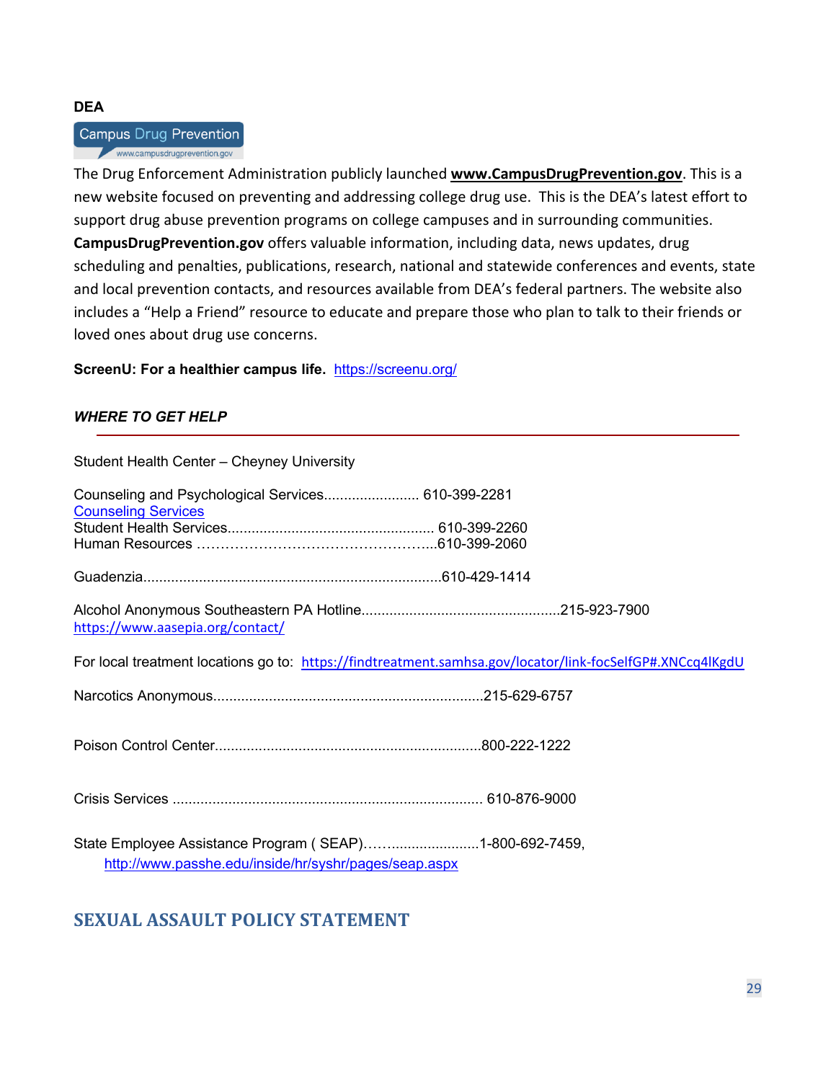#### **DEA**

#### Campus Drug Prevention www.campusdrugprevention.gov

The Drug Enforcement Administration publicly launched **www.CampusDrugPrevention.gov**. This is a new website focused on preventing and addressing college drug use. This is the DEA's latest effort to support drug abuse prevention programs on college campuses and in surrounding communities. **CampusDrugPrevention.gov** offers valuable information, including data, news updates, drug scheduling and penalties, publications, research, national and statewide conferences and events, state and local prevention contacts, and resources available from DEA's federal partners. The website also includes a "Help a Friend" resource to educate and prepare those who plan to talk to their friends or loved ones about drug use concerns.

#### **ScreenU: For a healthier campus life.** https://screenu.org/

#### *WHERE TO GET HELP*

| Student Health Center - Cheyney University                                                                       |  |
|------------------------------------------------------------------------------------------------------------------|--|
| Counseling and Psychological Services 610-399-2281<br><b>Counseling Services</b>                                 |  |
|                                                                                                                  |  |
|                                                                                                                  |  |
| https://www.aasepia.org/contact/                                                                                 |  |
| For local treatment locations go to: https://findtreatment.samhsa.gov/locator/link-focSelfGP#.XNCcq4lKgdU        |  |
|                                                                                                                  |  |
|                                                                                                                  |  |
|                                                                                                                  |  |
| State Employee Assistance Program (SEAP)1-800-692-7459,<br>http://www.passhe.edu/inside/hr/syshr/pages/seap.aspx |  |

## **SEXUAL ASSAULT POLICY STATEMENT**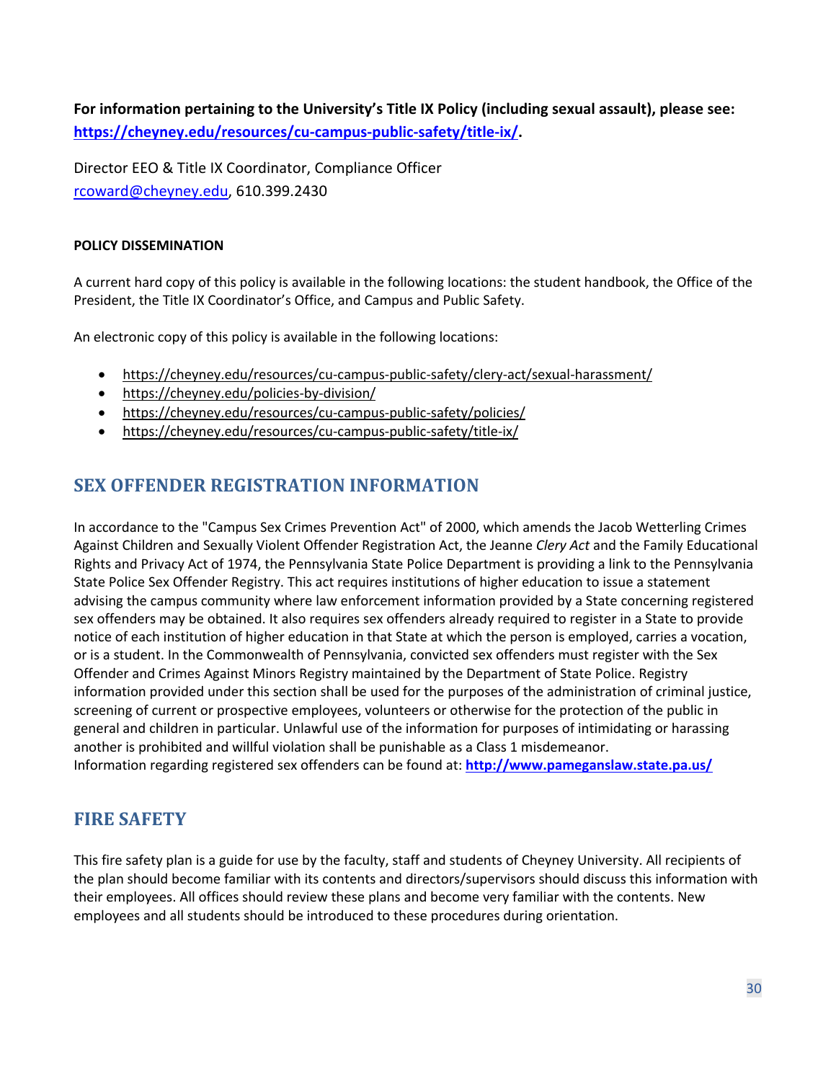**For information pertaining to the University's Title IX Policy (including sexual assault), please see: https://cheyney.edu/resources/cu-campus-public-safety/title-ix/.**

Director EEO & Title IX Coordinator, Compliance Officer rcoward@cheyney.edu, 610.399.2430

#### **POLICY DISSEMINATION**

A current hard copy of this policy is available in the following locations: the student handbook, the Office of the President, the Title IX Coordinator's Office, and Campus and Public Safety.

An electronic copy of this policy is available in the following locations:

- https://cheyney.edu/resources/cu-campus-public-safety/clery-act/sexual-harassment/
- https://cheyney.edu/policies-by-division/
- https://cheyney.edu/resources/cu-campus-public-safety/policies/
- https://cheyney.edu/resources/cu-campus-public-safety/title-ix/

## **SEX OFFENDER REGISTRATION INFORMATION**

In accordance to the "Campus Sex Crimes Prevention Act" of 2000, which amends the Jacob Wetterling Crimes Against Children and Sexually Violent Offender Registration Act, the Jeanne *Clery Act* and the Family Educational Rights and Privacy Act of 1974, the Pennsylvania State Police Department is providing a link to the Pennsylvania State Police Sex Offender Registry. This act requires institutions of higher education to issue a statement advising the campus community where law enforcement information provided by a State concerning registered sex offenders may be obtained. It also requires sex offenders already required to register in a State to provide notice of each institution of higher education in that State at which the person is employed, carries a vocation, or is a student. In the Commonwealth of Pennsylvania, convicted sex offenders must register with the Sex Offender and Crimes Against Minors Registry maintained by the Department of State Police. Registry information provided under this section shall be used for the purposes of the administration of criminal justice, screening of current or prospective employees, volunteers or otherwise for the protection of the public in general and children in particular. Unlawful use of the information for purposes of intimidating or harassing another is prohibited and willful violation shall be punishable as a Class 1 misdemeanor.

Information regarding registered sex offenders can be found at: **http://www.pameganslaw.state.pa.us/**

## **FIRE SAFETY**

This fire safety plan is a guide for use by the faculty, staff and students of Cheyney University. All recipients of the plan should become familiar with its contents and directors/supervisors should discuss this information with their employees. All offices should review these plans and become very familiar with the contents. New employees and all students should be introduced to these procedures during orientation.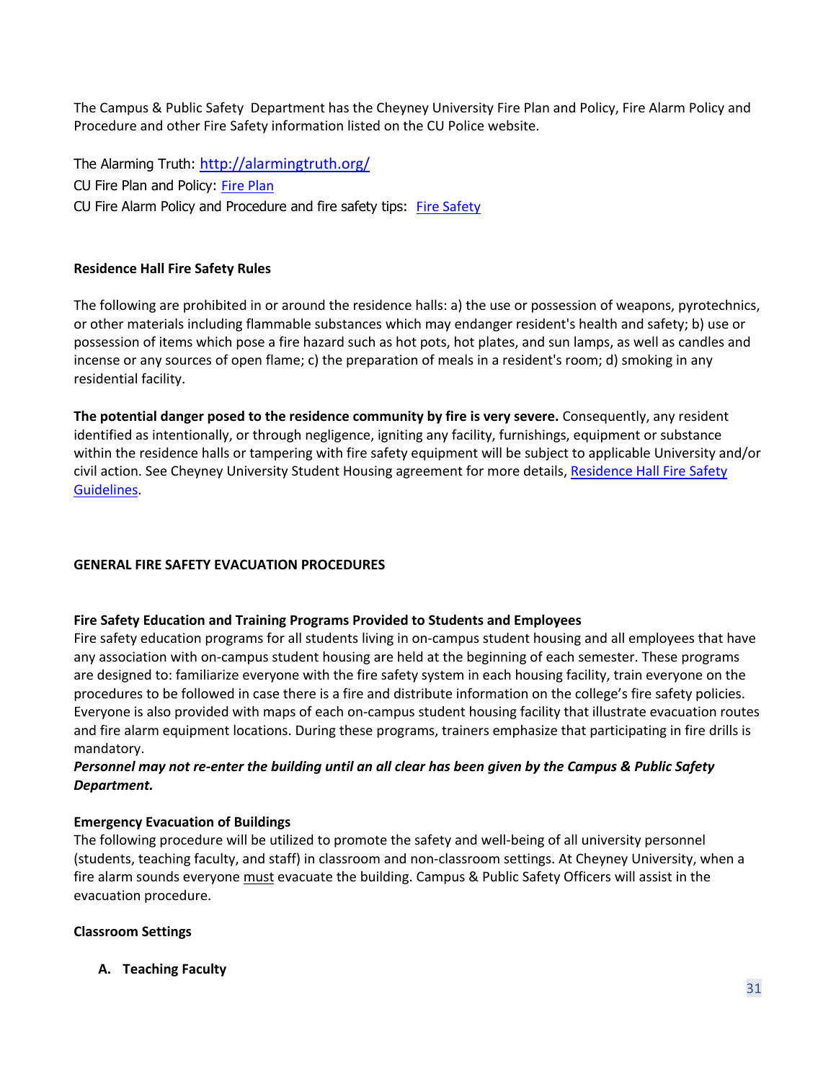The Campus & Public Safety Department has the Cheyney University Fire Plan and Policy, Fire Alarm Policy and Procedure and other Fire Safety information listed on the CU Police website.

The Alarming Truth: http://alarmingtruth.org/ CU Fire Plan and Policy: Fire Plan CU Fire Alarm Policy and Procedure and fire safety tips: Fire Safety

#### **Residence Hall Fire Safety Rules**

The following are prohibited in or around the residence halls: a) the use or possession of weapons, pyrotechnics, or other materials including flammable substances which may endanger resident's health and safety; b) use or possession of items which pose a fire hazard such as hot pots, hot plates, and sun lamps, as well as candles and incense or any sources of open flame; c) the preparation of meals in a resident's room; d) smoking in any residential facility.

**The potential danger posed to the residence community by fire is very severe.** Consequently, any resident identified as intentionally, or through negligence, igniting any facility, furnishings, equipment or substance within the residence halls or tampering with fire safety equipment will be subject to applicable University and/or civil action. See Cheyney University Student Housing agreement for more details, Residence Hall Fire Safety Guidelines.

#### **GENERAL FIRE SAFETY EVACUATION PROCEDURES**

#### **Fire Safety Education and Training Programs Provided to Students and Employees**

Fire safety education programs for all students living in on-campus student housing and all employees that have any association with on-campus student housing are held at the beginning of each semester. These programs are designed to: familiarize everyone with the fire safety system in each housing facility, train everyone on the procedures to be followed in case there is a fire and distribute information on the college's fire safety policies. Everyone is also provided with maps of each on-campus student housing facility that illustrate evacuation routes and fire alarm equipment locations. During these programs, trainers emphasize that participating in fire drills is mandatory.

#### *Personnel may not re-enter the building until an all clear has been given by the Campus & Public Safety Department.*

#### **Emergency Evacuation of Buildings**

The following procedure will be utilized to promote the safety and well-being of all university personnel (students, teaching faculty, and staff) in classroom and non-classroom settings. At Cheyney University, when a fire alarm sounds everyone must evacuate the building. Campus & Public Safety Officers will assist in the evacuation procedure.

#### **Classroom Settings**

**A. Teaching Faculty**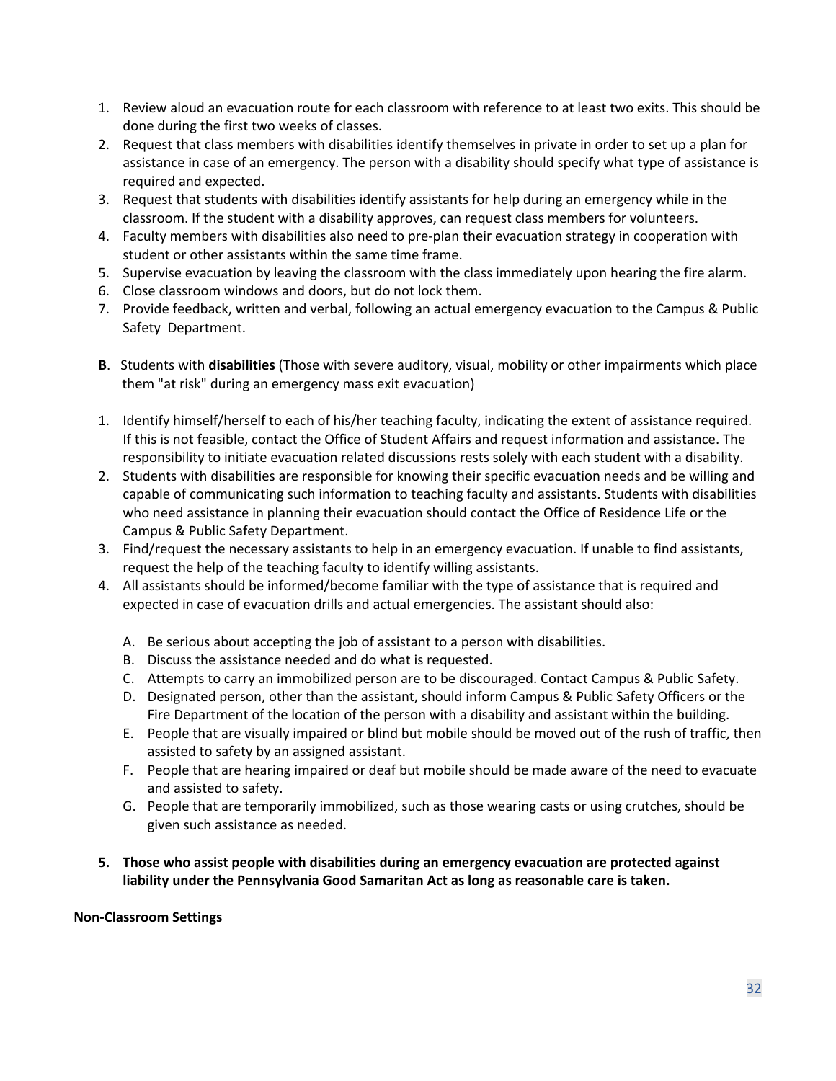- 1. Review aloud an evacuation route for each classroom with reference to at least two exits. This should be done during the first two weeks of classes.
- 2. Request that class members with disabilities identify themselves in private in order to set up a plan for assistance in case of an emergency. The person with a disability should specify what type of assistance is required and expected.
- 3. Request that students with disabilities identify assistants for help during an emergency while in the classroom. If the student with a disability approves, can request class members for volunteers.
- 4. Faculty members with disabilities also need to pre-plan their evacuation strategy in cooperation with student or other assistants within the same time frame.
- 5. Supervise evacuation by leaving the classroom with the class immediately upon hearing the fire alarm.
- 6. Close classroom windows and doors, but do not lock them.
- 7. Provide feedback, written and verbal, following an actual emergency evacuation to the Campus & Public Safety Department.
- **B**. Students with **disabilities** (Those with severe auditory, visual, mobility or other impairments which place them "at risk" during an emergency mass exit evacuation)
- 1. Identify himself/herself to each of his/her teaching faculty, indicating the extent of assistance required. If this is not feasible, contact the Office of Student Affairs and request information and assistance. The responsibility to initiate evacuation related discussions rests solely with each student with a disability.
- 2. Students with disabilities are responsible for knowing their specific evacuation needs and be willing and capable of communicating such information to teaching faculty and assistants. Students with disabilities who need assistance in planning their evacuation should contact the Office of Residence Life or the Campus & Public Safety Department.
- 3. Find/request the necessary assistants to help in an emergency evacuation. If unable to find assistants, request the help of the teaching faculty to identify willing assistants.
- 4. All assistants should be informed/become familiar with the type of assistance that is required and expected in case of evacuation drills and actual emergencies. The assistant should also:
	- A. Be serious about accepting the job of assistant to a person with disabilities.
	- B. Discuss the assistance needed and do what is requested.
	- C. Attempts to carry an immobilized person are to be discouraged. Contact Campus & Public Safety.
	- D. Designated person, other than the assistant, should inform Campus & Public Safety Officers or the Fire Department of the location of the person with a disability and assistant within the building.
	- E. People that are visually impaired or blind but mobile should be moved out of the rush of traffic, then assisted to safety by an assigned assistant.
	- F. People that are hearing impaired or deaf but mobile should be made aware of the need to evacuate and assisted to safety.
	- G. People that are temporarily immobilized, such as those wearing casts or using crutches, should be given such assistance as needed.
- **5. Those who assist people with disabilities during an emergency evacuation are protected against liability under the Pennsylvania Good Samaritan Act as long as reasonable care is taken.**

#### **Non-Classroom Settings**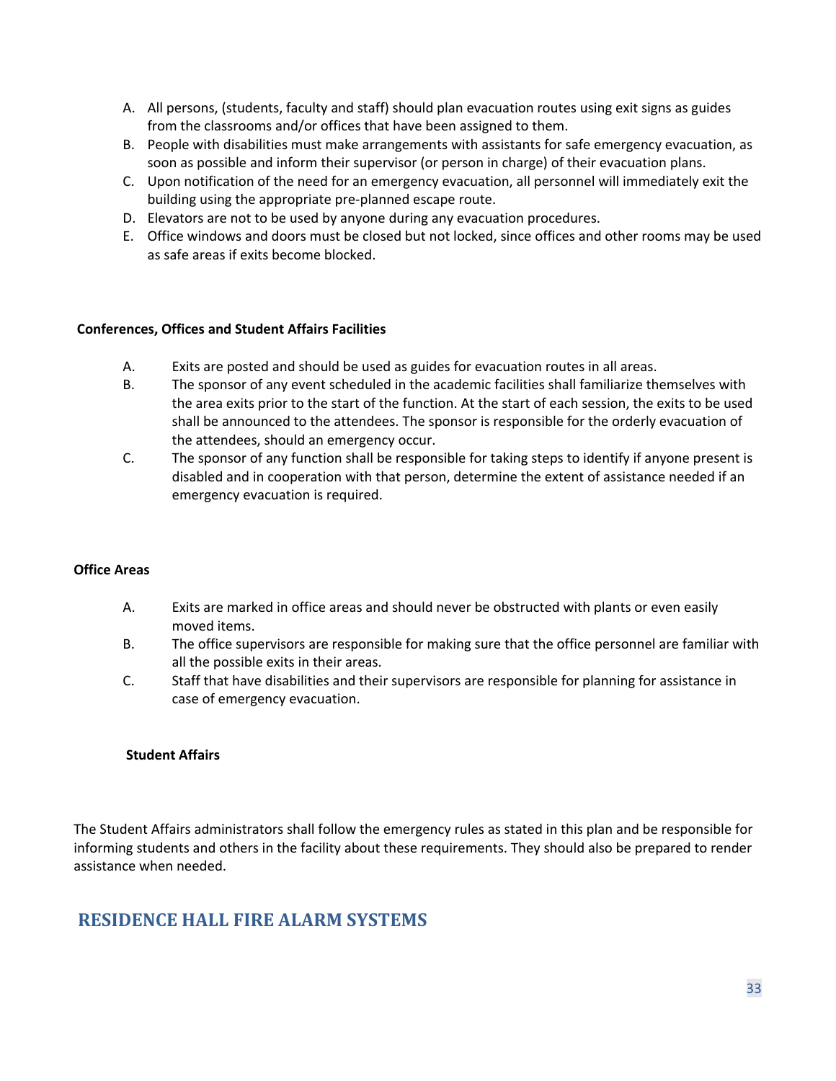- A. All persons, (students, faculty and staff) should plan evacuation routes using exit signs as guides from the classrooms and/or offices that have been assigned to them.
- B. People with disabilities must make arrangements with assistants for safe emergency evacuation, as soon as possible and inform their supervisor (or person in charge) of their evacuation plans.
- C. Upon notification of the need for an emergency evacuation, all personnel will immediately exit the building using the appropriate pre-planned escape route.
- D. Elevators are not to be used by anyone during any evacuation procedures.
- E. Office windows and doors must be closed but not locked, since offices and other rooms may be used as safe areas if exits become blocked.

#### **Conferences, Offices and Student Affairs Facilities**

- A. Exits are posted and should be used as guides for evacuation routes in all areas.
- B. The sponsor of any event scheduled in the academic facilities shall familiarize themselves with the area exits prior to the start of the function. At the start of each session, the exits to be used shall be announced to the attendees. The sponsor is responsible for the orderly evacuation of the attendees, should an emergency occur.
- C. The sponsor of any function shall be responsible for taking steps to identify if anyone present is disabled and in cooperation with that person, determine the extent of assistance needed if an emergency evacuation is required.

#### **Office Areas**

- A. Exits are marked in office areas and should never be obstructed with plants or even easily moved items.
- B. The office supervisors are responsible for making sure that the office personnel are familiar with all the possible exits in their areas.
- C. Staff that have disabilities and their supervisors are responsible for planning for assistance in case of emergency evacuation.

#### **Student Affairs**

The Student Affairs administrators shall follow the emergency rules as stated in this plan and be responsible for informing students and others in the facility about these requirements. They should also be prepared to render assistance when needed.

## **RESIDENCE HALL FIRE ALARM SYSTEMS**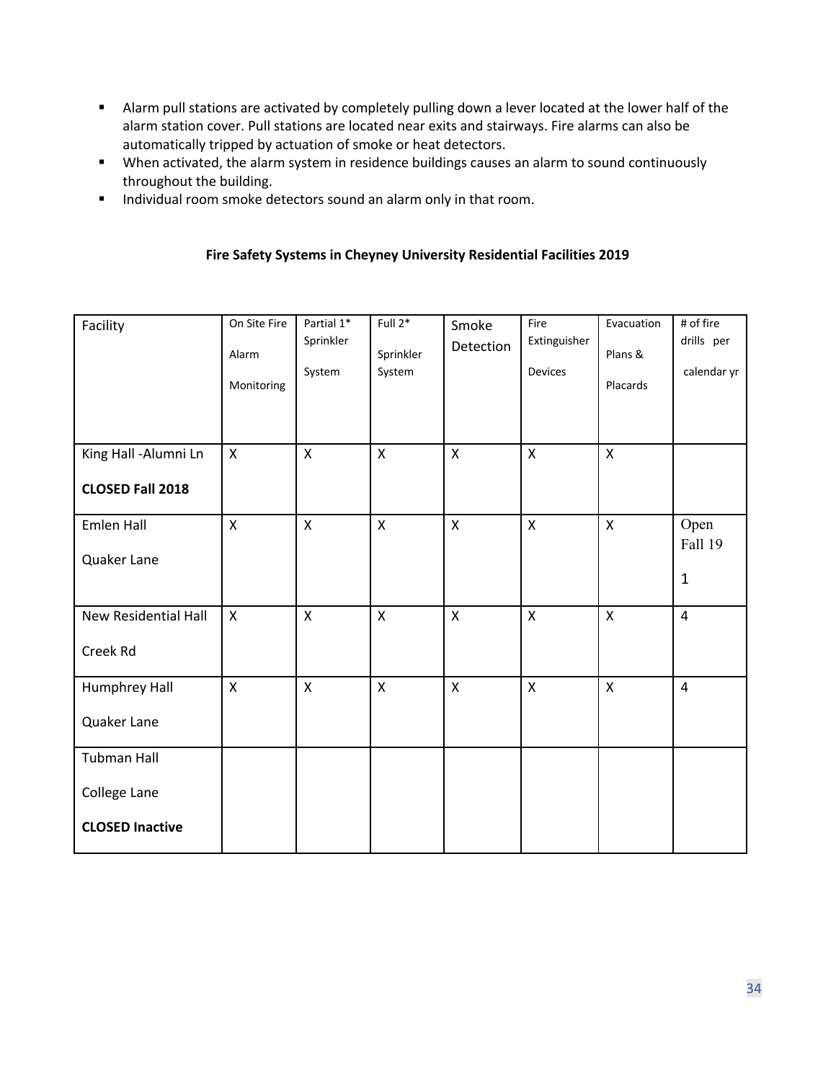- Alarm pull stations are activated by completely pulling down a lever located at the lower half of the alarm station cover. Pull stations are located near exits and stairways. Fire alarms can also be automatically tripped by actuation of smoke or heat detectors.
- § When activated, the alarm system in residence buildings causes an alarm to sound continuously throughout the building.
- Individual room smoke detectors sound an alarm only in that room.

#### **Fire Safety Systems in Cheyney University Residential Facilities 2019**

| Facility                                                     | On Site Fire<br>Alarm<br>Monitoring | Partial 1*<br>Sprinkler<br>System | Full $2^*$<br>Sprinkler<br>System | Smoke<br>Detection | Fire<br>Extinguisher<br>Devices | Evacuation<br>Plans &<br>Placards | # of fire<br>drills per<br>calendar yr |
|--------------------------------------------------------------|-------------------------------------|-----------------------------------|-----------------------------------|--------------------|---------------------------------|-----------------------------------|----------------------------------------|
| King Hall - Alumni Ln<br><b>CLOSED Fall 2018</b>             | $\mathsf{x}$                        | $\mathsf{X}$                      | X                                 | $\mathsf{X}$       | $\mathsf{X}$                    | $\mathsf{x}$                      |                                        |
| <b>Emlen Hall</b><br>Quaker Lane                             | $\mathsf{x}$                        | $\pmb{\mathsf{X}}$                | X                                 | X                  | X                               | $\mathsf{x}$                      | Open<br>Fall 19<br>$\mathbf 1$         |
| New Residential Hall<br>Creek Rd                             | $\mathsf{x}$                        | $\mathsf{x}$                      | $\mathsf{X}$                      | $\mathsf{X}$       | $\mathsf{x}$                    | $\mathsf{x}$                      | $\overline{4}$                         |
| Humphrey Hall<br>Quaker Lane                                 | $\mathsf{x}$                        | $\mathsf{X}$                      | X                                 | $\mathsf{X}$       | X                               | $\boldsymbol{\mathsf{X}}$         | $\overline{4}$                         |
| <b>Tubman Hall</b><br>College Lane<br><b>CLOSED Inactive</b> |                                     |                                   |                                   |                    |                                 |                                   |                                        |
|                                                              |                                     |                                   |                                   |                    |                                 |                                   |                                        |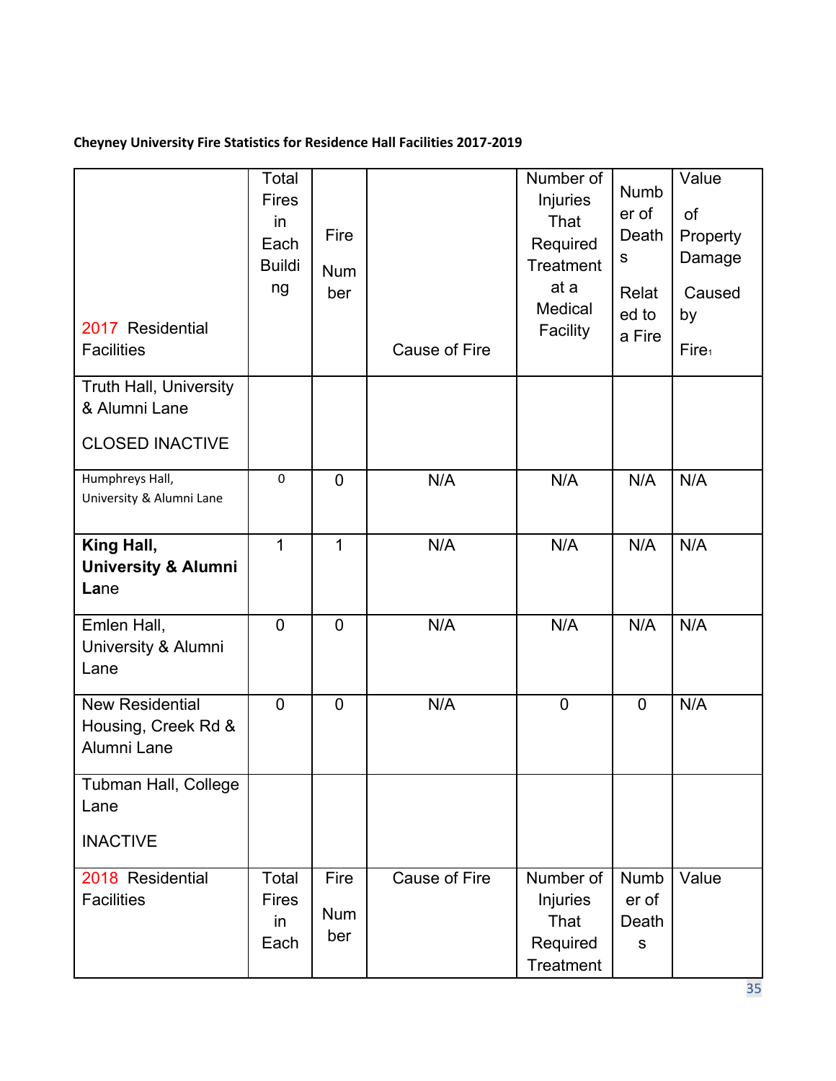**Cheyney University Fire Statistics for Residence Hall Facilities 2017-2019**

| 2017 Residential<br><b>Facilities</b>                                    | Total<br><b>Fires</b><br>in<br>Each<br><b>Buildi</b><br>ng | Fire<br><b>Num</b><br>ber | Cause of Fire | Number of<br>Injuries<br>That<br>Required<br><b>Treatment</b><br>at a<br>Medical<br>Facility | <b>Numb</b><br>er of<br>Death<br>S<br>Relat<br>ed to<br>a Fire | Value<br>of<br>Property<br>Damage<br>Caused<br>by<br>Fire <sub>1</sub> |
|--------------------------------------------------------------------------|------------------------------------------------------------|---------------------------|---------------|----------------------------------------------------------------------------------------------|----------------------------------------------------------------|------------------------------------------------------------------------|
| <b>Truth Hall, University</b><br>& Alumni Lane<br><b>CLOSED INACTIVE</b> |                                                            |                           |               |                                                                                              |                                                                |                                                                        |
| Humphreys Hall,<br>University & Alumni Lane                              | $\mathbf 0$                                                | $\overline{0}$            | N/A           | N/A                                                                                          | N/A                                                            | N/A                                                                    |
| King Hall,<br><b>University &amp; Alumni</b><br>Lane                     | 1                                                          | 1                         | N/A           | N/A                                                                                          | N/A                                                            | N/A                                                                    |
| Emlen Hall,<br>University & Alumni<br>Lane                               | $\overline{0}$                                             | $\overline{0}$            | N/A           | N/A                                                                                          | N/A                                                            | N/A                                                                    |
| <b>New Residential</b><br>Housing, Creek Rd &<br>Alumni Lane             | $\overline{0}$                                             | $\overline{0}$            | N/A           | $\overline{0}$                                                                               | $\overline{0}$                                                 | N/A                                                                    |
| Tubman Hall, College<br>Lane<br><b>INACTIVE</b>                          |                                                            |                           |               |                                                                                              |                                                                |                                                                        |
| 2018 Residential<br><b>Facilities</b>                                    | Total<br><b>Fires</b><br>in<br>Each                        | Fire<br><b>Num</b><br>ber | Cause of Fire | Number of<br>Injuries<br>That<br>Required<br>Treatment                                       | Numb<br>er of<br>Death<br>$\mathsf{s}$                         | Value                                                                  |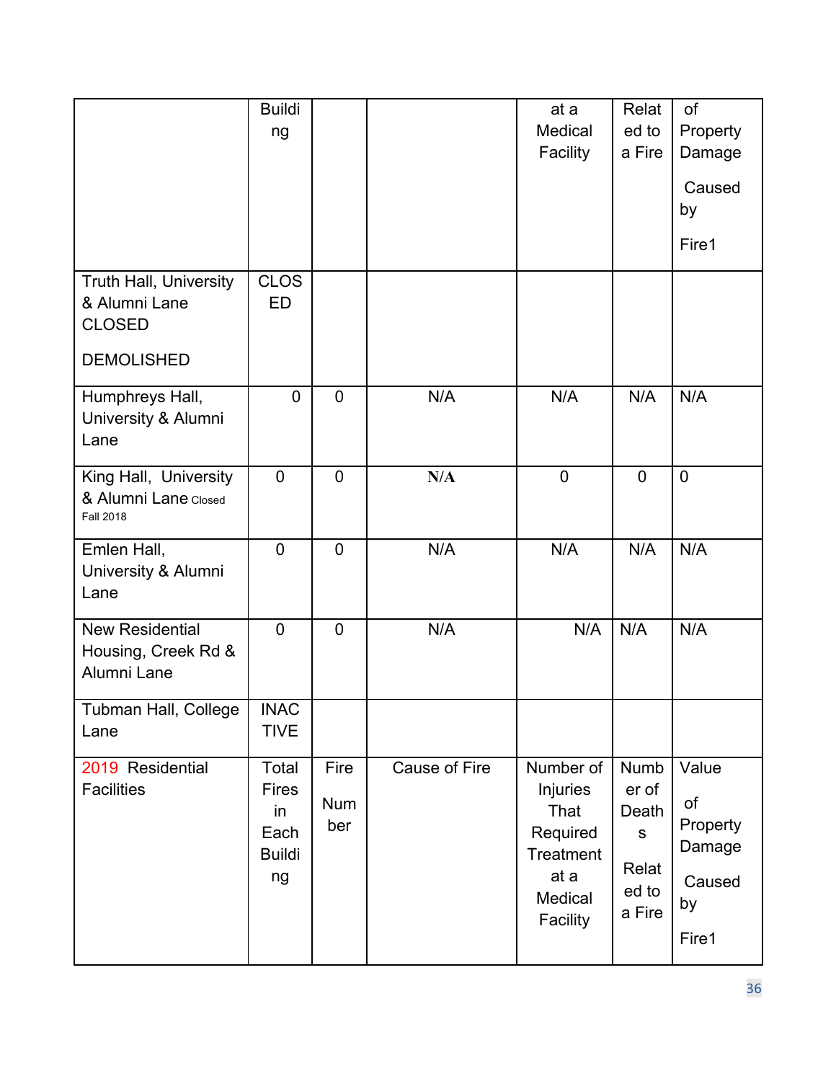|                                                                               | <b>Buildi</b><br>ng                                        |                           |               | at a<br>Medical<br>Facility                                                           | Relat<br>ed to<br>a Fire                                          | of<br>Property<br>Damage<br>Caused<br>by<br>Fire1          |
|-------------------------------------------------------------------------------|------------------------------------------------------------|---------------------------|---------------|---------------------------------------------------------------------------------------|-------------------------------------------------------------------|------------------------------------------------------------|
| Truth Hall, University<br>& Alumni Lane<br><b>CLOSED</b><br><b>DEMOLISHED</b> | <b>CLOS</b><br><b>ED</b>                                   |                           |               |                                                                                       |                                                                   |                                                            |
| Humphreys Hall,<br>University & Alumni<br>Lane                                | $\overline{0}$                                             | $\overline{0}$            | N/A           | N/A                                                                                   | N/A                                                               | N/A                                                        |
| King Hall, University<br>& Alumni Lane Closed<br><b>Fall 2018</b>             | $\overline{0}$                                             | $\overline{0}$            | N/A           | $\overline{0}$                                                                        | $\Omega$                                                          | $\overline{0}$                                             |
| Emlen Hall,<br>University & Alumni<br>Lane                                    | $\mathbf 0$                                                | $\overline{0}$            | N/A           | N/A                                                                                   | N/A                                                               | N/A                                                        |
| <b>New Residential</b><br>Housing, Creek Rd &<br>Alumni Lane                  | $\overline{0}$                                             | $\overline{0}$            | N/A           | N/A                                                                                   | N/A                                                               | N/A                                                        |
| <b>Tubman Hall, College</b><br>Lane                                           | <b>INAC</b><br><b>TIVE</b>                                 |                           |               |                                                                                       |                                                                   |                                                            |
| 2019 Residential<br><b>Facilities</b>                                         | Total<br><b>Fires</b><br>in<br>Each<br><b>Buildi</b><br>ng | Fire<br><b>Num</b><br>ber | Cause of Fire | Number of<br>Injuries<br>That<br>Required<br>Treatment<br>at a<br>Medical<br>Facility | Numb<br>er of<br>Death<br>$\mathsf S$<br>Relat<br>ed to<br>a Fire | Value<br>of<br>Property<br>Damage<br>Caused<br>by<br>Fire1 |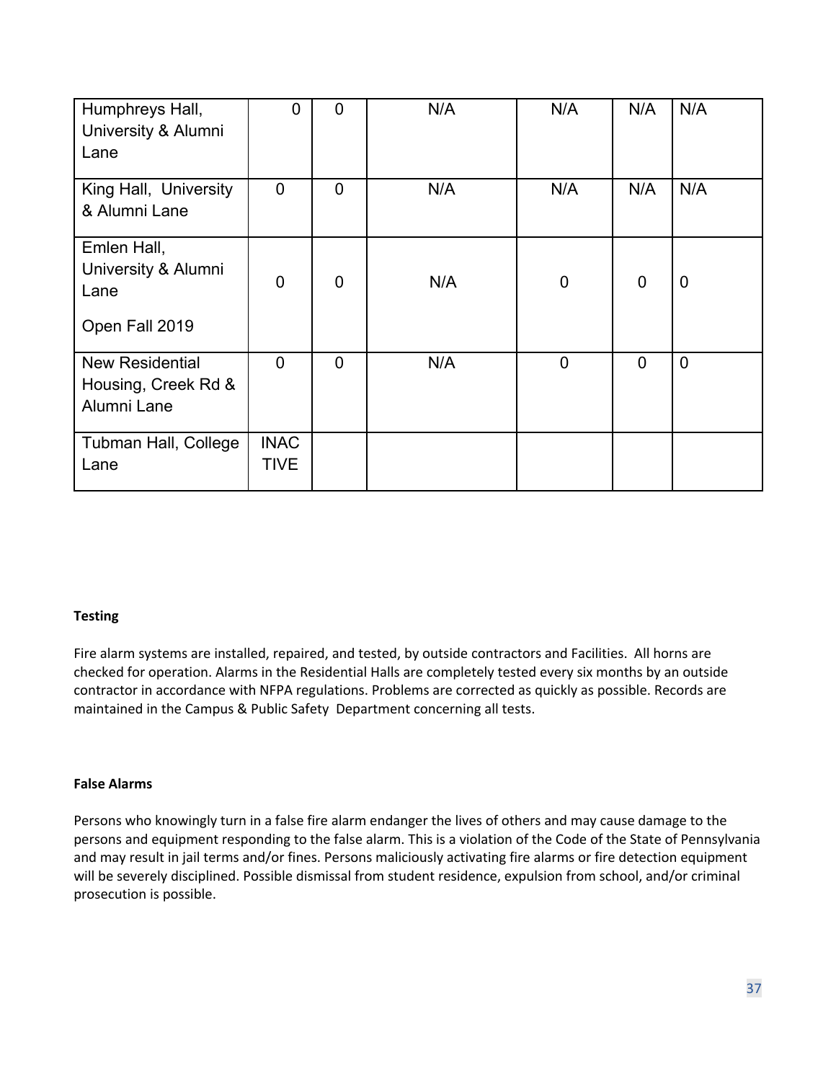| Humphreys Hall,<br>University & Alumni<br>Lane               | $\overline{0}$      | $\overline{0}$ | N/A | N/A            | N/A            | N/A            |
|--------------------------------------------------------------|---------------------|----------------|-----|----------------|----------------|----------------|
| King Hall, University<br>& Alumni Lane                       | $\overline{0}$      | $\overline{0}$ | N/A | N/A            | N/A            | N/A            |
| Emlen Hall,<br>University & Alumni<br>Lane<br>Open Fall 2019 | $\overline{0}$      | $\overline{0}$ | N/A | $\overline{0}$ | $\overline{0}$ | $\overline{0}$ |
| <b>New Residential</b><br>Housing, Creek Rd &<br>Alumni Lane | $\overline{0}$      | $\overline{0}$ | N/A | $\overline{0}$ | $\Omega$       | $\overline{0}$ |
| Tubman Hall, College<br>Lane                                 | <b>INAC</b><br>TIVE |                |     |                |                |                |

#### **Testing**

Fire alarm systems are installed, repaired, and tested, by outside contractors and Facilities. All horns are checked for operation. Alarms in the Residential Halls are completely tested every six months by an outside contractor in accordance with NFPA regulations. Problems are corrected as quickly as possible. Records are maintained in the Campus & Public Safety Department concerning all tests.

#### **False Alarms**

Persons who knowingly turn in a false fire alarm endanger the lives of others and may cause damage to the persons and equipment responding to the false alarm. This is a violation of the Code of the State of Pennsylvania and may result in jail terms and/or fines. Persons maliciously activating fire alarms or fire detection equipment will be severely disciplined. Possible dismissal from student residence, expulsion from school, and/or criminal prosecution is possible.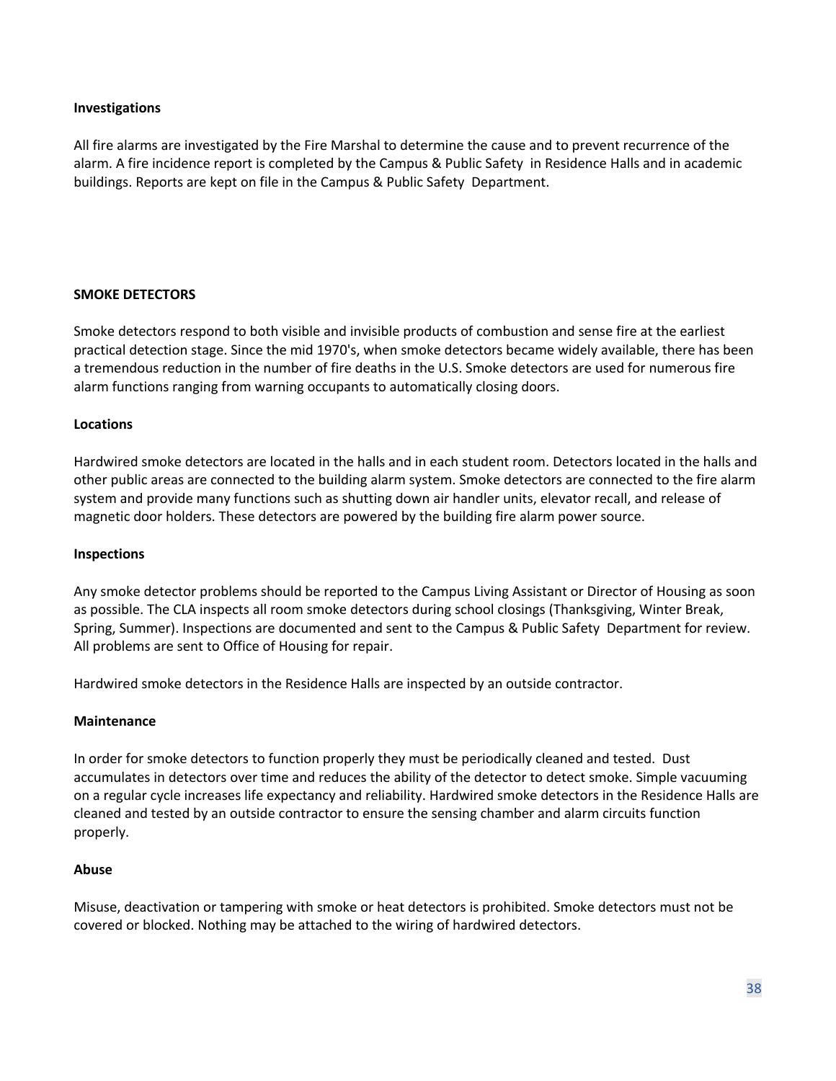#### **Investigations**

All fire alarms are investigated by the Fire Marshal to determine the cause and to prevent recurrence of the alarm. A fire incidence report is completed by the Campus & Public Safety in Residence Halls and in academic buildings. Reports are kept on file in the Campus & Public Safety Department.

#### **SMOKE DETECTORS**

Smoke detectors respond to both visible and invisible products of combustion and sense fire at the earliest practical detection stage. Since the mid 1970's, when smoke detectors became widely available, there has been a tremendous reduction in the number of fire deaths in the U.S. Smoke detectors are used for numerous fire alarm functions ranging from warning occupants to automatically closing doors.

#### **Locations**

Hardwired smoke detectors are located in the halls and in each student room. Detectors located in the halls and other public areas are connected to the building alarm system. Smoke detectors are connected to the fire alarm system and provide many functions such as shutting down air handler units, elevator recall, and release of magnetic door holders. These detectors are powered by the building fire alarm power source.

#### **Inspections**

Any smoke detector problems should be reported to the Campus Living Assistant or Director of Housing as soon as possible. The CLA inspects all room smoke detectors during school closings (Thanksgiving, Winter Break, Spring, Summer). Inspections are documented and sent to the Campus & Public Safety Department for review. All problems are sent to Office of Housing for repair.

Hardwired smoke detectors in the Residence Halls are inspected by an outside contractor.

#### **Maintenance**

In order for smoke detectors to function properly they must be periodically cleaned and tested. Dust accumulates in detectors over time and reduces the ability of the detector to detect smoke. Simple vacuuming on a regular cycle increases life expectancy and reliability. Hardwired smoke detectors in the Residence Halls are cleaned and tested by an outside contractor to ensure the sensing chamber and alarm circuits function properly.

#### **Abuse**

Misuse, deactivation or tampering with smoke or heat detectors is prohibited. Smoke detectors must not be covered or blocked. Nothing may be attached to the wiring of hardwired detectors.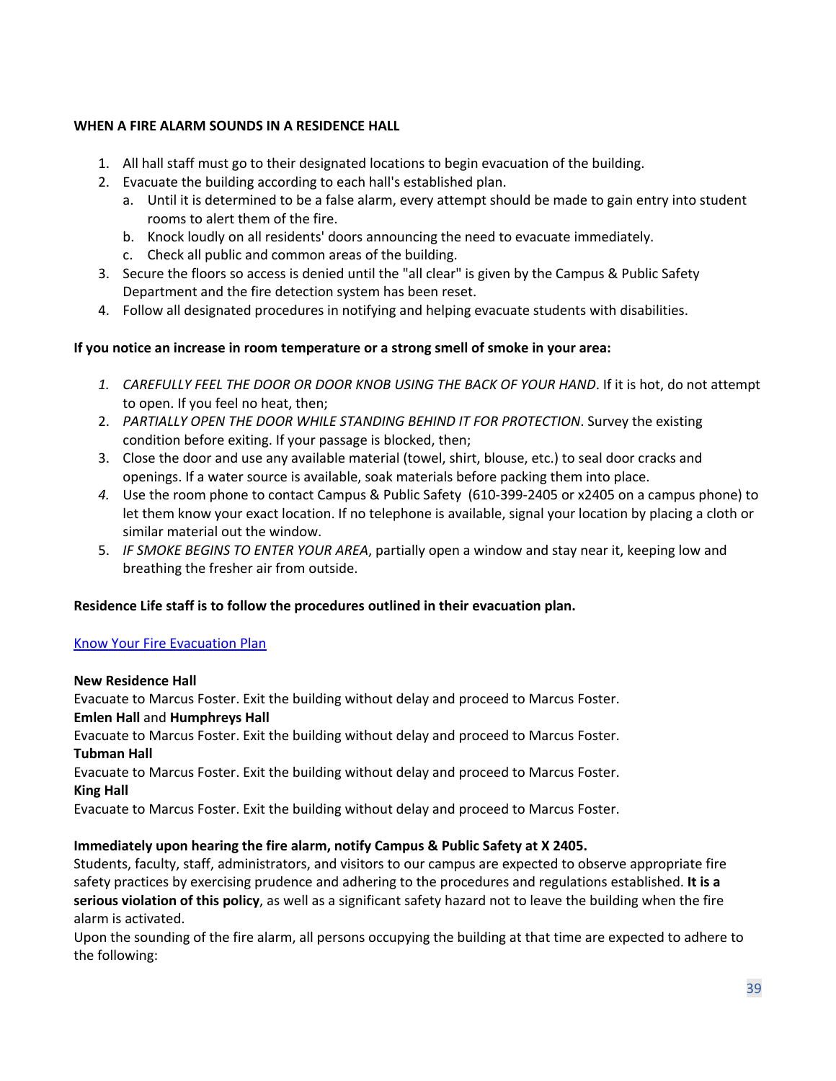#### **WHEN A FIRE ALARM SOUNDS IN A RESIDENCE HALL**

- 1. All hall staff must go to their designated locations to begin evacuation of the building.
- 2. Evacuate the building according to each hall's established plan.
	- a. Until it is determined to be a false alarm, every attempt should be made to gain entry into student rooms to alert them of the fire.
	- b. Knock loudly on all residents' doors announcing the need to evacuate immediately.
	- c. Check all public and common areas of the building.
- 3. Secure the floors so access is denied until the "all clear" is given by the Campus & Public Safety Department and the fire detection system has been reset.
- 4. Follow all designated procedures in notifying and helping evacuate students with disabilities.

#### **If you notice an increase in room temperature or a strong smell of smoke in your area:**

- *1. CAREFULLY FEEL THE DOOR OR DOOR KNOB USING THE BACK OF YOUR HAND*. If it is hot, do not attempt to open. If you feel no heat, then;
- 2. *PARTIALLY OPEN THE DOOR WHILE STANDING BEHIND IT FOR PROTECTION*. Survey the existing condition before exiting. If your passage is blocked, then;
- 3. Close the door and use any available material (towel, shirt, blouse, etc.) to seal door cracks and openings. If a water source is available, soak materials before packing them into place.
- *4.* Use the room phone to contact Campus & Public Safety (610-399-2405 or x2405 on a campus phone) to let them know your exact location. If no telephone is available, signal your location by placing a cloth or similar material out the window.
- 5. *IF SMOKE BEGINS TO ENTER YOUR AREA*, partially open a window and stay near it, keeping low and breathing the fresher air from outside.

#### **Residence Life staff is to follow the procedures outlined in their evacuation plan.**

#### Know Your Fire Evacuation Plan

#### **New Residence Hall**

Evacuate to Marcus Foster. Exit the building without delay and proceed to Marcus Foster. **Emlen Hall** and **Humphreys Hall**

Evacuate to Marcus Foster. Exit the building without delay and proceed to Marcus Foster. **Tubman Hall**

Evacuate to Marcus Foster. Exit the building without delay and proceed to Marcus Foster. **King Hall**

Evacuate to Marcus Foster. Exit the building without delay and proceed to Marcus Foster.

#### **Immediately upon hearing the fire alarm, notify Campus & Public Safety at X 2405.**

Students, faculty, staff, administrators, and visitors to our campus are expected to observe appropriate fire safety practices by exercising prudence and adhering to the procedures and regulations established. **It is a serious violation of this policy**, as well as a significant safety hazard not to leave the building when the fire alarm is activated.

Upon the sounding of the fire alarm, all persons occupying the building at that time are expected to adhere to the following: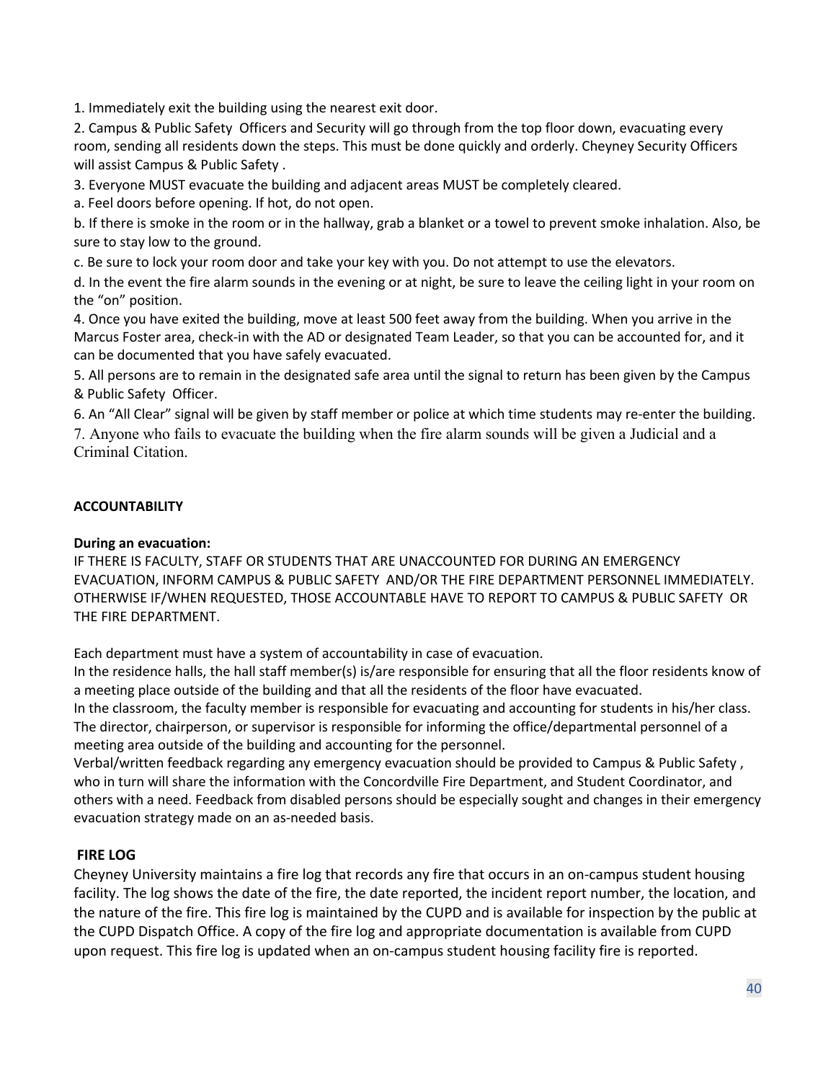1. Immediately exit the building using the nearest exit door.

2. Campus & Public Safety Officers and Security will go through from the top floor down, evacuating every room, sending all residents down the steps. This must be done quickly and orderly. Cheyney Security Officers will assist Campus & Public Safety .

3. Everyone MUST evacuate the building and adjacent areas MUST be completely cleared.

a. Feel doors before opening. If hot, do not open.

b. If there is smoke in the room or in the hallway, grab a blanket or a towel to prevent smoke inhalation. Also, be sure to stay low to the ground.

c. Be sure to lock your room door and take your key with you. Do not attempt to use the elevators.

d. In the event the fire alarm sounds in the evening or at night, be sure to leave the ceiling light in your room on the "on" position.

4. Once you have exited the building, move at least 500 feet away from the building. When you arrive in the Marcus Foster area, check-in with the AD or designated Team Leader, so that you can be accounted for, and it can be documented that you have safely evacuated.

5. All persons are to remain in the designated safe area until the signal to return has been given by the Campus & Public Safety Officer.

6. An "All Clear" signal will be given by staff member or police at which time students may re-enter the building.

7. Anyone who fails to evacuate the building when the fire alarm sounds will be given a Judicial and a Criminal Citation.

#### **ACCOUNTABILITY**

#### **During an evacuation:**

IF THERE IS FACULTY, STAFF OR STUDENTS THAT ARE UNACCOUNTED FOR DURING AN EMERGENCY EVACUATION, INFORM CAMPUS & PUBLIC SAFETY AND/OR THE FIRE DEPARTMENT PERSONNEL IMMEDIATELY. OTHERWISE IF/WHEN REQUESTED, THOSE ACCOUNTABLE HAVE TO REPORT TO CAMPUS & PUBLIC SAFETY OR THE FIRE DEPARTMENT.

Each department must have a system of accountability in case of evacuation.

In the residence halls, the hall staff member(s) is/are responsible for ensuring that all the floor residents know of a meeting place outside of the building and that all the residents of the floor have evacuated.

In the classroom, the faculty member is responsible for evacuating and accounting for students in his/her class. The director, chairperson, or supervisor is responsible for informing the office/departmental personnel of a meeting area outside of the building and accounting for the personnel.

Verbal/written feedback regarding any emergency evacuation should be provided to Campus & Public Safety , who in turn will share the information with the Concordville Fire Department, and Student Coordinator, and others with a need. Feedback from disabled persons should be especially sought and changes in their emergency evacuation strategy made on an as-needed basis.

#### **FIRE LOG**

Cheyney University maintains a fire log that records any fire that occurs in an on-campus student housing facility. The log shows the date of the fire, the date reported, the incident report number, the location, and the nature of the fire. This fire log is maintained by the CUPD and is available for inspection by the public at the CUPD Dispatch Office. A copy of the fire log and appropriate documentation is available from CUPD upon request. This fire log is updated when an on-campus student housing facility fire is reported.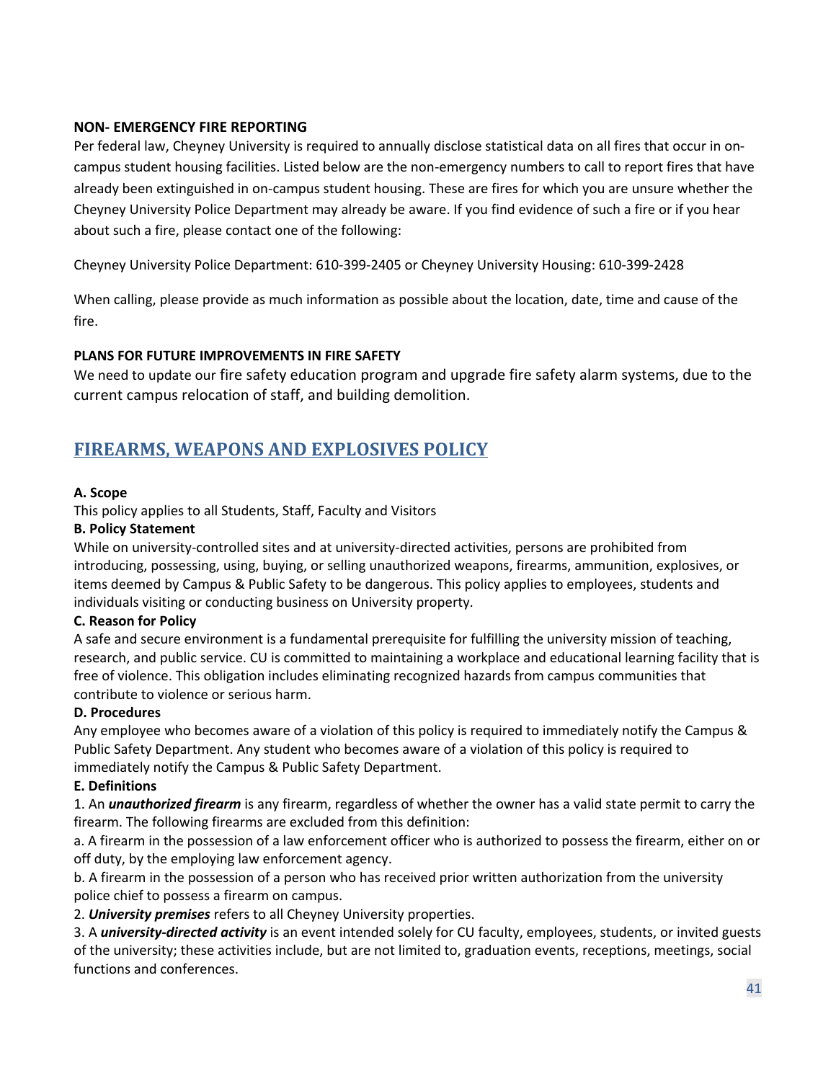#### **NON- EMERGENCY FIRE REPORTING**

Per federal law, Cheyney University is required to annually disclose statistical data on all fires that occur in oncampus student housing facilities. Listed below are the non-emergency numbers to call to report fires that have already been extinguished in on-campus student housing. These are fires for which you are unsure whether the Cheyney University Police Department may already be aware. If you find evidence of such a fire or if you hear about such a fire, please contact one of the following:

Cheyney University Police Department: 610-399-2405 or Cheyney University Housing: 610-399-2428

When calling, please provide as much information as possible about the location, date, time and cause of the fire.

#### **PLANS FOR FUTURE IMPROVEMENTS IN FIRE SAFETY**

We need to update our fire safety education program and upgrade fire safety alarm systems, due to the current campus relocation of staff, and building demolition.

## **FIREARMS, WEAPONS AND EXPLOSIVES POLICY**

#### **A. Scope**

This policy applies to all Students, Staff, Faculty and Visitors

#### **B. Policy Statement**

While on university-controlled sites and at university-directed activities, persons are prohibited from introducing, possessing, using, buying, or selling unauthorized weapons, firearms, ammunition, explosives, or items deemed by Campus & Public Safety to be dangerous. This policy applies to employees, students and individuals visiting or conducting business on University property.

#### **C. Reason for Policy**

A safe and secure environment is a fundamental prerequisite for fulfilling the university mission of teaching, research, and public service. CU is committed to maintaining a workplace and educational learning facility that is free of violence. This obligation includes eliminating recognized hazards from campus communities that contribute to violence or serious harm.

#### **D. Procedures**

Any employee who becomes aware of a violation of this policy is required to immediately notify the Campus & Public Safety Department. Any student who becomes aware of a violation of this policy is required to immediately notify the Campus & Public Safety Department.

#### **E. Definitions**

1. An *unauthorized firearm* is any firearm, regardless of whether the owner has a valid state permit to carry the firearm. The following firearms are excluded from this definition:

a. A firearm in the possession of a law enforcement officer who is authorized to possess the firearm, either on or off duty, by the employing law enforcement agency.

b. A firearm in the possession of a person who has received prior written authorization from the university police chief to possess a firearm on campus.

2. *University premises* refers to all Cheyney University properties.

3. A *university-directed activity* is an event intended solely for CU faculty, employees, students, or invited guests of the university; these activities include, but are not limited to, graduation events, receptions, meetings, social functions and conferences.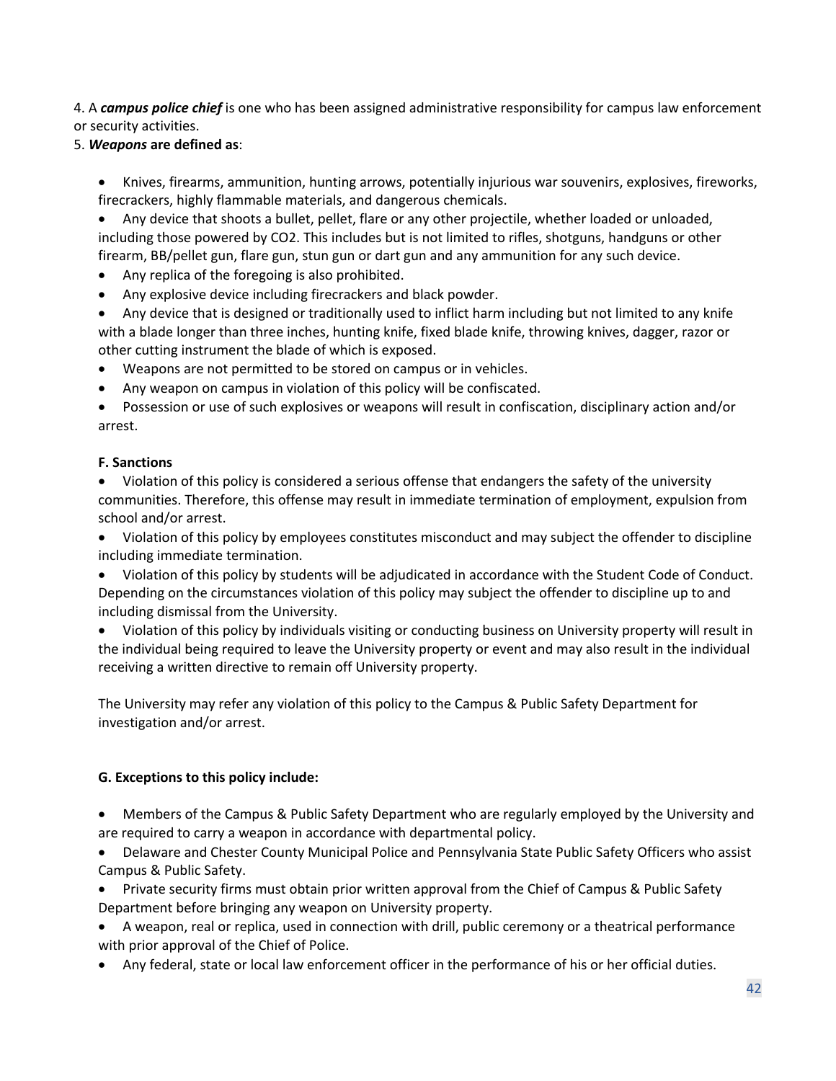4. A *campus police chief* is one who has been assigned administrative responsibility for campus law enforcement or security activities.

#### 5. *Weapons* **are defined as**:

- Knives, firearms, ammunition, hunting arrows, potentially injurious war souvenirs, explosives, fireworks, firecrackers, highly flammable materials, and dangerous chemicals.
- Any device that shoots a bullet, pellet, flare or any other projectile, whether loaded or unloaded, including those powered by CO2. This includes but is not limited to rifles, shotguns, handguns or other firearm, BB/pellet gun, flare gun, stun gun or dart gun and any ammunition for any such device.
- Any replica of the foregoing is also prohibited.
- Any explosive device including firecrackers and black powder.
- Any device that is designed or traditionally used to inflict harm including but not limited to any knife with a blade longer than three inches, hunting knife, fixed blade knife, throwing knives, dagger, razor or other cutting instrument the blade of which is exposed.
- Weapons are not permitted to be stored on campus or in vehicles.
- Any weapon on campus in violation of this policy will be confiscated.
- Possession or use of such explosives or weapons will result in confiscation, disciplinary action and/or arrest.

#### **F. Sanctions**

• Violation of this policy is considered a serious offense that endangers the safety of the university communities. Therefore, this offense may result in immediate termination of employment, expulsion from school and/or arrest.

• Violation of this policy by employees constitutes misconduct and may subject the offender to discipline including immediate termination.

• Violation of this policy by students will be adjudicated in accordance with the Student Code of Conduct. Depending on the circumstances violation of this policy may subject the offender to discipline up to and including dismissal from the University.

• Violation of this policy by individuals visiting or conducting business on University property will result in the individual being required to leave the University property or event and may also result in the individual receiving a written directive to remain off University property.

The University may refer any violation of this policy to the Campus & Public Safety Department for investigation and/or arrest.

#### **G. Exceptions to this policy include:**

- Members of the Campus & Public Safety Department who are regularly employed by the University and are required to carry a weapon in accordance with departmental policy.
- Delaware and Chester County Municipal Police and Pennsylvania State Public Safety Officers who assist Campus & Public Safety.
- Private security firms must obtain prior written approval from the Chief of Campus & Public Safety Department before bringing any weapon on University property.
- A weapon, real or replica, used in connection with drill, public ceremony or a theatrical performance with prior approval of the Chief of Police.
- Any federal, state or local law enforcement officer in the performance of his or her official duties.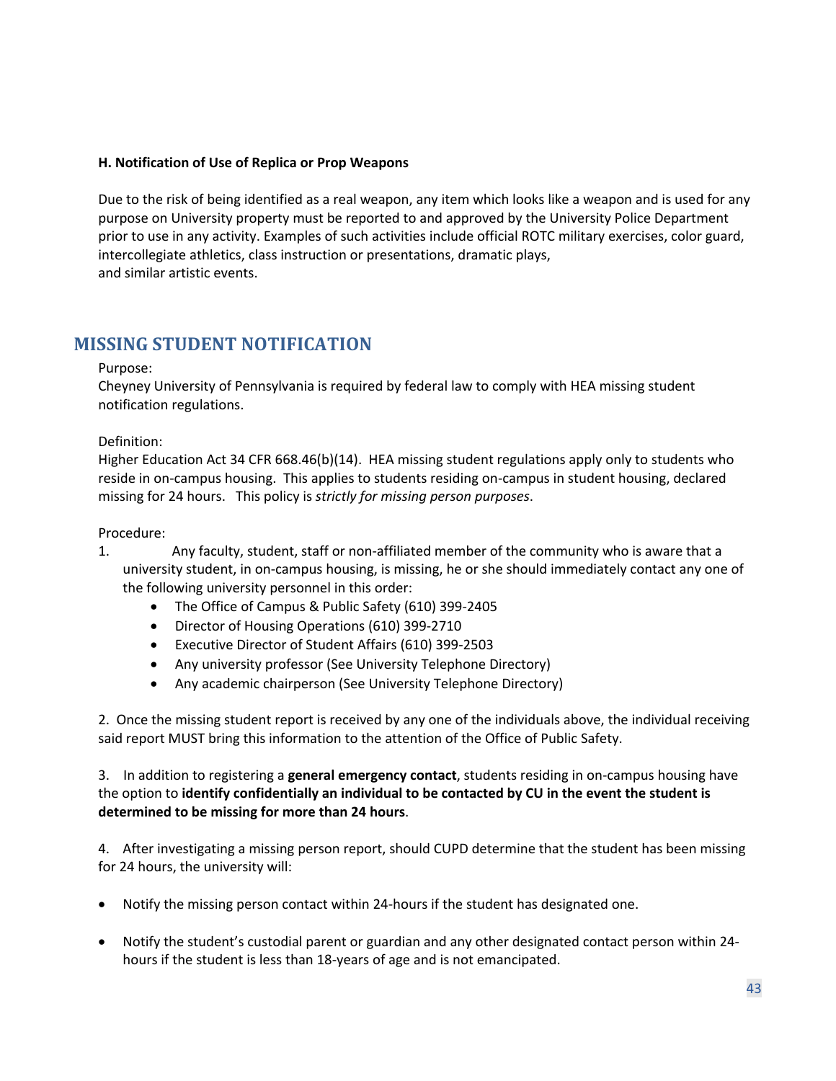#### **H. Notification of Use of Replica or Prop Weapons**

Due to the risk of being identified as a real weapon, any item which looks like a weapon and is used for any purpose on University property must be reported to and approved by the University Police Department prior to use in any activity. Examples of such activities include official ROTC military exercises, color guard, intercollegiate athletics, class instruction or presentations, dramatic plays, and similar artistic events.

## **MISSING STUDENT NOTIFICATION**

#### Purpose:

Cheyney University of Pennsylvania is required by federal law to comply with HEA missing student notification regulations.

#### Definition:

Higher Education Act 34 CFR 668.46(b)(14). HEA missing student regulations apply only to students who reside in on-campus housing. This applies to students residing on-campus in student housing, declared missing for 24 hours. This policy is *strictly for missing person purposes*.

#### Procedure:

- 1. Any faculty, student, staff or non-affiliated member of the community who is aware that a university student, in on-campus housing, is missing, he or she should immediately contact any one of the following university personnel in this order:
	- The Office of Campus & Public Safety (610) 399-2405
	- Director of Housing Operations (610) 399-2710
	- Executive Director of Student Affairs (610) 399-2503
	- Any university professor (See University Telephone Directory)
	- Any academic chairperson (See University Telephone Directory)

2. Once the missing student report is received by any one of the individuals above, the individual receiving said report MUST bring this information to the attention of the Office of Public Safety.

3. In addition to registering a **general emergency contact**, students residing in on-campus housing have the option to **identify confidentially an individual to be contacted by CU in the event the student is determined to be missing for more than 24 hours**.

4. After investigating a missing person report, should CUPD determine that the student has been missing for 24 hours, the university will:

- Notify the missing person contact within 24-hours if the student has designated one.
- Notify the student's custodial parent or guardian and any other designated contact person within 24 hours if the student is less than 18-years of age and is not emancipated.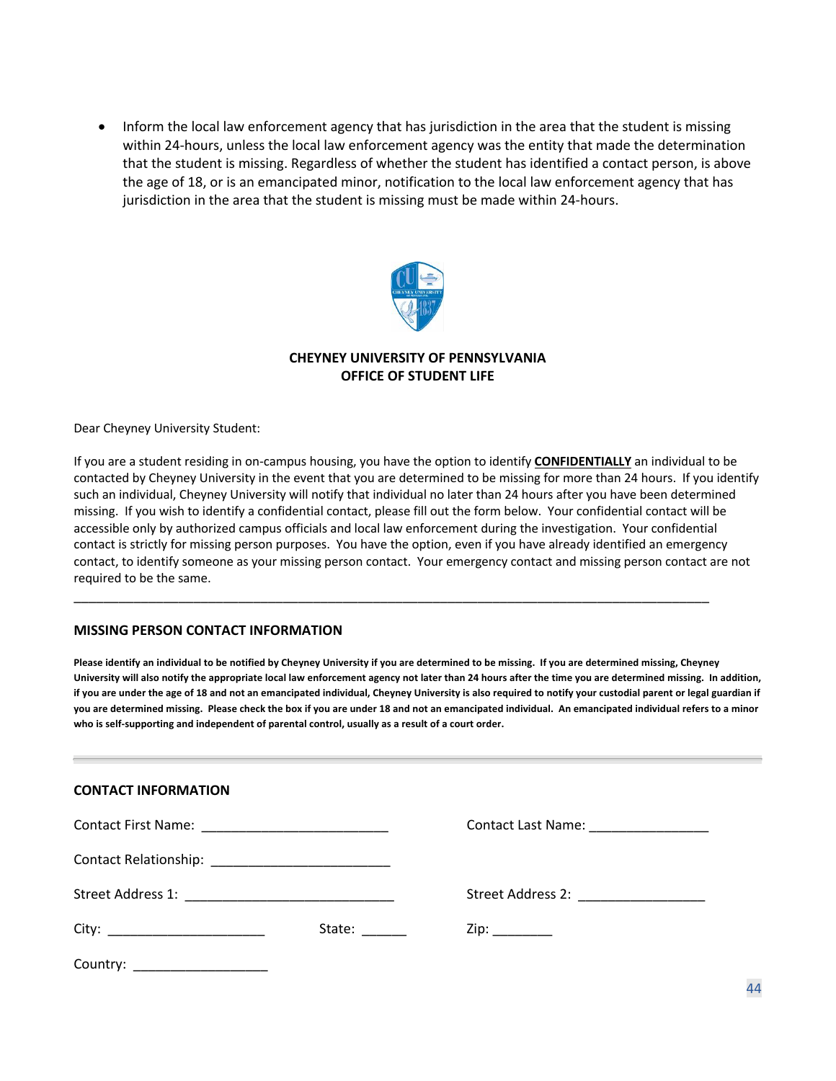• Inform the local law enforcement agency that has jurisdiction in the area that the student is missing within 24-hours, unless the local law enforcement agency was the entity that made the determination that the student is missing. Regardless of whether the student has identified a contact person, is above the age of 18, or is an emancipated minor, notification to the local law enforcement agency that has jurisdiction in the area that the student is missing must be made within 24-hours.



#### **CHEYNEY UNIVERSITY OF PENNSYLVANIA OFFICE OF STUDENT LIFE**

Dear Cheyney University Student:

If you are a student residing in on-campus housing, you have the option to identify **CONFIDENTIALLY** an individual to be contacted by Cheyney University in the event that you are determined to be missing for more than 24 hours. If you identify such an individual, Cheyney University will notify that individual no later than 24 hours after you have been determined missing. If you wish to identify a confidential contact, please fill out the form below. Your confidential contact will be accessible only by authorized campus officials and local law enforcement during the investigation. Your confidential contact is strictly for missing person purposes. You have the option, even if you have already identified an emergency contact, to identify someone as your missing person contact. Your emergency contact and missing person contact are not required to be the same.

\_\_\_\_\_\_\_\_\_\_\_\_\_\_\_\_\_\_\_\_\_\_\_\_\_\_\_\_\_\_\_\_\_\_\_\_\_\_\_\_\_\_\_\_\_\_\_\_\_\_\_\_\_\_\_\_\_\_\_\_\_\_\_\_\_\_\_\_\_\_\_\_\_\_\_\_\_\_\_\_\_\_\_\_\_

#### **MISSING PERSON CONTACT INFORMATION**

**Please identify an individual to be notified by Cheyney University if you are determined to be missing. If you are determined missing, Cheyney University will also notify the appropriate local law enforcement agency not later than 24 hours after the time you are determined missing. In addition, if you are under the age of 18 and not an emancipated individual, Cheyney University is also required to notify your custodial parent or legal guardian if you are determined missing. Please check the box if you are under 18 and not an emancipated individual. An emancipated individual refers to a minor who is self-supporting and independent of parental control, usually as a result of a court order.** 

| <b>CONTACT INFORMATION</b>    |        |                                      |
|-------------------------------|--------|--------------------------------------|
|                               |        | Contact Last Name: _________________ |
|                               |        |                                      |
|                               |        |                                      |
|                               | State: | Zip: ________                        |
| Country: ____________________ |        |                                      |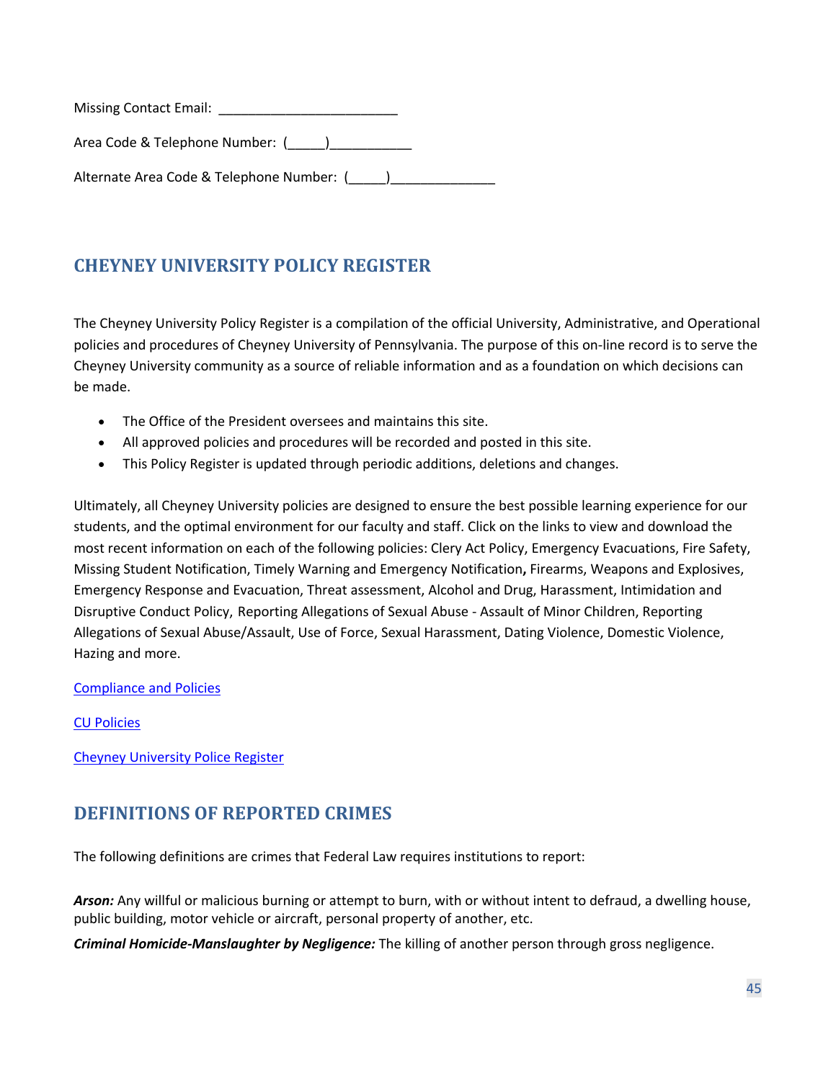Missing Contact Email: \_\_\_\_\_\_\_\_\_\_\_\_\_\_\_\_\_\_\_\_\_\_\_\_

Area Code & Telephone Number: (2008)

Alternate Area Code & Telephone Number: (Completed all alternative Area Code & Telephone Number: (Completed al

## **CHEYNEY UNIVERSITY POLICY REGISTER**

The Cheyney University Policy Register is a compilation of the official University, Administrative, and Operational policies and procedures of Cheyney University of Pennsylvania. The purpose of this on-line record is to serve the Cheyney University community as a source of reliable information and as a foundation on which decisions can be made.

- The Office of the President oversees and maintains this site.
- All approved policies and procedures will be recorded and posted in this site.
- This Policy Register is updated through periodic additions, deletions and changes.

Ultimately, all Cheyney University policies are designed to ensure the best possible learning experience for our students, and the optimal environment for our faculty and staff. Click on the links to view and download the most recent information on each of the following policies: Clery Act Policy, Emergency Evacuations, Fire Safety, Missing Student Notification, Timely Warning and Emergency Notification**,** Firearms, Weapons and Explosives, Emergency Response and Evacuation, Threat assessment, Alcohol and Drug, Harassment, Intimidation and Disruptive Conduct Policy, Reporting Allegations of Sexual Abuse - Assault of Minor Children, Reporting Allegations of Sexual Abuse/Assault, Use of Force, Sexual Harassment, Dating Violence, Domestic Violence, Hazing and more.

#### Compliance and Policies

CU Policies

Cheyney University Police Register

## **DEFINITIONS OF REPORTED CRIMES**

The following definitions are crimes that Federal Law requires institutions to report:

*Arson:* Any willful or malicious burning or attempt to burn, with or without intent to defraud, a dwelling house, public building, motor vehicle or aircraft, personal property of another, etc.

*Criminal Homicide-Manslaughter by Negligence:* The killing of another person through gross negligence.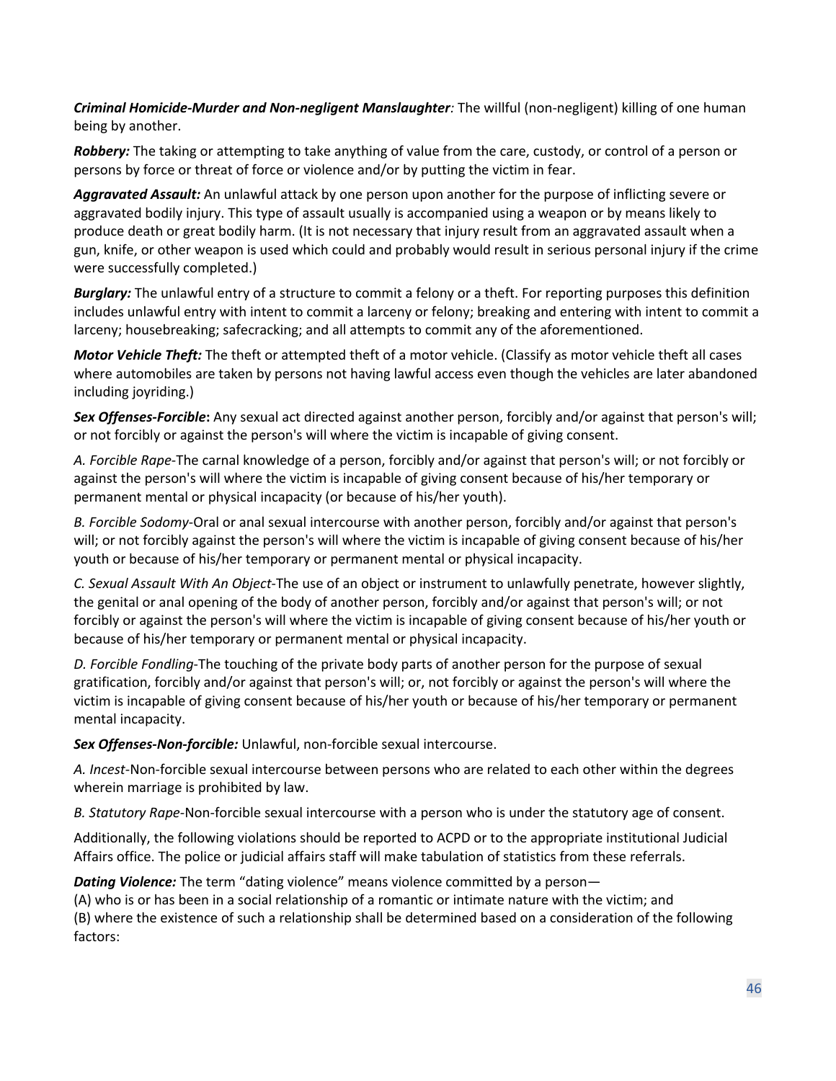*Criminal Homicide-Murder and Non-negligent Manslaughter:* The willful (non-negligent) killing of one human being by another.

*Robbery:* The taking or attempting to take anything of value from the care, custody, or control of a person or persons by force or threat of force or violence and/or by putting the victim in fear.

*Aggravated Assault:* An unlawful attack by one person upon another for the purpose of inflicting severe or aggravated bodily injury. This type of assault usually is accompanied using a weapon or by means likely to produce death or great bodily harm. (It is not necessary that injury result from an aggravated assault when a gun, knife, or other weapon is used which could and probably would result in serious personal injury if the crime were successfully completed.)

*Burglary:* The unlawful entry of a structure to commit a felony or a theft. For reporting purposes this definition includes unlawful entry with intent to commit a larceny or felony; breaking and entering with intent to commit a larceny; housebreaking; safecracking; and all attempts to commit any of the aforementioned.

*Motor Vehicle Theft:* The theft or attempted theft of a motor vehicle. (Classify as motor vehicle theft all cases where automobiles are taken by persons not having lawful access even though the vehicles are later abandoned including joyriding.)

*Sex Offenses-Forcible***:** Any sexual act directed against another person, forcibly and/or against that person's will; or not forcibly or against the person's will where the victim is incapable of giving consent.

*A. Forcible Rape*-The carnal knowledge of a person, forcibly and/or against that person's will; or not forcibly or against the person's will where the victim is incapable of giving consent because of his/her temporary or permanent mental or physical incapacity (or because of his/her youth).

*B. Forcible Sodomy*-Oral or anal sexual intercourse with another person, forcibly and/or against that person's will; or not forcibly against the person's will where the victim is incapable of giving consent because of his/her youth or because of his/her temporary or permanent mental or physical incapacity.

*C. Sexual Assault With An Object*-The use of an object or instrument to unlawfully penetrate, however slightly, the genital or anal opening of the body of another person, forcibly and/or against that person's will; or not forcibly or against the person's will where the victim is incapable of giving consent because of his/her youth or because of his/her temporary or permanent mental or physical incapacity.

*D. Forcible Fondling*-The touching of the private body parts of another person for the purpose of sexual gratification, forcibly and/or against that person's will; or, not forcibly or against the person's will where the victim is incapable of giving consent because of his/her youth or because of his/her temporary or permanent mental incapacity.

*Sex Offenses-Non-forcible:* Unlawful, non-forcible sexual intercourse.

*A. Incest*-Non-forcible sexual intercourse between persons who are related to each other within the degrees wherein marriage is prohibited by law.

*B. Statutory Rape*-Non-forcible sexual intercourse with a person who is under the statutory age of consent.

Additionally, the following violations should be reported to ACPD or to the appropriate institutional Judicial Affairs office. The police or judicial affairs staff will make tabulation of statistics from these referrals.

*Dating Violence:* The term "dating violence" means violence committed by a person—

(A) who is or has been in a social relationship of a romantic or intimate nature with the victim; and

(B) where the existence of such a relationship shall be determined based on a consideration of the following factors: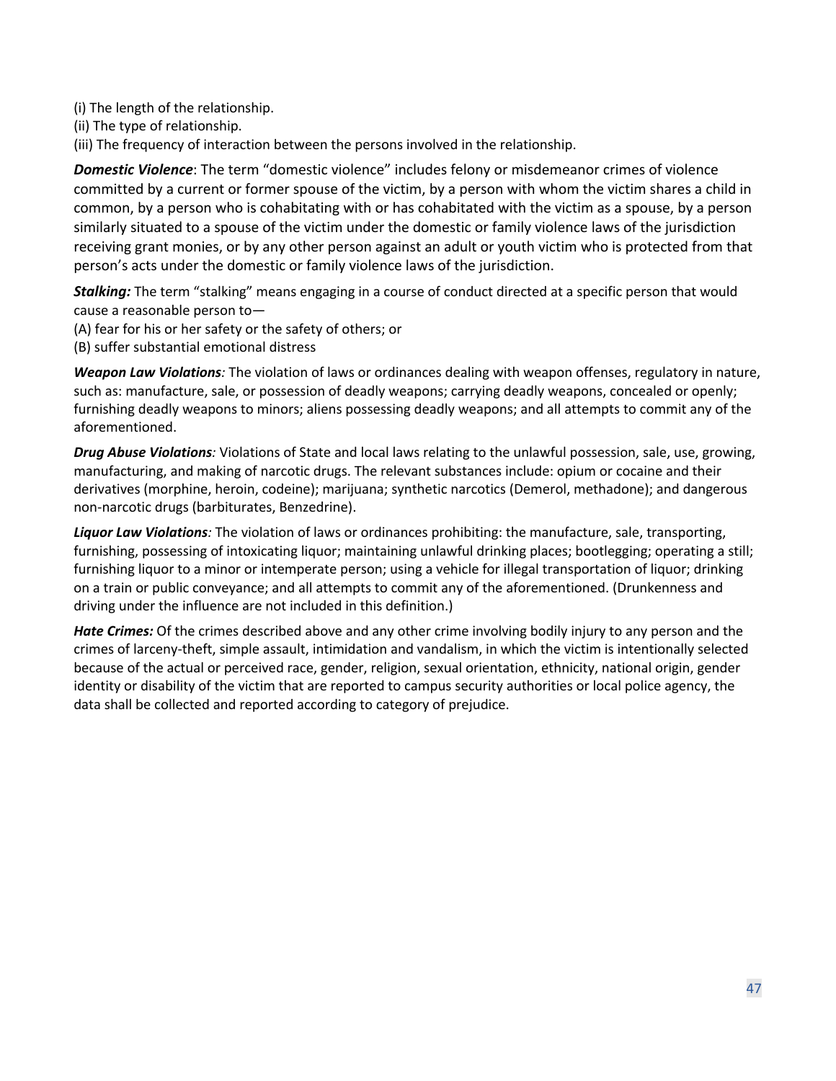(i) The length of the relationship.

- (ii) The type of relationship.
- (iii) The frequency of interaction between the persons involved in the relationship.

*Domestic Violence*: The term "domestic violence" includes felony or misdemeanor crimes of violence committed by a current or former spouse of the victim, by a person with whom the victim shares a child in common, by a person who is cohabitating with or has cohabitated with the victim as a spouse, by a person similarly situated to a spouse of the victim under the domestic or family violence laws of the jurisdiction receiving grant monies, or by any other person against an adult or youth victim who is protected from that person's acts under the domestic or family violence laws of the jurisdiction.

*Stalking:* The term "stalking" means engaging in a course of conduct directed at a specific person that would cause a reasonable person to—

- (A) fear for his or her safety or the safety of others; or
- (B) suffer substantial emotional distress

*Weapon Law Violations:* The violation of laws or ordinances dealing with weapon offenses, regulatory in nature, such as: manufacture, sale, or possession of deadly weapons; carrying deadly weapons, concealed or openly; furnishing deadly weapons to minors; aliens possessing deadly weapons; and all attempts to commit any of the aforementioned.

*Drug Abuse Violations:* Violations of State and local laws relating to the unlawful possession, sale, use, growing, manufacturing, and making of narcotic drugs. The relevant substances include: opium or cocaine and their derivatives (morphine, heroin, codeine); marijuana; synthetic narcotics (Demerol, methadone); and dangerous non-narcotic drugs (barbiturates, Benzedrine).

*Liquor Law Violations:* The violation of laws or ordinances prohibiting: the manufacture, sale, transporting, furnishing, possessing of intoxicating liquor; maintaining unlawful drinking places; bootlegging; operating a still; furnishing liquor to a minor or intemperate person; using a vehicle for illegal transportation of liquor; drinking on a train or public conveyance; and all attempts to commit any of the aforementioned. (Drunkenness and driving under the influence are not included in this definition.)

*Hate Crimes:* Of the crimes described above and any other crime involving bodily injury to any person and the crimes of larceny-theft, simple assault, intimidation and vandalism, in which the victim is intentionally selected because of the actual or perceived race, gender, religion, sexual orientation, ethnicity, national origin, gender identity or disability of the victim that are reported to campus security authorities or local police agency, the data shall be collected and reported according to category of prejudice.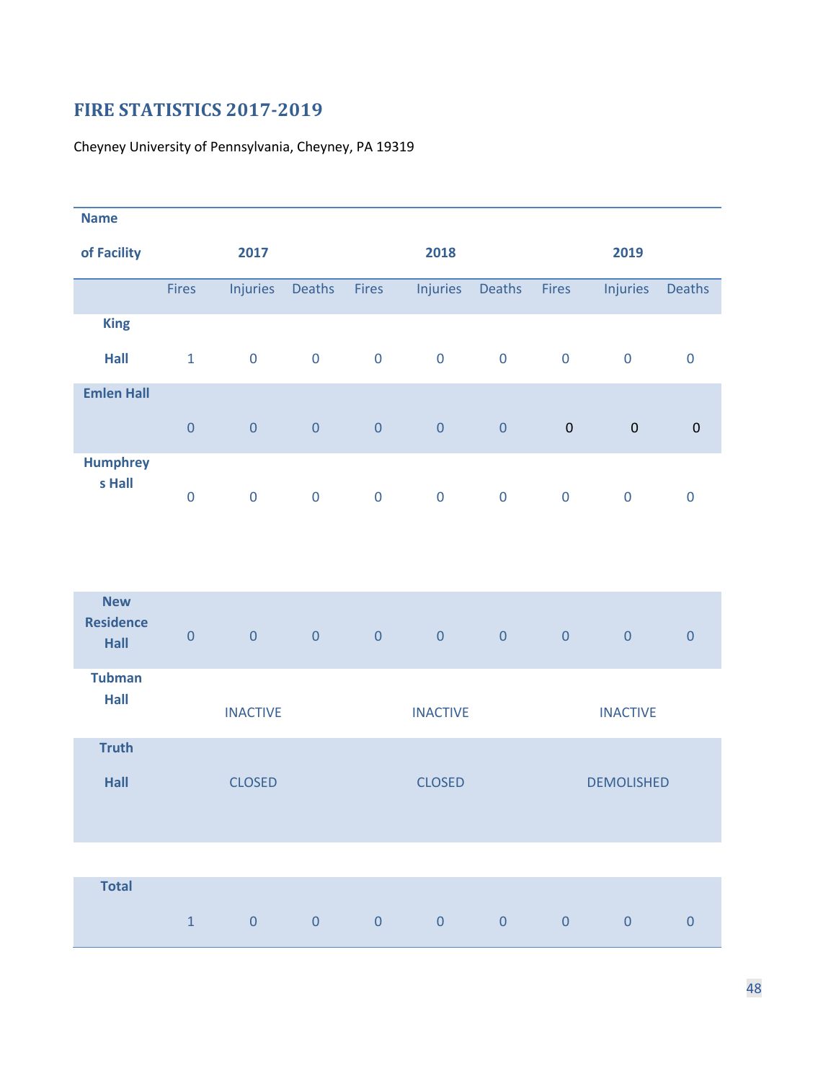## **FIRE STATISTICS 2017-2019**

Cheyney University of Pennsylvania, Cheyney, PA 19319

| <b>Name</b>               |              |                 |                |              |                 |               |             |                 |                  |  |  |  |
|---------------------------|--------------|-----------------|----------------|--------------|-----------------|---------------|-------------|-----------------|------------------|--|--|--|
| of Facility               |              | 2017            |                |              | 2018            |               |             | 2019            |                  |  |  |  |
|                           | <b>Fires</b> | <b>Injuries</b> | <b>Deaths</b>  | <b>Fires</b> | <b>Injuries</b> | <b>Deaths</b> | Fires       | <b>Injuries</b> | <b>Deaths</b>    |  |  |  |
| <b>King</b>               |              |                 |                |              |                 |               |             |                 |                  |  |  |  |
| <b>Hall</b>               | $\mathbf{1}$ | $\mathbf 0$     | $\mathbf 0$    | $\mathbf 0$  | $\mathbf 0$     | $\pmb{0}$     | $\mathbf 0$ | $\pmb{0}$       | $\mathbf 0$      |  |  |  |
| <b>Emlen Hall</b>         |              |                 |                |              |                 |               |             |                 |                  |  |  |  |
|                           | $\mathbf 0$  | $\overline{0}$  | $\overline{0}$ | $\mathbf{0}$ | $\theta$        | $\theta$      | $\mathbf 0$ | $\mathbf 0$     | $\boldsymbol{0}$ |  |  |  |
| <b>Humphrey</b><br>s Hall | $\mathbf 0$  | $\pmb{0}$       | $\mathbf 0$    | $\mathbf 0$  | $\mathbf 0$     | $\pmb{0}$     | $\mathbf 0$ | $\mathbf 0$     | 0                |  |  |  |

| <b>New</b><br><b>Residence</b><br><b>Hall</b> | $\mathbf 0$  | $\theta$        | $\mathbf{0}$   | $\overline{0}$ | $\mathbf 0$     | $\mathbf{0}$   | $\bf 0$           | $\theta$        | $\mathbf{0}$   |  |  |
|-----------------------------------------------|--------------|-----------------|----------------|----------------|-----------------|----------------|-------------------|-----------------|----------------|--|--|
| <b>Tubman</b><br>Hall                         |              | <b>INACTIVE</b> |                |                | <b>INACTIVE</b> |                |                   | <b>INACTIVE</b> |                |  |  |
| <b>Truth</b><br><b>Hall</b>                   |              | <b>CLOSED</b>   |                |                | <b>CLOSED</b>   |                | <b>DEMOLISHED</b> |                 |                |  |  |
|                                               |              |                 |                |                |                 |                |                   |                 |                |  |  |
| <b>Total</b>                                  | $\mathbf{1}$ | $\overline{0}$  | $\overline{0}$ | $\overline{0}$ | $\overline{0}$  | $\overline{0}$ | $\overline{0}$    | $\overline{0}$  | $\overline{0}$ |  |  |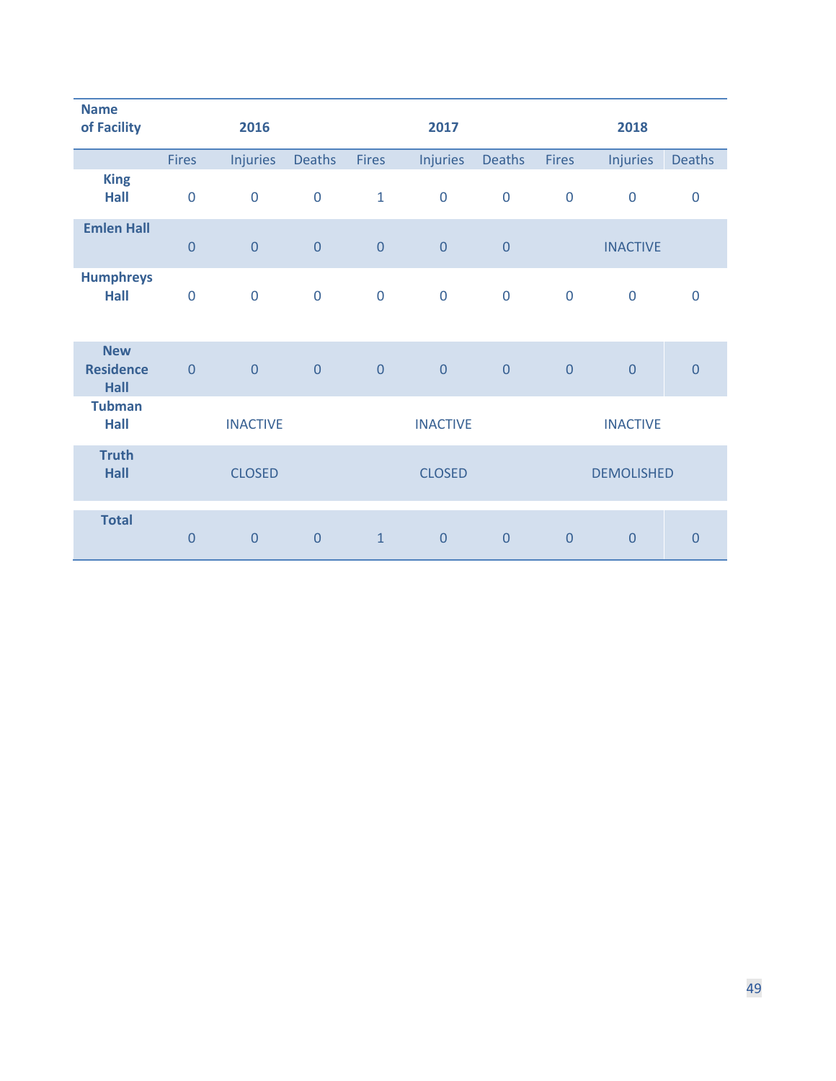| <b>Name</b><br>of Facility                    |                | 2016            |                  |                | 2017            |                | 2018           |                   |                |  |  |
|-----------------------------------------------|----------------|-----------------|------------------|----------------|-----------------|----------------|----------------|-------------------|----------------|--|--|
|                                               | <b>Fires</b>   | <b>Injuries</b> | <b>Deaths</b>    | <b>Fires</b>   | <b>Injuries</b> | <b>Deaths</b>  | <b>Fires</b>   | <b>Injuries</b>   | <b>Deaths</b>  |  |  |
| <b>King</b><br><b>Hall</b>                    | $\mathbf 0$    | $\mathbf 0$     | $\overline{0}$   | $\mathbf{1}$   | $\mathbf 0$     | $\mathbf 0$    | $\mathbf 0$    | $\mathbf 0$       | $\mathbf 0$    |  |  |
| <b>Emlen Hall</b>                             | $\mathbf 0$    | $\mathbf 0$     | $\boldsymbol{0}$ | $\bf 0$        | $\mathbf 0$     | $\mathbf 0$    |                | <b>INACTIVE</b>   |                |  |  |
| <b>Humphreys</b><br>Hall                      | $\overline{0}$ | $\mathbf 0$     | $\overline{0}$   | $\pmb{0}$      | $\bf 0$         | $\mathbf 0$    | $\mathbf 0$    | $\mathbf 0$       | $\mathbf 0$    |  |  |
| <b>New</b><br><b>Residence</b><br><b>Hall</b> | $\overline{0}$ | $\overline{0}$  | $\overline{0}$   | $\overline{0}$ | $\overline{0}$  | $\overline{0}$ | $\overline{0}$ | $\overline{0}$    | $\Omega$       |  |  |
| <b>Tubman</b><br><b>Hall</b>                  |                | <b>INACTIVE</b> |                  |                | <b>INACTIVE</b> |                |                | <b>INACTIVE</b>   |                |  |  |
| <b>Truth</b><br><b>Hall</b>                   |                | <b>CLOSED</b>   |                  |                | <b>CLOSED</b>   |                |                | <b>DEMOLISHED</b> |                |  |  |
| <b>Total</b>                                  | $\mathbf 0$    | $\theta$        | $\boldsymbol{0}$ | $\mathbf{1}$   | $\theta$        | $\theta$       | $\overline{0}$ | $\overline{0}$    | $\overline{0}$ |  |  |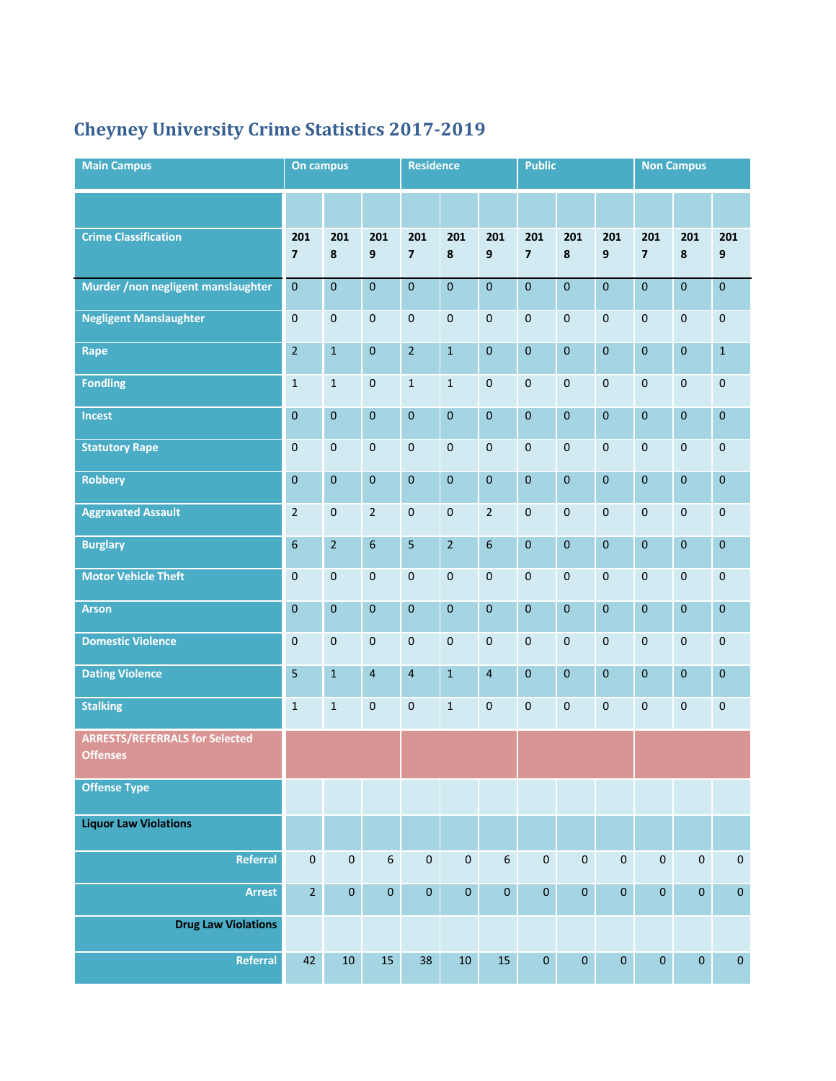# **Cheyney University Crime Statistics 2017-2019**

| <b>Main Campus</b>                    | On campus                      |                  |                         | <b>Residence</b>               |                |                  | <b>Public</b>                  |                  |             | <b>Non Campus</b>              |                  |             |
|---------------------------------------|--------------------------------|------------------|-------------------------|--------------------------------|----------------|------------------|--------------------------------|------------------|-------------|--------------------------------|------------------|-------------|
|                                       |                                |                  |                         |                                |                |                  |                                |                  |             |                                |                  |             |
| <b>Crime Classification</b>           | 201<br>$\overline{\mathbf{z}}$ | 201<br>$\pmb{8}$ | 201<br>$\boldsymbol{9}$ | 201<br>$\overline{\mathbf{z}}$ | 201<br>8       | 201<br>9         | 201<br>$\overline{\mathbf{z}}$ | 201<br>$\pmb{8}$ | 201<br>9    | 201<br>$\overline{\mathbf{z}}$ | 201<br>$\pmb{8}$ | 201<br>9    |
| Murder /non negligent manslaughter    | $\pmb{0}$                      | $\pmb{0}$        | $\pmb{0}$               | $\pmb{0}$                      | $\mathbf 0$    | $\pmb{0}$        | $\pmb{0}$                      | $\pmb{0}$        | $\mathbf 0$ | $\mathbf 0$                    | $\mathbf 0$      | $\pmb{0}$   |
| <b>Negligent Manslaughter</b>         | $\pmb{0}$                      | $\pmb{0}$        | $\pmb{0}$               | $\pmb{0}$                      | $\pmb{0}$      | $\pmb{0}$        | $\pmb{0}$                      | $\pmb{0}$        | $\pmb{0}$   | $\pmb{0}$                      | $\pmb{0}$        | $\pmb{0}$   |
| Rape                                  | $\sqrt{2}$                     | $\mathbf 1$      | $\pmb{0}$               | $\overline{2}$                 | $\mathbf 1$    | $\pmb{0}$        | 0                              | $\pmb{0}$        | $\mathbf 0$ | $\pmb{0}$                      | $\pmb{0}$        | $\mathbf 1$ |
| <b>Fondling</b>                       | $1\,$                          | $\mathbf{1}$     | $\pmb{0}$               | $\mathbf{1}$                   | $1\,$          | $\pmb{0}$        | $\pmb{0}$                      | $\pmb{0}$        | $\mathbf 0$ | $\pmb{0}$                      | $\pmb{0}$        | $\pmb{0}$   |
| <b>Incest</b>                         | $\pmb{0}$                      | $\pmb{0}$        | $\pmb{0}$               | 0                              | $\pmb{0}$      | $\pmb{0}$        | 0                              | $\pmb{0}$        | $\pmb{0}$   | $\pmb{0}$                      | $\pmb{0}$        | $\pmb{0}$   |
| <b>Statutory Rape</b>                 | $\pmb{0}$                      | $\pmb{0}$        | $\pmb{0}$               | 0                              | $\mathbf 0$    | $\pmb{0}$        | 0                              | $\pmb{0}$        | $\mathbf 0$ | $\pmb{0}$                      | $\pmb{0}$        | $\pmb{0}$   |
| <b>Robbery</b>                        | $\pmb{0}$                      | $\pmb{0}$        | $\pmb{0}$               | 0                              | $\mathbf 0$    | $\pmb{0}$        | 0                              | $\pmb{0}$        | $\pmb{0}$   | $\pmb{0}$                      | $\pmb{0}$        | $\pmb{0}$   |
| <b>Aggravated Assault</b>             | $\mathbf 2$                    | $\pmb{0}$        | $\overline{2}$          | 0                              | $\mathbf 0$    | $\sqrt{2}$       | 0                              | $\pmb{0}$        | $\mathbf 0$ | $\pmb{0}$                      | $\pmb{0}$        | $\pmb{0}$   |
| <b>Burglary</b>                       | $\boldsymbol{6}$               | $\overline{2}$   | $\boldsymbol{6}$        | 5                              | $\overline{2}$ | $\boldsymbol{6}$ | 0                              | $\pmb{0}$        | $\pmb{0}$   | $\pmb{0}$                      | $\pmb{0}$        | $\pmb{0}$   |
| <b>Motor Vehicle Theft</b>            | $\pmb{0}$                      | $\pmb{0}$        | $\pmb{0}$               | 0                              | $\mathbf 0$    | $\pmb{0}$        | 0                              | $\pmb{0}$        | $\mathbf 0$ | $\pmb{0}$                      | $\pmb{0}$        | $\pmb{0}$   |
| <b>Arson</b>                          | $\mathbf 0$                    | $\pmb{0}$        | $\pmb{0}$               | 0                              | $\pmb{0}$      | $\pmb{0}$        | 0                              | $\pmb{0}$        | $\pmb{0}$   | $\pmb{0}$                      | $\pmb{0}$        | $\pmb{0}$   |
| <b>Domestic Violence</b>              | $\pmb{0}$                      | $\pmb{0}$        | $\pmb{0}$               | 0                              | $\mathbf 0$    | $\pmb{0}$        | 0                              | 0                | $\mathbf 0$ | $\pmb{0}$                      | $\mathbf 0$      | $\pmb{0}$   |
| <b>Dating Violence</b>                | 5                              | $\mathbf 1$      | $\overline{4}$          | $\overline{\mathbf{4}}$        | $\mathbf 1$    | $\overline{4}$   | 0                              | $\pmb{0}$        | $\pmb{0}$   | $\pmb{0}$                      | $\pmb{0}$        | $\pmb{0}$   |
| <b>Stalking</b>                       | $\mathbf 1$                    | $\,1\,$          | $\pmb{0}$               | 0                              | $\mathbf 1$    | $\pmb{0}$        | $\pmb{0}$                      | $\pmb{0}$        | $\pmb{0}$   | $\pmb{0}$                      | $\pmb{0}$        | $\pmb{0}$   |
| <b>ARRESTS/REFERRALS for Selected</b> |                                |                  |                         |                                |                |                  |                                |                  |             |                                |                  |             |
| <b>Offenses</b>                       |                                |                  |                         |                                |                |                  |                                |                  |             |                                |                  |             |
| <b>Offense Type</b>                   |                                |                  |                         |                                |                |                  |                                |                  |             |                                |                  |             |
| <b>Liquor Law Violations</b>          |                                |                  |                         |                                |                |                  |                                |                  |             |                                |                  |             |
| Referral                              | $\pmb{0}$                      | $\pmb{0}$        | $\boldsymbol{6}$        | $\pmb{0}$                      | $\pmb{0}$      | $\boldsymbol{6}$ | $\mathbf 0$                    | $\pmb{0}$        | $\pmb{0}$   | $\pmb{0}$                      | $\pmb{0}$        | $\pmb{0}$   |
| <b>Arrest</b>                         | 2 <sup>1</sup>                 | $\pmb{0}$        | $\pmb{0}$               | $\overline{0}$                 | $\pmb{0}$      | $\mathbf 0$      | $\pmb{0}$                      | $\pmb{0}$        | $\pmb{0}$   | $\overline{0}$                 | $\pmb{0}$        | $\pmb{0}$   |
| <b>Drug Law Violations</b>            |                                |                  |                         |                                |                |                  |                                |                  |             |                                |                  |             |
| <b>Referral</b>                       | 42                             | $10\,$           | 15                      | 38                             | $10\,$         | 15               | $\pmb{0}$                      | $\pmb{0}$        | $\pmb{0}$   | $\mathbf{0}$                   | $\pmb{0}$        | $\mathbf 0$ |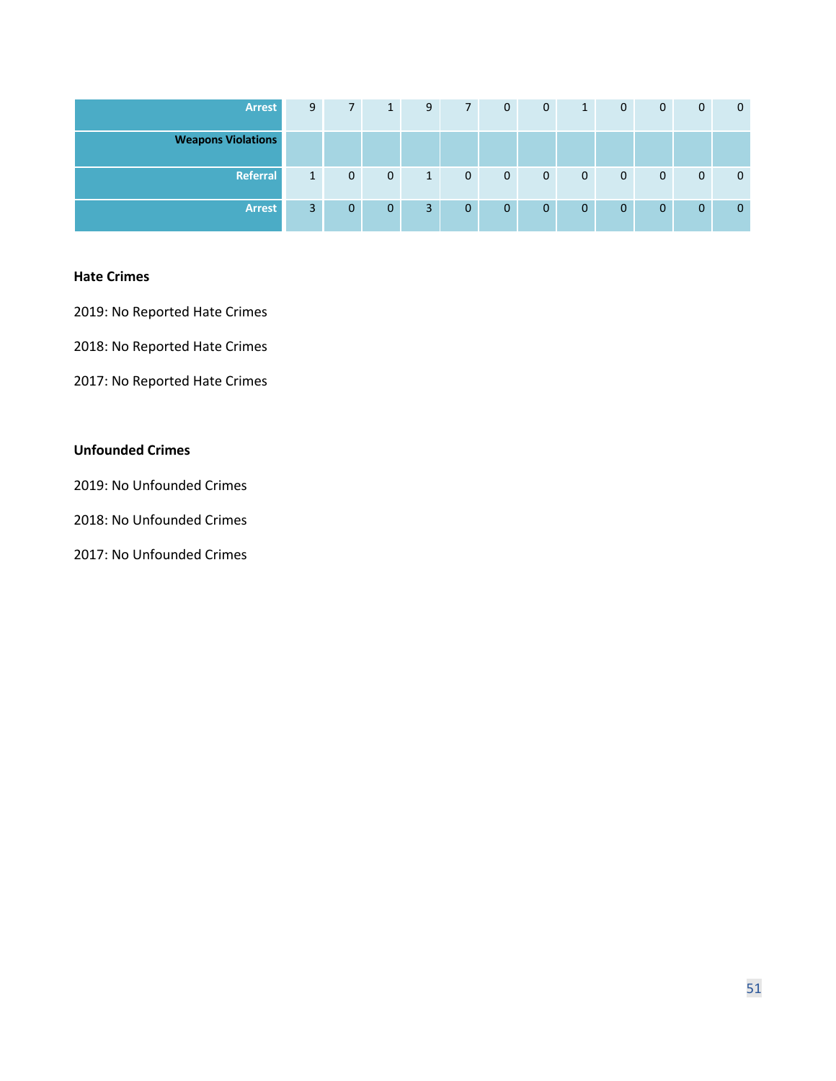| <b>Arrest</b>             | 9              | $7^{\circ}$  | 1            | 9            | $\overline{7}$ | $\mathbf{0}$ | $\mathbf 0$  | $\mathbf{1}$ | $\mathbf 0$ | $\mathbf{0}$ | $\mathbf{0}$ | $\mathbf 0$  |
|---------------------------|----------------|--------------|--------------|--------------|----------------|--------------|--------------|--------------|-------------|--------------|--------------|--------------|
| <b>Weapons Violations</b> |                |              |              |              |                |              |              |              |             |              |              |              |
| Referral                  | 1              | $\mathbf 0$  | $\mathbf 0$  | $\mathbf{1}$ | $\mathbf{0}$   | $\mathbf{0}$ | $\mathbf 0$  | $\mathbf 0$  | $\mathbf 0$ | $\mathbf{0}$ | $\mathbf{0}$ | $\mathbf 0$  |
| <b>Arrest</b>             | 3 <sup>1</sup> | $\mathbf{0}$ | $\mathbf{0}$ | 3            | 0              | $\mathbf{0}$ | $\mathbf{0}$ | $\mathbf{0}$ | 0           | $\mathbf{0}$ | $\mathbf{0}$ | $\mathbf{0}$ |

#### **Hate Crimes**

2019: No Reported Hate Crimes

2018: No Reported Hate Crimes

2017: No Reported Hate Crimes

#### **Unfounded Crimes**

- 2019: No Unfounded Crimes
- 2018: No Unfounded Crimes
- 2017: No Unfounded Crimes